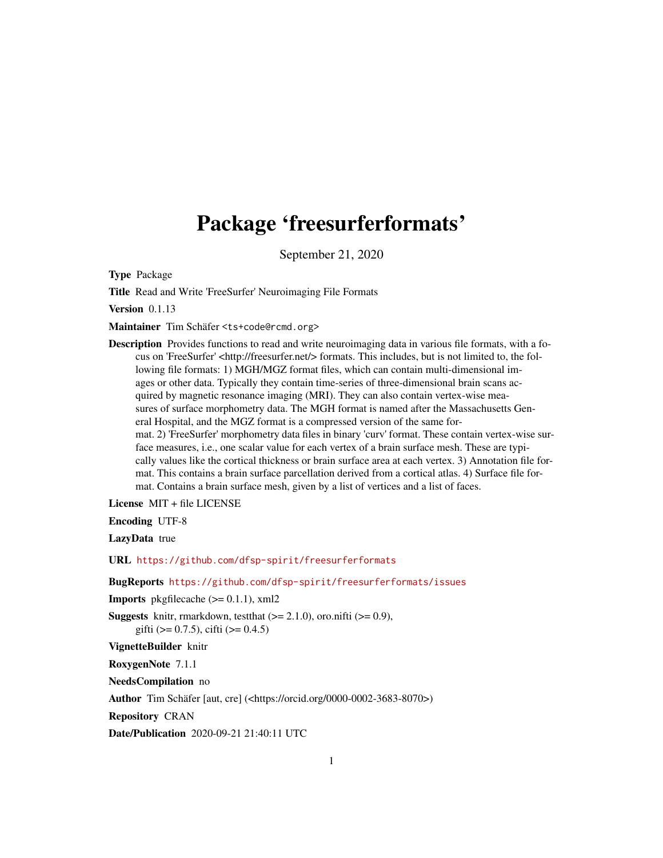# <span id="page-0-0"></span>Package 'freesurferformats'

September 21, 2020

Type Package

Title Read and Write 'FreeSurfer' Neuroimaging File Formats

Version 0.1.13

Maintainer Tim Schäfer <ts+code@rcmd.org>

Description Provides functions to read and write neuroimaging data in various file formats, with a focus on 'FreeSurfer' <http://freesurfer.net/> formats. This includes, but is not limited to, the following file formats: 1) MGH/MGZ format files, which can contain multi-dimensional images or other data. Typically they contain time-series of three-dimensional brain scans acquired by magnetic resonance imaging (MRI). They can also contain vertex-wise measures of surface morphometry data. The MGH format is named after the Massachusetts General Hospital, and the MGZ format is a compressed version of the same format. 2) 'FreeSurfer' morphometry data files in binary 'curv' format. These contain vertex-wise surface measures, i.e., one scalar value for each vertex of a brain surface mesh. These are typically values like the cortical thickness or brain surface area at each vertex. 3) Annotation file format. This contains a brain surface parcellation derived from a cortical atlas. 4) Surface file format. Contains a brain surface mesh, given by a list of vertices and a list of faces.

License MIT + file LICENSE

Encoding UTF-8

LazyData true

URL <https://github.com/dfsp-spirit/freesurferformats>

BugReports <https://github.com/dfsp-spirit/freesurferformats/issues>

**Imports** pkgfilecache  $(>= 0.1.1)$ , xml2

**Suggests** knitr, rmarkdown, test that  $(>= 2.1.0)$ , oro.nifti  $(>= 0.9)$ , gifti ( $> = 0.7.5$ ), cifti ( $> = 0.4.5$ )

VignetteBuilder knitr

RoxygenNote 7.1.1

NeedsCompilation no

Author Tim Schäfer [aut, cre] (<https://orcid.org/0000-0002-3683-8070>)

Repository CRAN

Date/Publication 2020-09-21 21:40:11 UTC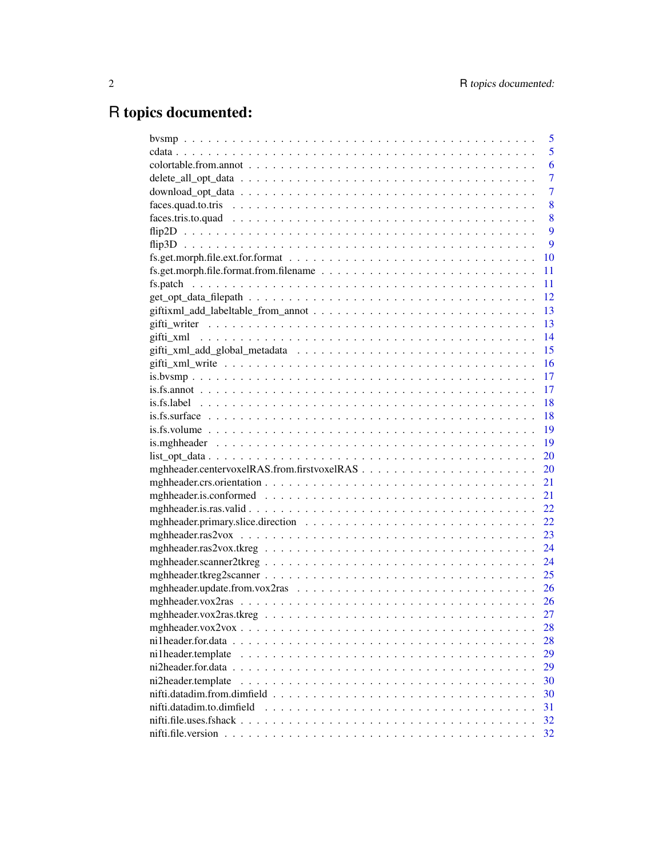# R topics documented:

|                           | 5              |
|---------------------------|----------------|
|                           | 5              |
|                           | 6              |
|                           | $\overline{7}$ |
|                           | $\overline{7}$ |
|                           | 8              |
|                           | 8              |
|                           | 9              |
|                           | 9              |
|                           | 10             |
|                           | 11             |
|                           | 11             |
|                           | 12             |
|                           | 13             |
|                           | 13             |
|                           | 14             |
|                           | 15             |
|                           | 16             |
|                           | 17             |
|                           | 17             |
|                           | 18             |
|                           | 18             |
|                           | 19             |
|                           | 19             |
| $list\_opt\_data$         | 20             |
|                           | 20             |
|                           | 21             |
|                           | 21             |
|                           | 22             |
|                           | 22             |
|                           | 23             |
|                           | 24             |
|                           | 24             |
|                           | 25             |
|                           | 26             |
|                           | 26             |
|                           | 27             |
|                           | 28             |
|                           | 28             |
| ni1header.template        | 29             |
|                           | 29             |
| ni2header.template        | 30             |
|                           | 30             |
| nifti.datadim.to.dimfield | 31             |
|                           | 32             |
|                           | 32             |
|                           |                |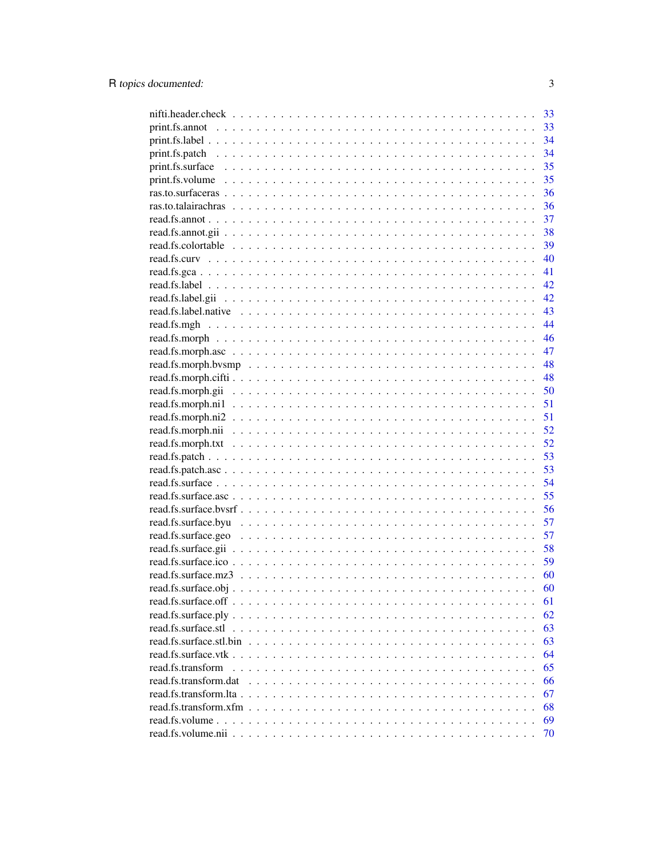|                       | 33 |
|-----------------------|----|
|                       | 33 |
|                       | 34 |
|                       | 34 |
|                       | 35 |
|                       | 35 |
|                       | 36 |
|                       | 36 |
|                       | 37 |
|                       | 38 |
|                       | 39 |
|                       | 40 |
|                       | 41 |
|                       | 42 |
|                       | 42 |
|                       | 43 |
|                       | 44 |
|                       | 46 |
|                       | 47 |
|                       | 48 |
|                       | 48 |
|                       | 50 |
|                       | 51 |
|                       | 51 |
|                       | 52 |
|                       | 52 |
|                       | 53 |
|                       | 53 |
|                       | 54 |
|                       | 55 |
|                       | 56 |
|                       | 57 |
|                       | 57 |
|                       | 58 |
|                       | 59 |
|                       | 60 |
|                       | 60 |
|                       | 61 |
|                       | 62 |
| read.fs.surface.stl   | 63 |
|                       | 63 |
|                       | 64 |
| read.fs.transform     | 65 |
| read.fs.transform.dat | 66 |
|                       | 67 |
|                       | 68 |
|                       | 69 |
|                       | 70 |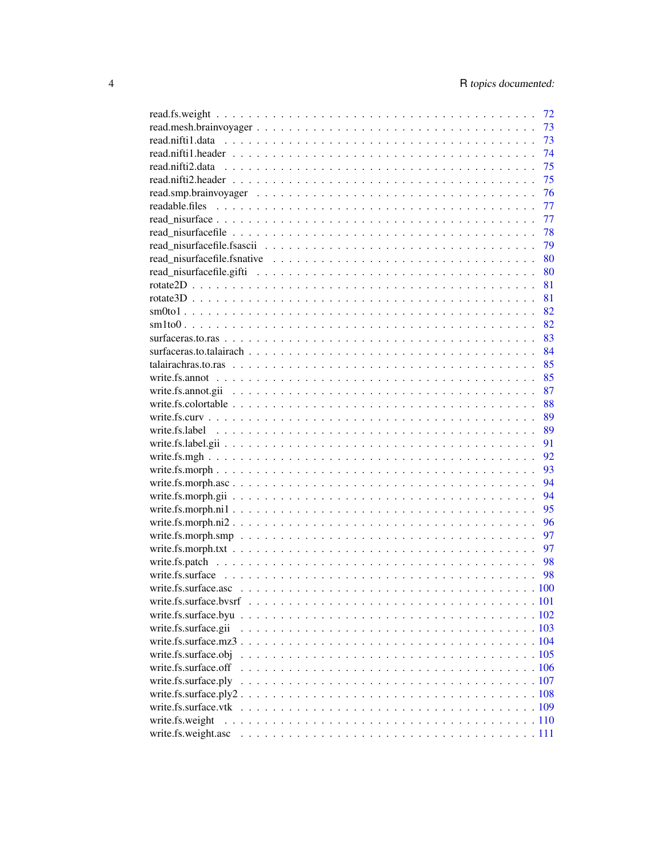|                      | 72 |
|----------------------|----|
|                      | 73 |
|                      | 73 |
|                      | 74 |
|                      | 75 |
|                      | 75 |
|                      | 76 |
|                      | 77 |
|                      | 77 |
|                      | 78 |
|                      | 79 |
|                      | 80 |
|                      | 80 |
|                      | 81 |
|                      | 81 |
|                      | 82 |
|                      | 82 |
|                      | 83 |
|                      | 84 |
|                      | 85 |
|                      | 85 |
|                      | 87 |
|                      | 88 |
|                      | 89 |
|                      | 89 |
|                      | 91 |
|                      | 92 |
|                      | 93 |
|                      | 94 |
|                      | 94 |
|                      | 95 |
|                      | 96 |
|                      | 97 |
|                      | 97 |
|                      | 98 |
|                      |    |
|                      | 98 |
|                      |    |
|                      |    |
|                      |    |
| write.fs.surface.gii |    |
|                      |    |
|                      |    |
| write.fs.surface.off |    |
| write.fs.surface.ply |    |
|                      |    |
| write.fs.surface.vtk |    |
| write.fs.weight      |    |
| write.fs.weight.asc  |    |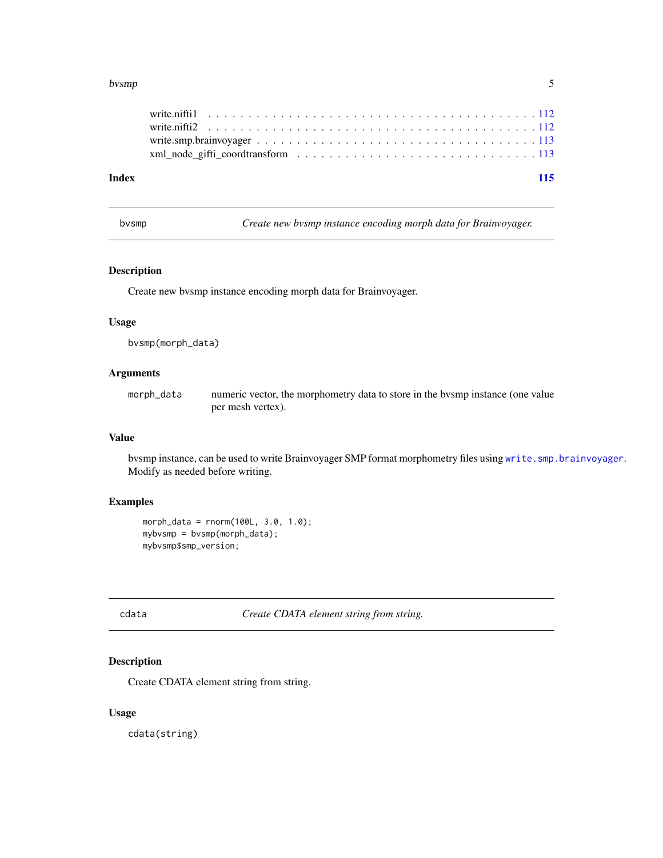#### <span id="page-4-0"></span>bvsmp 55 to 55 to 55 to 55 to 55 to 55 to 55 to 55 to 55 to 55 to 55 to 55 to 55 to 55 to 55 to 55 to 55 to 55

| Index | 115 |
|-------|-----|
|       |     |
|       |     |
|       |     |
|       |     |

bvsmp *Create new bvsmp instance encoding morph data for Brainvoyager.*

# Description

Create new bvsmp instance encoding morph data for Brainvoyager.

# Usage

bvsmp(morph\_data)

# Arguments

morph\_data numeric vector, the morphometry data to store in the bvsmp instance (one value per mesh vertex).

# Value

bvsmp instance, can be used to write Brainvoyager SMP format morphometry files using [write.smp.brainvoyager](#page-112-1). Modify as needed before writing.

# Examples

```
morph_data = rnorm(100L, 3.0, 1.0);
mybvsmp = bvsmp(morph_data);
mybvsmp$smp_version;
```
cdata *Create CDATA element string from string.*

# Description

Create CDATA element string from string.

#### Usage

cdata(string)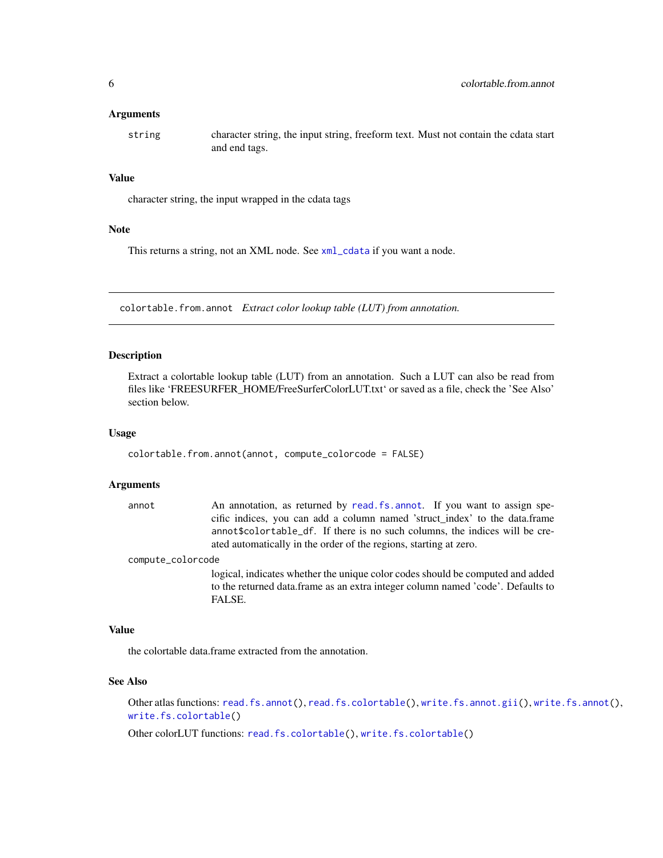#### <span id="page-5-0"></span>**Arguments**

string character string, the input string, freeform text. Must not contain the cdata start and end tags.

# Value

character string, the input wrapped in the cdata tags

#### Note

This returns a string, not an XML node. See [xml\\_cdata](#page-0-0) if you want a node.

colortable.from.annot *Extract color lookup table (LUT) from annotation.*

#### Description

Extract a colortable lookup table (LUT) from an annotation. Such a LUT can also be read from files like 'FREESURFER\_HOME/FreeSurferColorLUT.txt' or saved as a file, check the 'See Also' section below.

#### Usage

```
colortable.from.annot(annot, compute_colorcode = FALSE)
```
#### Arguments

| annot | An annotation, as returned by read. fs. annot. If you want to assign spe-    |
|-------|------------------------------------------------------------------------------|
|       | cific indices, you can add a column named 'struct_index' to the data.frame   |
|       | annot \$colortable_df. If there is no such columns, the indices will be cre- |
|       | ated automatically in the order of the regions, starting at zero.            |

compute\_colorcode

logical, indicates whether the unique color codes should be computed and added to the returned data.frame as an extra integer column named 'code'. Defaults to FALSE.

# Value

the colortable data.frame extracted from the annotation.

# See Also

Other atlas functions: [read.fs.annot\(](#page-36-1)), [read.fs.colortable\(](#page-38-1)), [write.fs.annot.gii\(](#page-86-1)), [write.fs.annot\(](#page-84-1)), [write.fs.colortable\(](#page-87-1))

Other colorLUT functions: [read.fs.colortable\(](#page-38-1)), [write.fs.colortable\(](#page-87-1))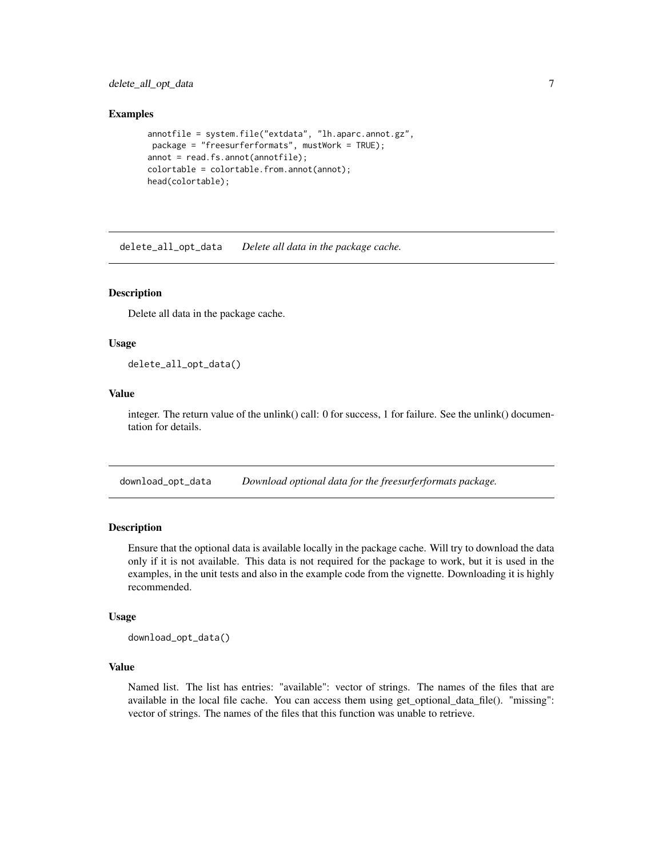<span id="page-6-0"></span>delete\_all\_opt\_data 7

#### Examples

```
annotfile = system.file("extdata", "lh.aparc.annot.gz",
package = "freesurferformats", mustWork = TRUE);
annot = read.fs.annot(annotfile);
colortable = colortable.from.annot(annot);
head(colortable);
```
delete\_all\_opt\_data *Delete all data in the package cache.*

# **Description**

Delete all data in the package cache.

# Usage

delete\_all\_opt\_data()

# Value

integer. The return value of the unlink() call: 0 for success, 1 for failure. See the unlink() documentation for details.

download\_opt\_data *Download optional data for the freesurferformats package.*

# Description

Ensure that the optional data is available locally in the package cache. Will try to download the data only if it is not available. This data is not required for the package to work, but it is used in the examples, in the unit tests and also in the example code from the vignette. Downloading it is highly recommended.

#### Usage

download\_opt\_data()

# Value

Named list. The list has entries: "available": vector of strings. The names of the files that are available in the local file cache. You can access them using get\_optional\_data\_file(). "missing": vector of strings. The names of the files that this function was unable to retrieve.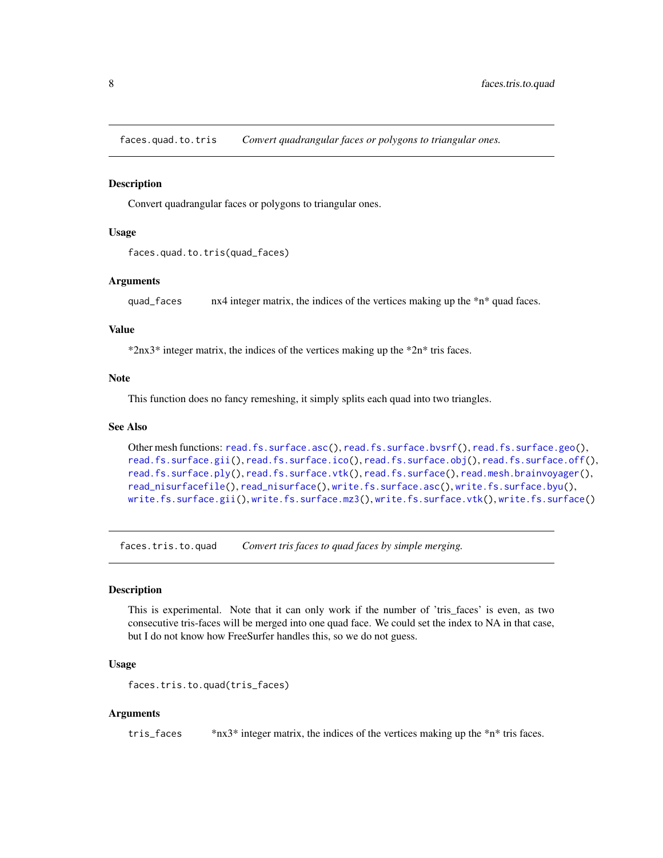<span id="page-7-0"></span>faces.quad.to.tris *Convert quadrangular faces or polygons to triangular ones.*

# Description

Convert quadrangular faces or polygons to triangular ones.

#### Usage

```
faces.quad.to.tris(quad_faces)
```
#### Arguments

quad\_faces nx4 integer matrix, the indices of the vertices making up the  $*n*$  quad faces.

# Value

\*2nx3\* integer matrix, the indices of the vertices making up the \*2n\* tris faces.

#### Note

This function does no fancy remeshing, it simply splits each quad into two triangles.

# See Also

```
Other mesh functions: read.fs.surface.asc(), read.fs.surface.bvsrf(), read.fs.surface.geo(),
read.fs.surface.gii(), read.fs.surface.ico(), read.fs.surface.obj(), read.fs.surface.off(),
read.fs.surface.ply(), read.fs.surface.vtk(), read.fs.surface(), read.mesh.brainvoyager(),
read_nisurfacefile(), read_nisurface(), write.fs.surface.asc(), write.fs.surface.byu(),
write.fs.surface.gii(), write.fs.surface.mz3(), write.fs.surface.vtk(), write.fs.surface()
```
faces.tris.to.quad *Convert tris faces to quad faces by simple merging.*

# Description

This is experimental. Note that it can only work if the number of 'tris\_faces' is even, as two consecutive tris-faces will be merged into one quad face. We could set the index to NA in that case, but I do not know how FreeSurfer handles this, so we do not guess.

#### Usage

```
faces.tris.to.quad(tris_faces)
```
# Arguments

tris\_faces \*nx3\* integer matrix, the indices of the vertices making up the \*n\* tris faces.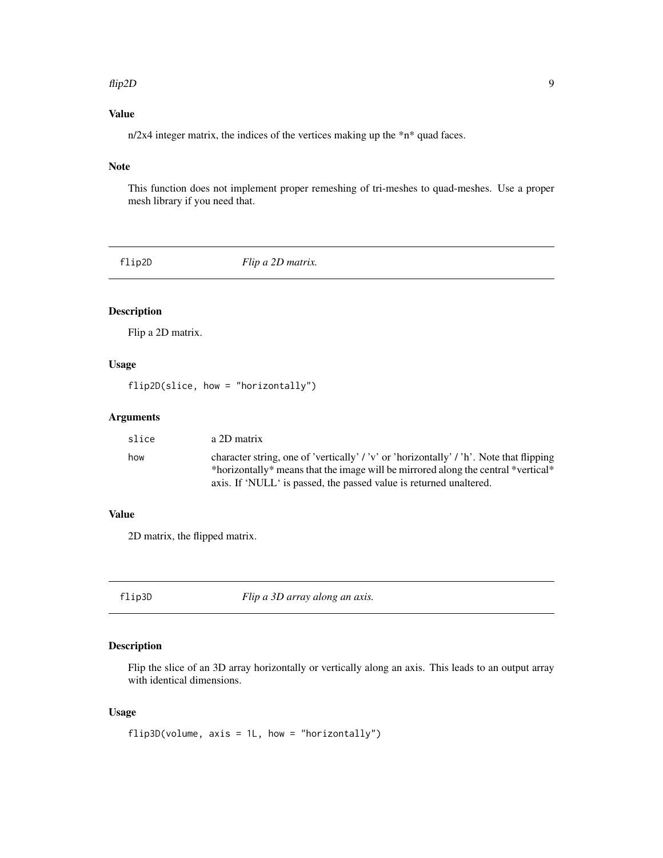#### <span id="page-8-0"></span>flip2D 9

# Value

n/2x4 integer matrix, the indices of the vertices making up the \*n\* quad faces.

# Note

This function does not implement proper remeshing of tri-meshes to quad-meshes. Use a proper mesh library if you need that.

flip2D *Flip a 2D matrix.*

# Description

Flip a 2D matrix.

# Usage

flip2D(slice, how = "horizontally")

# Arguments

| slice | a 2D matrix                                                                                                                                             |
|-------|---------------------------------------------------------------------------------------------------------------------------------------------------------|
| how   | character string, one of 'vertically' / 'v' or 'horizontally' / 'h'. Note that flipping                                                                 |
|       | *horizontally* means that the image will be mirrored along the central *vertical*<br>axis. If 'NULL' is passed, the passed value is returned unaltered. |
|       |                                                                                                                                                         |

# Value

2D matrix, the flipped matrix.

flip3D *Flip a 3D array along an axis.*

# Description

Flip the slice of an 3D array horizontally or vertically along an axis. This leads to an output array with identical dimensions.

# Usage

```
flip3D(volume, axis = 1L, how = "horizontally")
```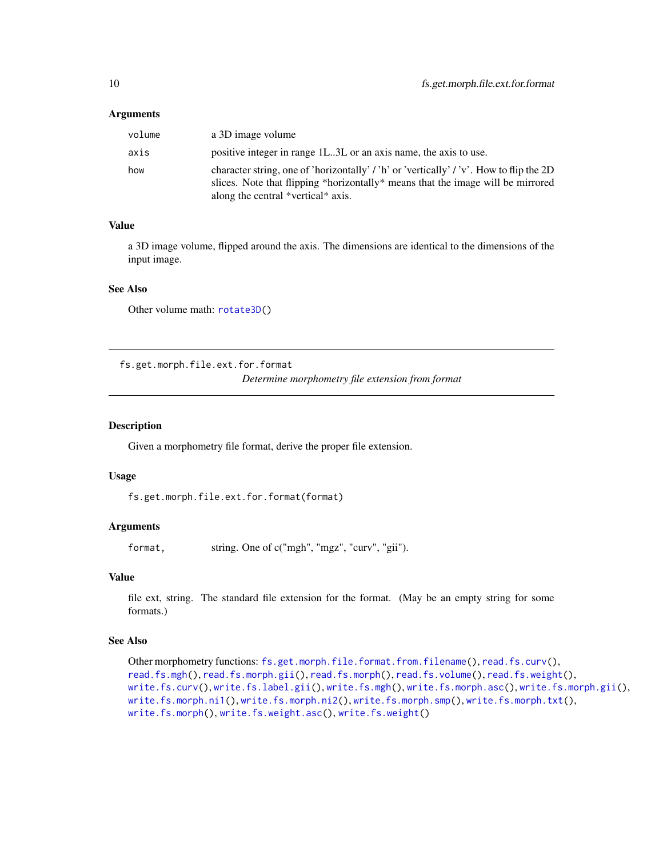#### <span id="page-9-0"></span>**Arguments**

| volume | a 3D image volume                                                                                                                                                                                                |
|--------|------------------------------------------------------------------------------------------------------------------------------------------------------------------------------------------------------------------|
| axis   | positive integer in range 1L3L or an axis name, the axis to use.                                                                                                                                                 |
| how    | character string, one of 'horizontally' / 'h' or 'vertically' / 'v'. How to flip the 2D<br>slices. Note that flipping *horizontally* means that the image will be mirrored<br>along the central *vertical* axis. |

#### Value

a 3D image volume, flipped around the axis. The dimensions are identical to the dimensions of the input image.

#### See Also

Other volume math: [rotate3D\(](#page-80-1))

<span id="page-9-1"></span>fs.get.morph.file.ext.for.format

*Determine morphometry file extension from format*

#### Description

Given a morphometry file format, derive the proper file extension.

# Usage

```
fs.get.morph.file.ext.for.format(format)
```
# Arguments

format, string. One of c("mgh", "mgz", "curv", "gii").

# Value

file ext, string. The standard file extension for the format. (May be an empty string for some formats.)

# See Also

```
Other morphometry functions: fs.get.morph.file.format.from.filename(), read.fs.curv(),
read.fs.mgh(), read.fs.morph.gii(), read.fs.morph(), read.fs.volume(), read.fs.weight(),
write.fs.curv(), write.fs.label.gii(), write.fs.mgh(), write.fs.morph.asc(), write.fs.morph.gii(),
write.fs.morph.ni1(), write.fs.morph.ni2(), write.fs.morph.smp(), write.fs.morph.txt(),
write.fs.morph(), write.fs.weight.asc(), write.fs.weight()
```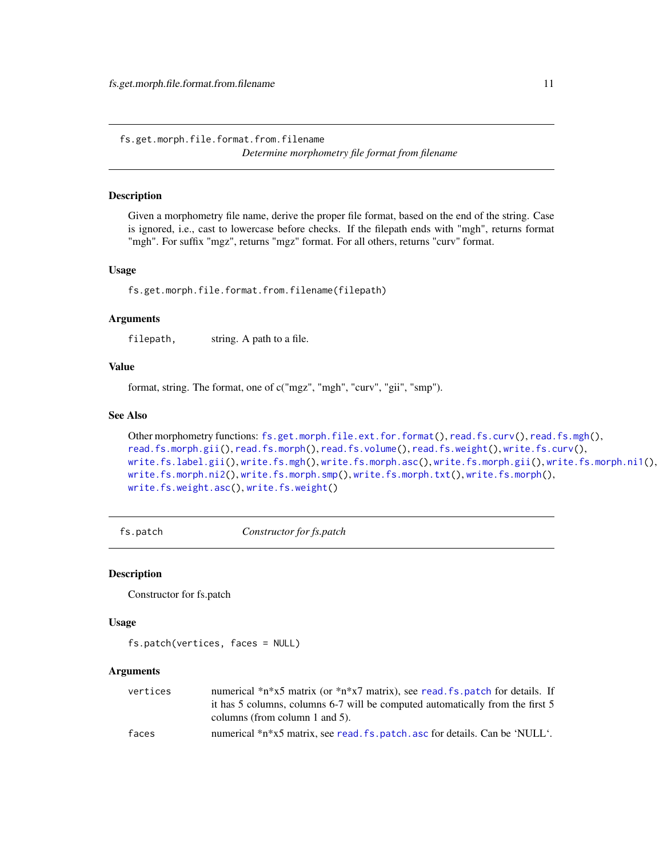<span id="page-10-1"></span><span id="page-10-0"></span>fs.get.morph.file.format.from.filename *Determine morphometry file format from filename*

# Description

Given a morphometry file name, derive the proper file format, based on the end of the string. Case is ignored, i.e., cast to lowercase before checks. If the filepath ends with "mgh", returns format "mgh". For suffix "mgz", returns "mgz" format. For all others, returns "curv" format.

#### Usage

fs.get.morph.file.format.from.filename(filepath)

#### **Arguments**

filepath, string. A path to a file.

# Value

format, string. The format, one of c("mgz", "mgh", "curv", "gii", "smp").

#### See Also

```
Other morphometry functions: fs.get.morph.file.ext.for.format(), read.fs.curv(), read.fs.mgh(),
read.fs.morph.gii(), read.fs.morph(), read.fs.volume(), read.fs.weight(), write.fs.curv(),
write.fs.label.gii(), write.fs.mgh(), write.fs.morph.asc(), write.fs.morph.gii(), write.fs.morph.ni1(),
write.fs.morph.ni2(), write.fs.morph.smp(), write.fs.morph.txt(), write.fs.morph(),
write.fs.weight.asc(), write.fs.weight()
```
fs.patch *Constructor for fs.patch*

#### Description

Constructor for fs.patch

#### Usage

fs.patch(vertices, faces = NULL)

| vertices | numerical *n*x5 matrix (or *n*x7 matrix), see read, fs, patch for details. If |
|----------|-------------------------------------------------------------------------------|
|          | it has 5 columns, columns 6-7 will be computed automatically from the first 5 |
|          | columns (from column 1 and 5).                                                |
| faces    | numerical *n*x5 matrix, see read, fs, patch, asc for details. Can be 'NULL'.  |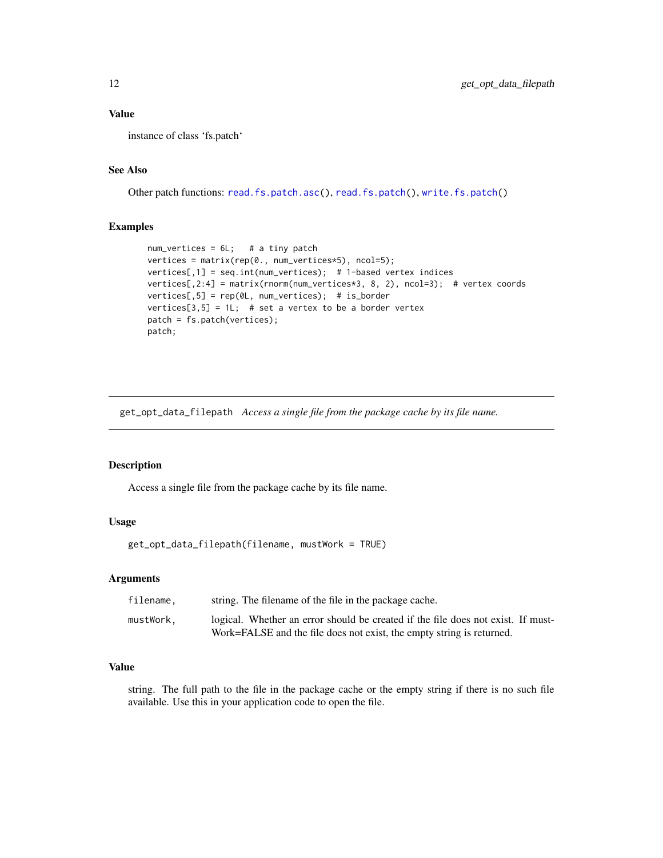# <span id="page-11-0"></span>Value

instance of class 'fs.patch'

# See Also

Other patch functions: [read.fs.patch.asc\(](#page-52-2)), [read.fs.patch\(](#page-52-1)), [write.fs.patch\(](#page-97-2))

# Examples

```
num\_vertices = 6L; # a tiny patch
vertices = matrix(rep(0., num_vertices*5), ncol=5);
vertices[,1] = seq.int(num_vertices); # 1-based vertex indices
vertices[,2:4] = matrix(rnorm(num_vertices*3, 8, 2), ncol=3); # vertex coords
vertices[,5] = rep(0L, num_vertices); # is_border
vertices[3,5] = 1L; # set a vertex to be a border vertex
patch = fs.patch(vertices);
patch;
```
get\_opt\_data\_filepath *Access a single file from the package cache by its file name.*

# Description

Access a single file from the package cache by its file name.

# Usage

```
get_opt_data_filepath(filename, mustWork = TRUE)
```
# Arguments

| filename. | string. The filename of the file in the package cache.                           |
|-----------|----------------------------------------------------------------------------------|
| mustWork. | logical. Whether an error should be created if the file does not exist. If must- |
|           | Work=FALSE and the file does not exist, the empty string is returned.            |

# Value

string. The full path to the file in the package cache or the empty string if there is no such file available. Use this in your application code to open the file.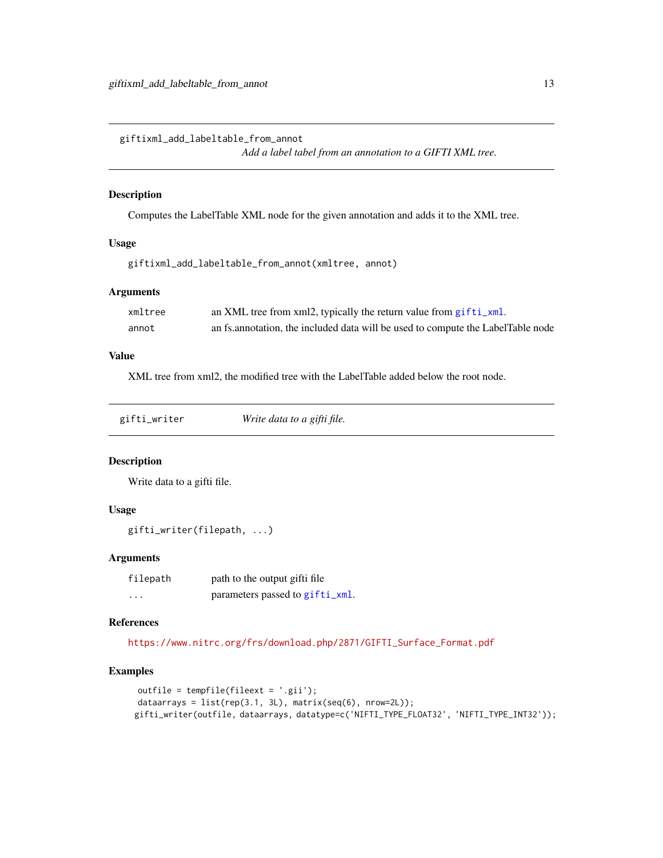<span id="page-12-0"></span>giftixml\_add\_labeltable\_from\_annot

```
Add a label tabel from an annotation to a GIFTI XML tree.
```
#### Description

Computes the LabelTable XML node for the given annotation and adds it to the XML tree.

# Usage

```
giftixml_add_labeltable_from_annot(xmltree, annot)
```
# Arguments

| xmltree | an XML tree from xml2, typically the return value from gifti_xml.                |
|---------|----------------------------------------------------------------------------------|
| annot   | an fs. annotation, the included data will be used to compute the LabelTable node |

# Value

XML tree from xml2, the modified tree with the LabelTable added below the root node.

<span id="page-12-1"></span>

| gifti_writer | Write data to a gifti file. |
|--------------|-----------------------------|
|              |                             |

#### Description

Write data to a gifti file.

# Usage

gifti\_writer(filepath, ...)

#### Arguments

| filepath | path to the output gifti file   |
|----------|---------------------------------|
| .        | parameters passed to gifti_xml. |

#### References

[https://www.nitrc.org/frs/download.php/2871/GIFTI\\_Surface\\_Format.pdf](https://www.nitrc.org/frs/download.php/2871/GIFTI_Surface_Format.pdf)

# Examples

```
outfile = tempfile(fileext = '.gii');
dataarrays = list(rep(3.1, 3L), matrix(seq(6), nrow=2L));
gifti_writer(outfile, dataarrays, datatype=c('NIFTI_TYPE_FLOAT32', 'NIFTI_TYPE_INT32'));
```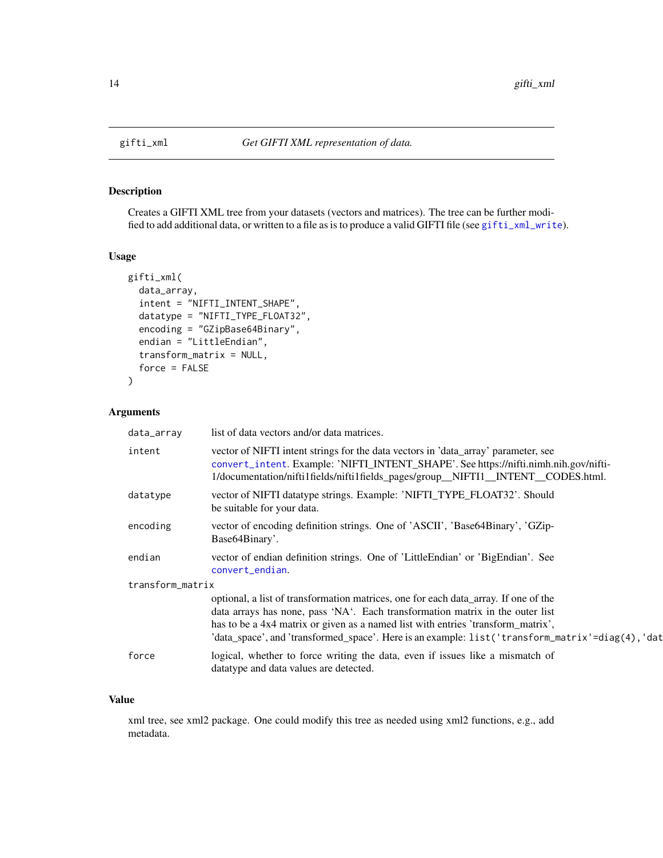Creates a GIFTI XML tree from your datasets (vectors and matrices). The tree can be further modified to add additional data, or written to a file as is to produce a valid GIFTI file (see [gifti\\_xml\\_write](#page-15-1)).

# Usage

```
gifti_xml(
  data_array,
  intent = "NIFTI_INTENT_SHAPE",
  datatype = "NIFTI_TYPE_FLOAT32",
  encoding = "GZipBase64Binary",
  endian = "LittleEndian",
  transform_matrix = NULL,
  force = FALSE
\mathcal{L}
```
# Arguments

| data_array       | list of data vectors and/or data matrices.                                                                                                                                                                                                                                                                                                                   |
|------------------|--------------------------------------------------------------------------------------------------------------------------------------------------------------------------------------------------------------------------------------------------------------------------------------------------------------------------------------------------------------|
| intent           | vector of NIFTI intent strings for the data vectors in 'data_array' parameter, see<br>convert_intent. Example: 'NIFTI_INTENT_SHAPE'. See https://nifti.nimh.nih.gov/nifti-<br>1/documentation/nifti1fields/nifti1fields_pages/group_NIFT11_INTENT_CODES.html.                                                                                                |
| datatype         | vector of NIFTI datatype strings. Example: 'NIFTI_TYPE_FLOAT32'. Should<br>be suitable for your data.                                                                                                                                                                                                                                                        |
| encoding         | vector of encoding definition strings. One of 'ASCII', 'Base64Binary', 'GZip-<br>Base64Binary'.                                                                                                                                                                                                                                                              |
| endian           | vector of endian definition strings. One of 'LittleEndian' or 'BigEndian'. See<br>convert_endian.                                                                                                                                                                                                                                                            |
| transform_matrix |                                                                                                                                                                                                                                                                                                                                                              |
|                  | optional, a list of transformation matrices, one for each data_array. If one of the<br>data arrays has none, pass 'NA'. Each transformation matrix in the outer list<br>has to be a 4x4 matrix or given as a named list with entries 'transform_matrix',<br>'data_space', and 'transformed_space'. Here is an example: list('transform_matrix'=diag(4), 'dat |
| force            | logical, whether to force writing the data, even if issues like a mismatch of<br>datatype and data values are detected.                                                                                                                                                                                                                                      |

# Value

xml tree, see xml2 package. One could modify this tree as needed using xml2 functions, e.g., add metadata.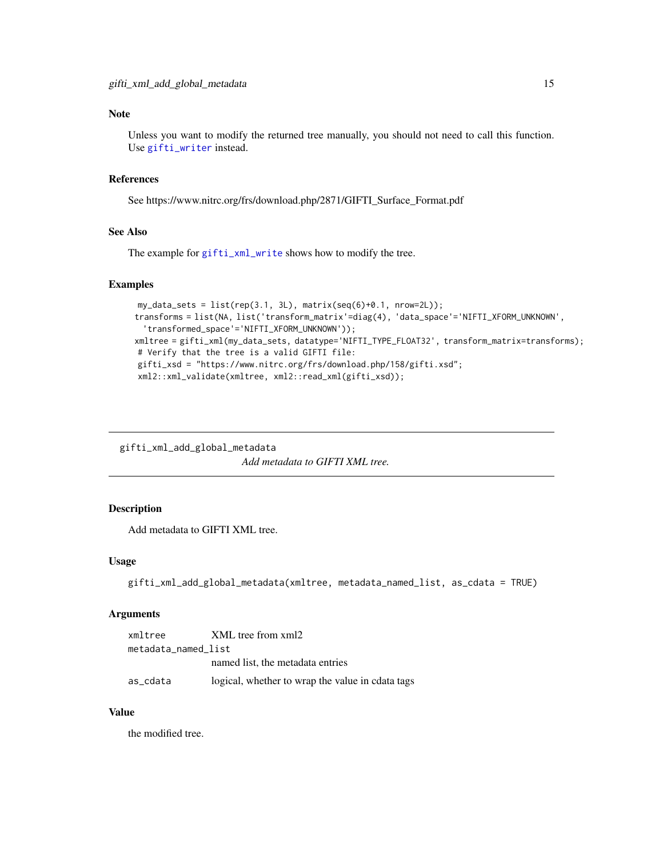# <span id="page-14-0"></span>Note

Unless you want to modify the returned tree manually, you should not need to call this function. Use [gifti\\_writer](#page-12-1) instead.

# References

See https://www.nitrc.org/frs/download.php/2871/GIFTI\_Surface\_Format.pdf

# See Also

The example for [gifti\\_xml\\_write](#page-15-1) shows how to modify the tree.

# Examples

```
my_data_sets = list(rep(3.1, 3L), matrix(seq(6)+0.1, nrow=2L));transforms = list(NA, list('transform_matrix'=diag(4), 'data_space'='NIFTI_XFORM_UNKNOWN',
  'transformed_space'='NIFTI_XFORM_UNKNOWN'));
xmltree = gifti_xml(my_data_sets, datatype='NIFTI_TYPE_FLOAT32', transform_matrix=transforms);
# Verify that the tree is a valid GIFTI file:
gifti_xsd = "https://www.nitrc.org/frs/download.php/158/gifti.xsd";
xml2::xml_validate(xmltree, xml2::read_xml(gifti_xsd));
```
gifti\_xml\_add\_global\_metadata *Add metadata to GIFTI XML tree.*

#### Description

Add metadata to GIFTI XML tree.

# Usage

```
gifti_xml_add_global_metadata(xmltree, metadata_named_list, as_cdata = TRUE)
```
#### Arguments

| xmltree             | XML tree from xml2                               |
|---------------------|--------------------------------------------------|
| metadata named list |                                                  |
|                     | named list, the metadata entries                 |
| as cdata            | logical, whether to wrap the value in cdata tags |

#### Value

the modified tree.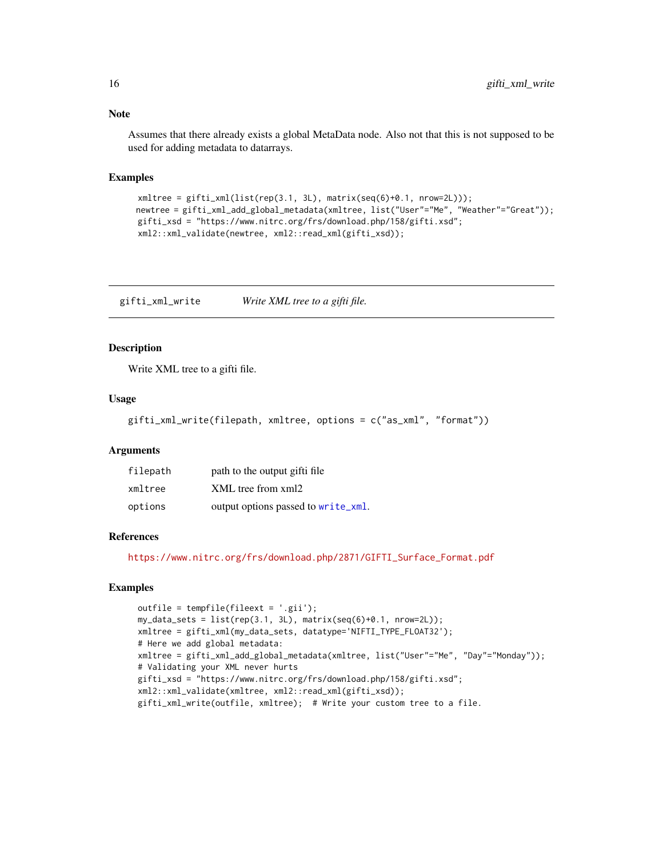<span id="page-15-0"></span>Assumes that there already exists a global MetaData node. Also not that this is not supposed to be used for adding metadata to datarrays.

# Examples

```
xmltree = gifti_xml(list(rep(3.1, 3L), matrix(seq(6)+0.1, nrow=2L)));newtree = gifti_xml_add_global_metadata(xmltree, list("User"="Me", "Weather"="Great"));
gifti_xsd = "https://www.nitrc.org/frs/download.php/158/gifti.xsd";
xml2::xml_validate(newtree, xml2::read_xml(gifti_xsd));
```
<span id="page-15-1"></span>gifti\_xml\_write *Write XML tree to a gifti file.*

#### Description

Write XML tree to a gifti file.

#### Usage

```
gifti_xml_write(filepath, xmltree, options = c("as_xml", "format"))
```
#### **Arguments**

| filepath | path to the output gifti file       |
|----------|-------------------------------------|
| xmltree  | XML tree from xml2                  |
| options  | output options passed to write_xml. |

#### References

[https://www.nitrc.org/frs/download.php/2871/GIFTI\\_Surface\\_Format.pdf](https://www.nitrc.org/frs/download.php/2871/GIFTI_Surface_Format.pdf)

# Examples

```
outfile = tempfile(fileext = '.gii');
my_data_sets = list(rep(3.1, 3L), matrix(seq(6)+0.1, nrow=2L));
xmltree = gifti_xml(my_data_sets, datatype='NIFTI_TYPE_FLOAT32');
# Here we add global metadata:
xmltree = gifti_xml_add_global_metadata(xmltree, list("User"="Me", "Day"="Monday"));
# Validating your XML never hurts
gifti_xsd = "https://www.nitrc.org/frs/download.php/158/gifti.xsd";
xml2::xml_validate(xmltree, xml2::read_xml(gifti_xsd));
gifti_xml_write(outfile, xmltree); # Write your custom tree to a file.
```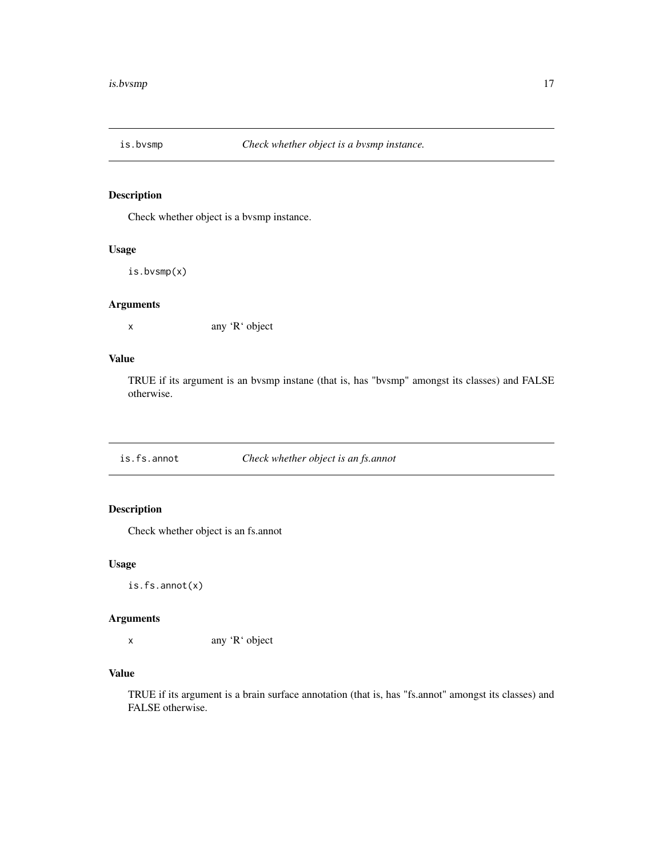<span id="page-16-0"></span>

Check whether object is a bvsmp instance.

# Usage

is.bvsmp(x)

# Arguments

x any 'R' object

# Value

TRUE if its argument is an bvsmp instane (that is, has "bvsmp" amongst its classes) and FALSE otherwise.

is.fs.annot *Check whether object is an fs.annot*

# Description

Check whether object is an fs.annot

#### Usage

is.fs.annot(x)

# Arguments

x any 'R' object

# Value

TRUE if its argument is a brain surface annotation (that is, has "fs.annot" amongst its classes) and FALSE otherwise.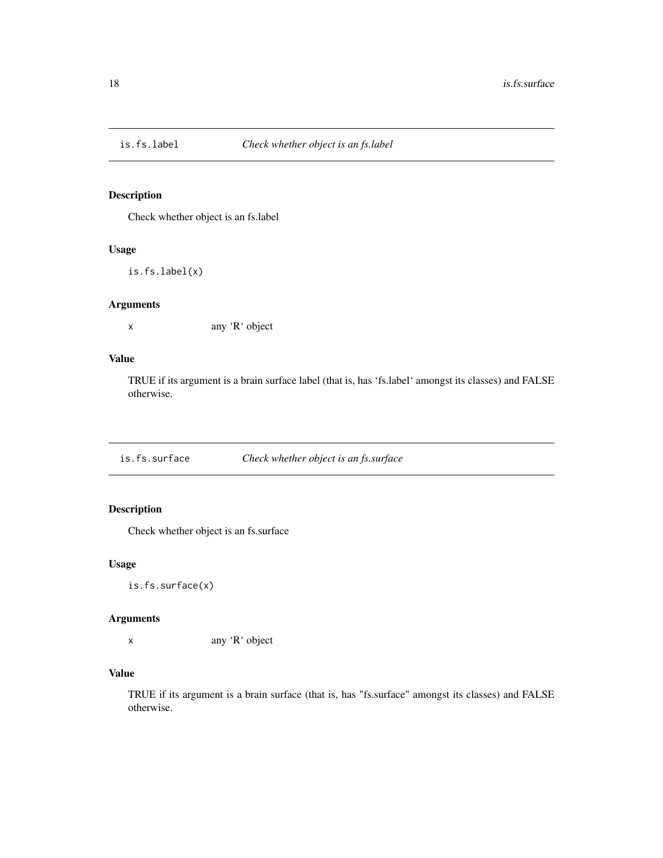<span id="page-17-0"></span>

Check whether object is an fs.label

# Usage

is.fs.label(x)

# Arguments

x any 'R' object

# Value

TRUE if its argument is a brain surface label (that is, has 'fs.label' amongst its classes) and FALSE otherwise.

is.fs.surface *Check whether object is an fs.surface*

# Description

Check whether object is an fs.surface

#### Usage

is.fs.surface(x)

# Arguments

x any 'R' object

# Value

TRUE if its argument is a brain surface (that is, has "fs.surface" amongst its classes) and FALSE otherwise.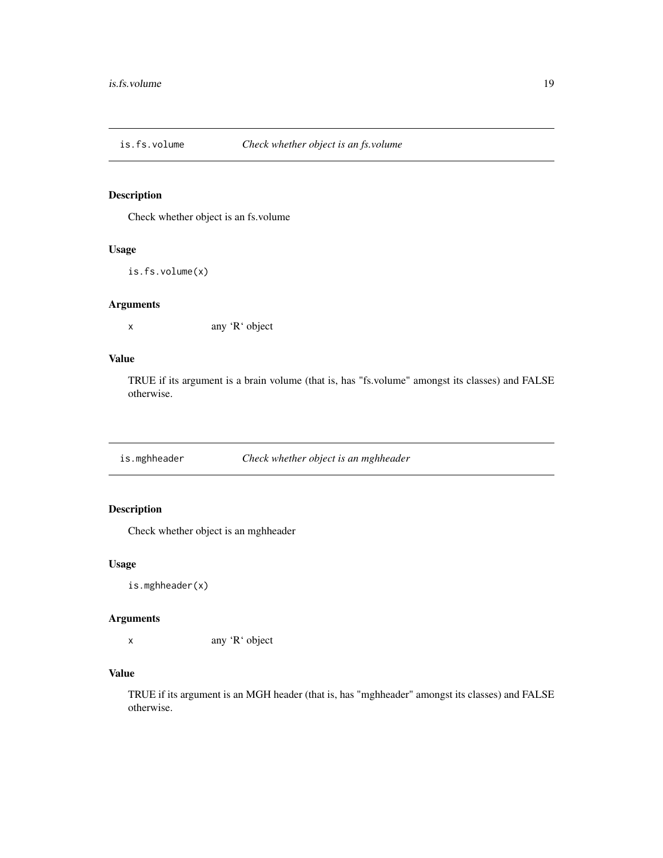<span id="page-18-0"></span>

Check whether object is an fs.volume

# Usage

is.fs.volume(x)

# Arguments

x any 'R' object

# Value

TRUE if its argument is a brain volume (that is, has "fs.volume" amongst its classes) and FALSE otherwise.

is.mghheader *Check whether object is an mghheader*

# Description

Check whether object is an mghheader

#### Usage

is.mghheader(x)

# Arguments

x any 'R' object

# Value

TRUE if its argument is an MGH header (that is, has "mghheader" amongst its classes) and FALSE otherwise.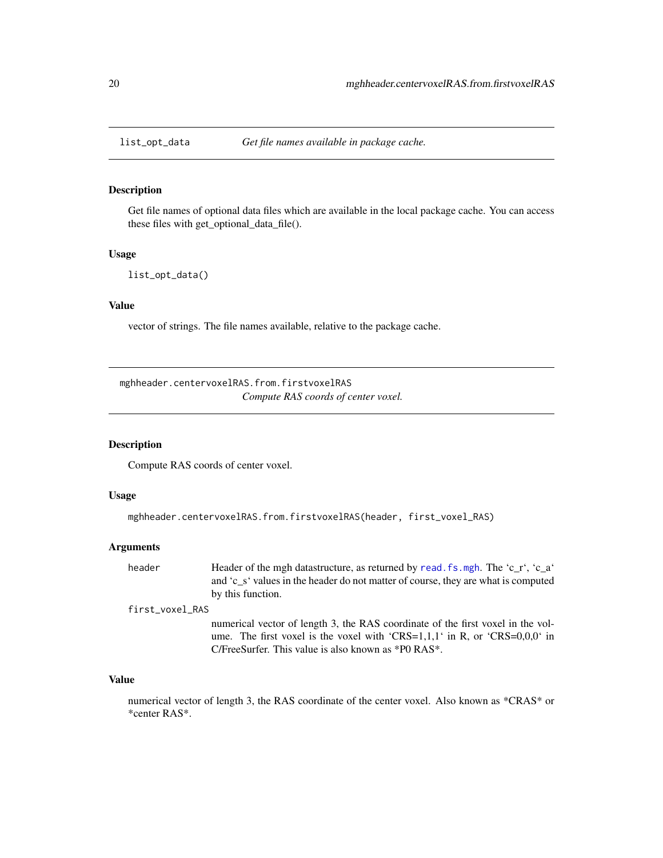<span id="page-19-0"></span>

Get file names of optional data files which are available in the local package cache. You can access these files with get\_optional\_data\_file().

#### Usage

list\_opt\_data()

# Value

vector of strings. The file names available, relative to the package cache.

<span id="page-19-1"></span>mghheader.centervoxelRAS.from.firstvoxelRAS *Compute RAS coords of center voxel.*

# Description

Compute RAS coords of center voxel.

#### Usage

```
mghheader.centervoxelRAS.from.firstvoxelRAS(header, first_voxel_RAS)
```
# Arguments

| header | Header of the mgh datastructure, as returned by read. fs. mgh. The 'c_r', 'c_a'   |
|--------|-----------------------------------------------------------------------------------|
|        | and 'c s' values in the header do not matter of course, they are what is computed |
|        | by this function.                                                                 |

first\_voxel\_RAS

numerical vector of length 3, the RAS coordinate of the first voxel in the volume. The first voxel is the voxel with 'CRS=1,1,1' in R, or 'CRS=0,0,0' in C/FreeSurfer. This value is also known as \*P0 RAS\*.

#### Value

numerical vector of length 3, the RAS coordinate of the center voxel. Also known as \*CRAS\* or \*center RAS\*.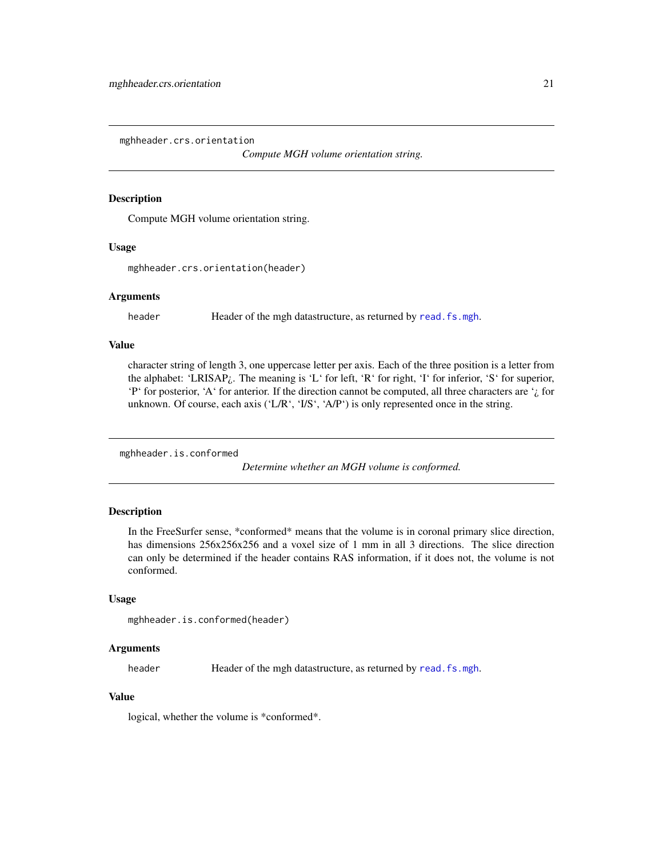<span id="page-20-0"></span>mghheader.crs.orientation

*Compute MGH volume orientation string.*

#### **Description**

Compute MGH volume orientation string.

#### Usage

mghheader.crs.orientation(header)

#### Arguments

header Header of the mgh datastructure, as returned by [read.fs.mgh](#page-43-1).

# Value

character string of length 3, one uppercase letter per axis. Each of the three position is a letter from the alphabet: 'LRISAP¿. The meaning is 'L' for left, 'R' for right, 'I' for inferior, 'S' for superior, 'P' for posterior, 'A' for anterior. If the direction cannot be computed, all three characters are  $\dot{\iota}$  for unknown. Of course, each axis ('L/R', 'I/S', 'A/P') is only represented once in the string.

mghheader.is.conformed

*Determine whether an MGH volume is conformed.*

# **Description**

In the FreeSurfer sense, \*conformed\* means that the volume is in coronal primary slice direction, has dimensions  $256x256x256$  and a voxel size of 1 mm in all 3 directions. The slice direction can only be determined if the header contains RAS information, if it does not, the volume is not conformed.

#### Usage

```
mghheader.is.conformed(header)
```
# Arguments

header Header of the mgh datastructure, as returned by read. fs. mgh.

# Value

logical, whether the volume is \*conformed\*.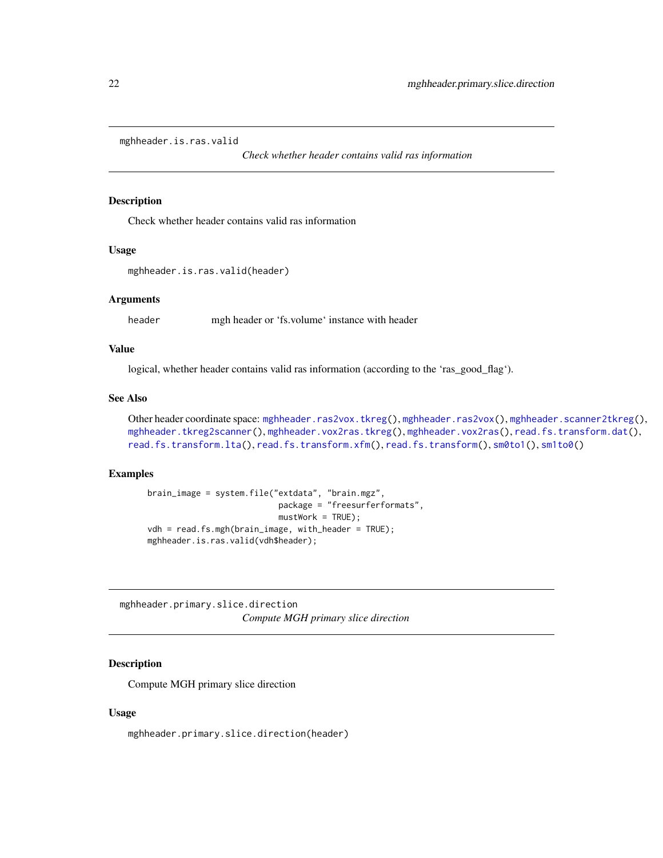<span id="page-21-1"></span><span id="page-21-0"></span>mghheader.is.ras.valid

*Check whether header contains valid ras information*

#### Description

Check whether header contains valid ras information

# Usage

```
mghheader.is.ras.valid(header)
```
#### Arguments

header mgh header or 'fs.volume' instance with header

#### Value

logical, whether header contains valid ras information (according to the 'ras\_good\_flag').

# See Also

Other header coordinate space: [mghheader.ras2vox.tkreg\(](#page-23-1)), [mghheader.ras2vox\(](#page-22-1)), [mghheader.scanner2tkreg\(](#page-23-2)), [mghheader.tkreg2scanner\(](#page-24-1)), [mghheader.vox2ras.tkreg\(](#page-26-1)), [mghheader.vox2ras\(](#page-25-1)), [read.fs.transform.dat\(](#page-65-1)), [read.fs.transform.lta\(](#page-66-1)), [read.fs.transform.xfm\(](#page-67-1)), [read.fs.transform\(](#page-64-1)), [sm0to1\(](#page-81-1)), [sm1to0\(](#page-81-2))

#### Examples

```
brain_image = system.file("extdata", "brain.mgz",
                           package = "freesurferformats",
                           mustWork = TRUE);
vdh = read.fs.mgh(brain_image, with_header = TRUE);
mghheader.is.ras.valid(vdh$header);
```
mghheader.primary.slice.direction *Compute MGH primary slice direction*

#### Description

Compute MGH primary slice direction

#### Usage

mghheader.primary.slice.direction(header)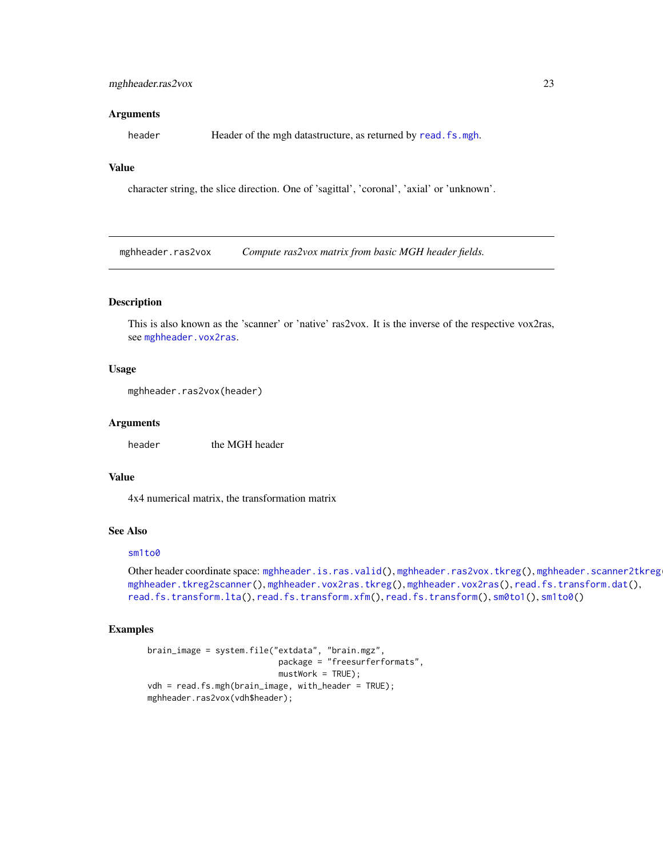# <span id="page-22-0"></span>mghheader.ras2vox 23

#### Arguments

header Header of the mgh datastructure, as returned by [read.fs.mgh](#page-43-1).

# Value

character string, the slice direction. One of 'sagittal', 'coronal', 'axial' or 'unknown'.

<span id="page-22-1"></span>mghheader.ras2vox *Compute ras2vox matrix from basic MGH header fields.*

# Description

This is also known as the 'scanner' or 'native' ras2vox. It is the inverse of the respective vox2ras, see [mghheader.vox2ras](#page-25-1).

# Usage

```
mghheader.ras2vox(header)
```
#### Arguments

header the MGH header

#### Value

4x4 numerical matrix, the transformation matrix

# See Also

#### [sm1to0](#page-81-2)

Other header coordinate space: [mghheader.is.ras.valid\(](#page-21-1)), [mghheader.ras2vox.tkreg\(](#page-23-1)), mghheader.scanner2tkreg [mghheader.tkreg2scanner\(](#page-24-1)), [mghheader.vox2ras.tkreg\(](#page-26-1)), [mghheader.vox2ras\(](#page-25-1)), [read.fs.transform.dat\(](#page-65-1)), [read.fs.transform.lta\(](#page-66-1)), [read.fs.transform.xfm\(](#page-67-1)), [read.fs.transform\(](#page-64-1)), [sm0to1\(](#page-81-1)), [sm1to0\(](#page-81-2))

# Examples

```
brain_image = system.file("extdata", "brain.mgz",
                           package = "freesurferformats",
                          mustWork = TRUE);
vdh = read.fs.mgh(brain_image, with_header = TRUE);
mghheader.ras2vox(vdh$header);
```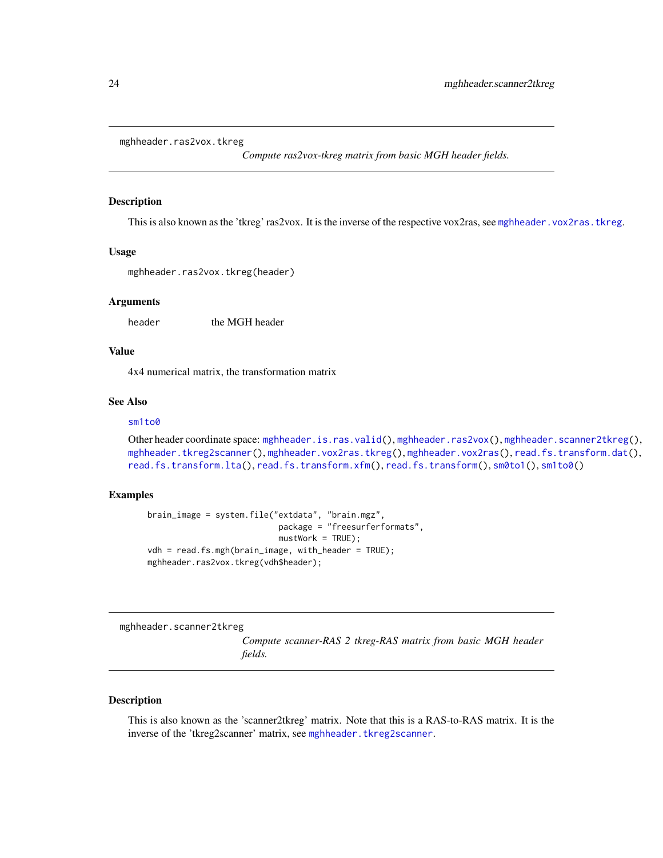```
mghheader.ras2vox.tkreg
```
*Compute ras2vox-tkreg matrix from basic MGH header fields.*

#### Description

This is also known as the 'tkreg' ras2vox. It is the inverse of the respective vox2ras, see [mghheader.vox2ras.tkreg](#page-26-1).

#### Usage

```
mghheader.ras2vox.tkreg(header)
```
# **Arguments**

header the MGH header

# Value

4x4 numerical matrix, the transformation matrix

#### See Also

#### [sm1to0](#page-81-2)

```
mghheader.is.ras.valid(mghheader.ras2vox(mghheader.scanner2tkreg(),
mghheader.tkreg2scanner(), mghheader.vox2ras.tkreg(), mghheader.vox2ras(), read.fs.transform.dat(),
read.fs.transform.lta(), read.fs.transform.xfm(), read.fs.transform(), sm0to1(), sm1to0()
```
#### Examples

```
brain_image = system.file("extdata", "brain.mgz",
                           package = "freesurferformats",
                           mustWork = TRUE);
vdh = read.fs.mgh(brain_image, with_header = TRUE);
mghheader.ras2vox.tkreg(vdh$header);
```
<span id="page-23-2"></span>mghheader.scanner2tkreg

*Compute scanner-RAS 2 tkreg-RAS matrix from basic MGH header fields.*

#### Description

This is also known as the 'scanner2tkreg' matrix. Note that this is a RAS-to-RAS matrix. It is the inverse of the 'tkreg2scanner' matrix, see [mghheader.tkreg2scanner](#page-24-1).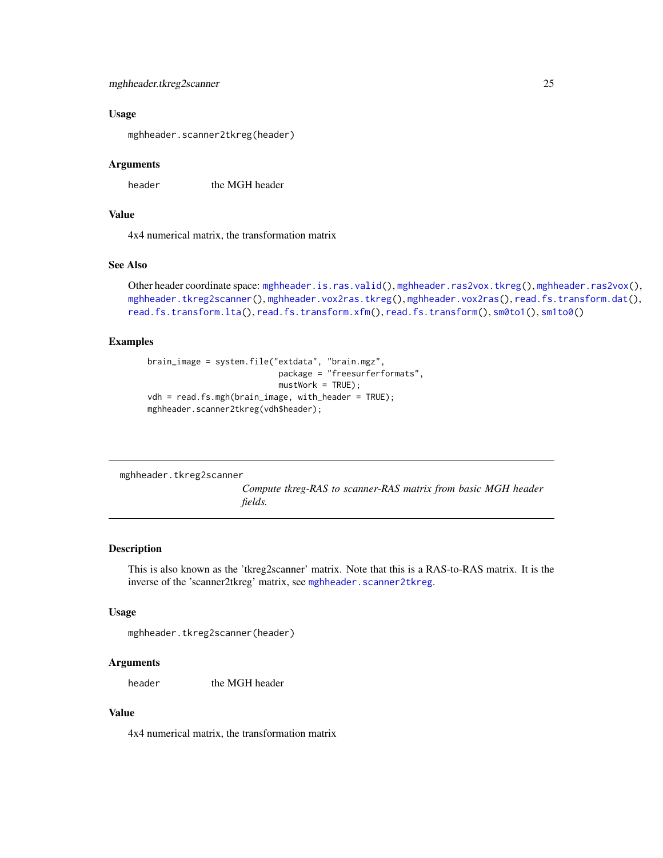#### <span id="page-24-0"></span>Usage

mghheader.scanner2tkreg(header)

#### Arguments

header the MGH header

# Value

4x4 numerical matrix, the transformation matrix

# See Also

```
Other header coordinate space: mghheader.is.ras.valid(), mghheader.ras2vox.tkreg(), mghheader.ras2vox(),
mghheader.tkreg2scanner(), mghheader.vox2ras.tkreg(), mghheader.vox2ras(), read.fs.transform.dat(),
read.fs.transform.lta(), read.fs.transform.xfm(), read.fs.transform(), sm0to1(), sm1to0()
```
#### Examples

```
brain_image = system.file("extdata", "brain.mgz",
                          package = "freesurferformats",
                           mustWork = TRUE;
vdh = read.fs.mgh(brain_image, with_header = TRUE);
mghheader.scanner2tkreg(vdh$header);
```
<span id="page-24-1"></span>mghheader.tkreg2scanner

*Compute tkreg-RAS to scanner-RAS matrix from basic MGH header fields.*

#### Description

This is also known as the 'tkreg2scanner' matrix. Note that this is a RAS-to-RAS matrix. It is the inverse of the 'scanner2tkreg' matrix, see [mghheader.scanner2tkreg](#page-23-2).

#### Usage

```
mghheader.tkreg2scanner(header)
```
#### Arguments

header the MGH header

# Value

4x4 numerical matrix, the transformation matrix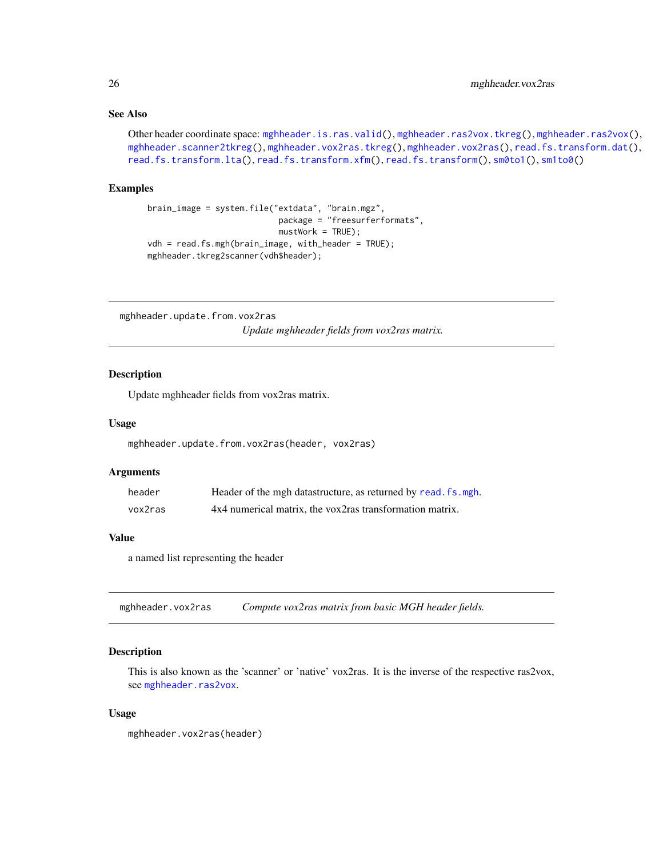# <span id="page-25-0"></span>See Also

```
Other header coordinate space: mghheader.is.ras.valid(), mghheader.ras2vox.tkreg(), mghheader.ras2vox(),
mghheader.scanner2tkreg(), mghheader.vox2ras.tkreg(), mghheader.vox2ras(), read.fs.transform.dat(),
read.fs.transform.lta(), read.fs.transform.xfm(), read.fs.transform(), sm0to1(), sm1to0()
```
#### Examples

```
brain_image = system.file("extdata", "brain.mgz",
                          package = "freesurferformats",
                           mustWork = TRUE;
vdh = read.fs.mgh(brain_image, with_header = TRUE);
mghheader.tkreg2scanner(vdh$header);
```
mghheader.update.from.vox2ras *Update mghheader fields from vox2ras matrix.*

# **Description**

Update mghheader fields from vox2ras matrix.

#### Usage

```
mghheader.update.from.vox2ras(header, vox2ras)
```
#### Arguments

| header  | Header of the mgh datastructure, as returned by read. fs. mgh. |
|---------|----------------------------------------------------------------|
| vox2ras | 4x4 numerical matrix, the vox2ras transformation matrix.       |

#### Value

a named list representing the header

<span id="page-25-1"></span>mghheader.vox2ras *Compute vox2ras matrix from basic MGH header fields.*

#### **Description**

This is also known as the 'scanner' or 'native' vox2ras. It is the inverse of the respective ras2vox, see [mghheader.ras2vox](#page-22-1).

#### Usage

```
mghheader.vox2ras(header)
```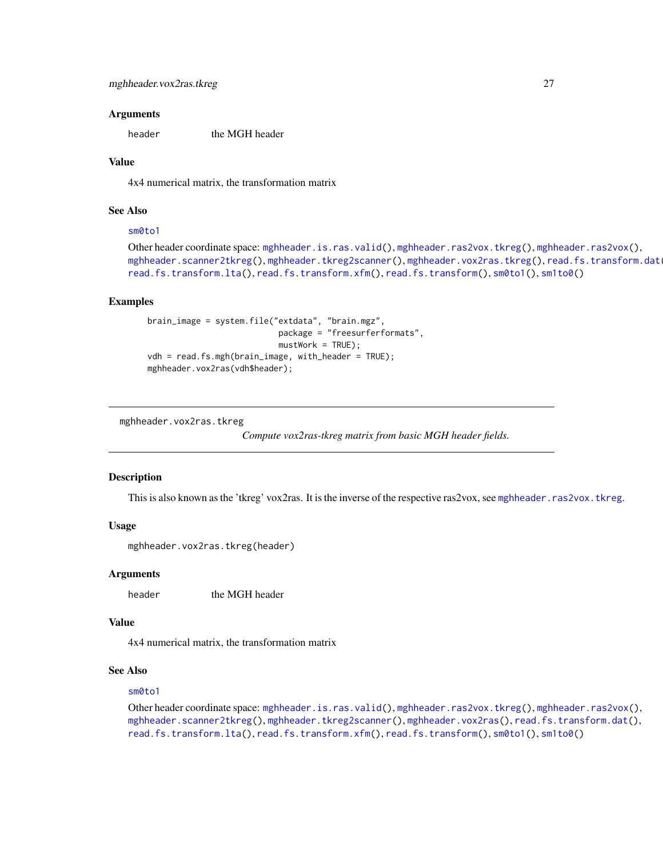#### <span id="page-26-0"></span>Arguments

header the MGH header

# Value

4x4 numerical matrix, the transformation matrix

# See Also

#### [sm0to1](#page-81-1)

```
Other header coordinate space: mghheader.is.ras.valid(), mghheader.ras2vox.tkreg(), mghheader.ras2vox(),
mghheader.scanner2tkreg(mghheader.tkreg2scanner(mghheader.vox2ras.tkreg(), read.fs.transform.dat
read.fs.transform.lta(), read.fs.transform.xfm(), read.fs.transform(), sm0to1(), sm1to0()
```
# Examples

```
brain_image = system.file("extdata", "brain.mgz",
                          package = "freesurferformats",
                           mustWork = TRUE;
vdh = read.fs.mgh(brain_image, with_header = TRUE);
mghheader.vox2ras(vdh$header);
```
<span id="page-26-1"></span>mghheader.vox2ras.tkreg

*Compute vox2ras-tkreg matrix from basic MGH header fields.*

#### **Description**

This is also known as the 'tkreg' vox2ras. It is the inverse of the respective ras2vox, see [mghheader.ras2vox.tkreg](#page-23-1).

# Usage

```
mghheader.vox2ras.tkreg(header)
```
#### Arguments

header the MGH header

# Value

4x4 numerical matrix, the transformation matrix

# See Also

#### [sm0to1](#page-81-1)

Other header coordinate space: [mghheader.is.ras.valid\(](#page-21-1)), [mghheader.ras2vox.tkreg\(](#page-23-1)), [mghheader.ras2vox\(](#page-22-1)), [mghheader.scanner2tkreg\(](#page-23-2)), [mghheader.tkreg2scanner\(](#page-24-1)), [mghheader.vox2ras\(](#page-25-1)), [read.fs.transform.dat\(](#page-65-1)), [read.fs.transform.lta\(](#page-66-1)), [read.fs.transform.xfm\(](#page-67-1)), [read.fs.transform\(](#page-64-1)), [sm0to1\(](#page-81-1)), [sm1to0\(](#page-81-2))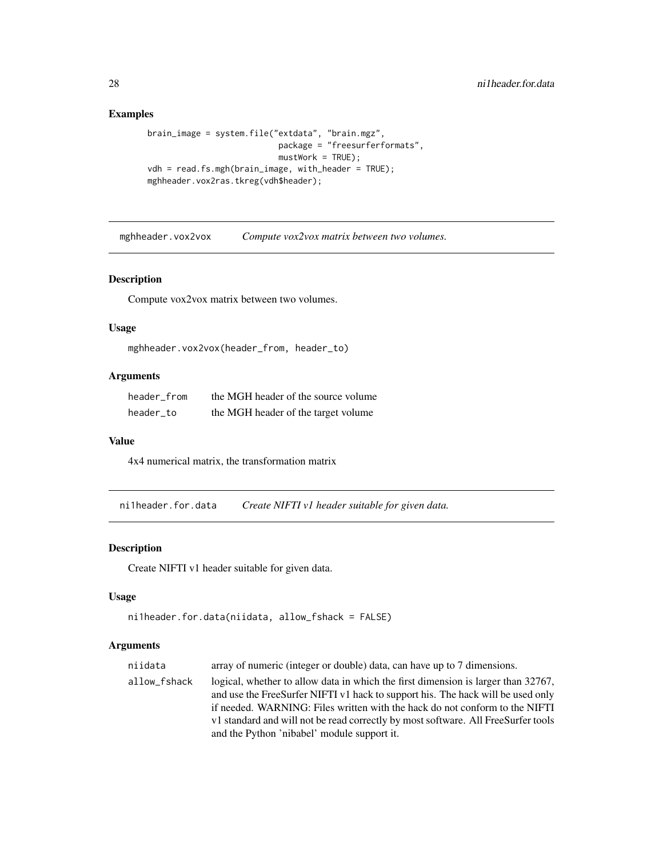# Examples

```
brain_image = system.file("extdata", "brain.mgz",
                          package = "freesurferformats",
                          mustWork = TRUE;
vdh = read.fs.mgh(brain_image, with_header = TRUE);
mghheader.vox2ras.tkreg(vdh$header);
```
mghheader.vox2vox *Compute vox2vox matrix between two volumes.*

# Description

Compute vox2vox matrix between two volumes.

# Usage

```
mghheader.vox2vox(header_from, header_to)
```
# Arguments

| header from | the MGH header of the source volume |
|-------------|-------------------------------------|
| header to   | the MGH header of the target volume |

# Value

4x4 numerical matrix, the transformation matrix

<span id="page-27-1"></span>ni1header.for.data *Create NIFTI v1 header suitable for given data.*

# Description

Create NIFTI v1 header suitable for given data.

# Usage

```
ni1header.for.data(niidata, allow_fshack = FALSE)
```

| niidata      | array of numeric (integer or double) data, can have up to 7 dimensions.                                                                                                                                                                                                                                                                                                                 |
|--------------|-----------------------------------------------------------------------------------------------------------------------------------------------------------------------------------------------------------------------------------------------------------------------------------------------------------------------------------------------------------------------------------------|
| allow_fshack | logical, whether to allow data in which the first dimension is larger than 32767,<br>and use the FreeSurfer NIFTI v1 hack to support his. The hack will be used only<br>if needed. WARNING: Files written with the hack do not conform to the NIFTI<br>v1 standard and will not be read correctly by most software. All FreeSurfer tools<br>and the Python 'nibabel' module support it. |
|              |                                                                                                                                                                                                                                                                                                                                                                                         |

<span id="page-27-0"></span>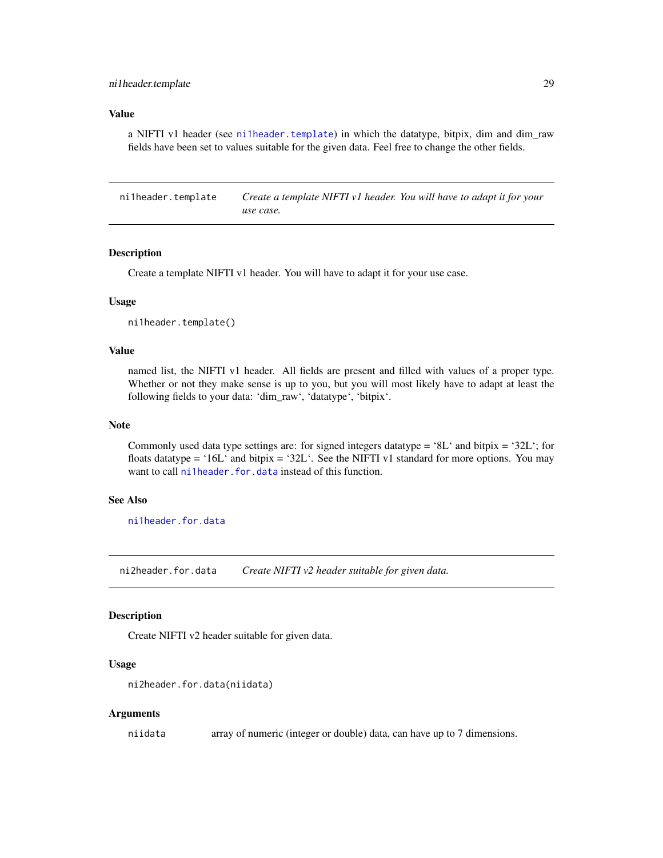#### <span id="page-28-0"></span>Value

a NIFTI v1 header (see [ni1header.template](#page-28-1)) in which the datatype, bitpix, dim and dim raw fields have been set to values suitable for the given data. Feel free to change the other fields.

<span id="page-28-1"></span>ni1header.template *Create a template NIFTI v1 header. You will have to adapt it for your use case.*

# **Description**

Create a template NIFTI v1 header. You will have to adapt it for your use case.

# Usage

ni1header.template()

# Value

named list, the NIFTI v1 header. All fields are present and filled with values of a proper type. Whether or not they make sense is up to you, but you will most likely have to adapt at least the following fields to your data: 'dim\_raw', 'datatype', 'bitpix'.

#### Note

Commonly used data type settings are: for signed integers datatype =  $8L^{\prime}$  and bitpix =  $32L^{\prime}$ ; for floats datatype = '16L' and bitpix = '32L'. See the NIFTI v1 standard for more options. You may want to call [ni1header.for.data](#page-27-1) instead of this function.

# See Also

[ni1header.for.data](#page-27-1)

<span id="page-28-2"></span>ni2header.for.data *Create NIFTI v2 header suitable for given data.*

#### Description

Create NIFTI v2 header suitable for given data.

#### Usage

```
ni2header.for.data(niidata)
```
#### Arguments

niidata array of numeric (integer or double) data, can have up to 7 dimensions.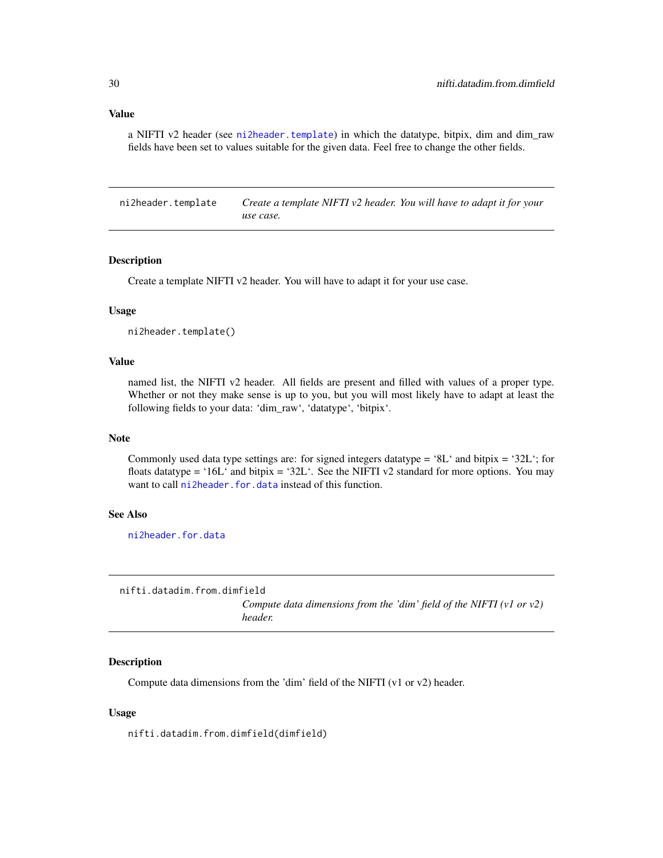<span id="page-29-0"></span>a NIFTI v2 header (see [ni2header.template](#page-29-1)) in which the datatype, bitpix, dim and dim\_raw fields have been set to values suitable for the given data. Feel free to change the other fields.

<span id="page-29-1"></span>ni2header.template *Create a template NIFTI v2 header. You will have to adapt it for your use case.*

#### Description

Create a template NIFTI v2 header. You will have to adapt it for your use case.

#### Usage

ni2header.template()

# Value

named list, the NIFTI v2 header. All fields are present and filled with values of a proper type. Whether or not they make sense is up to you, but you will most likely have to adapt at least the following fields to your data: 'dim\_raw', 'datatype', 'bitpix'.

#### Note

Commonly used data type settings are: for signed integers datatype = '8L' and bitpix = '32L'; for floats datatype = '16L' and bitpix = '32L'. See the NIFTI v2 standard for more options. You may want to call [ni2header.for.data](#page-28-2) instead of this function.

#### See Also

[ni2header.for.data](#page-28-2)

<span id="page-29-2"></span>nifti.datadim.from.dimfield *Compute data dimensions from the 'dim' field of the NIFTI (v1 or v2) header.*

# Description

Compute data dimensions from the 'dim' field of the NIFTI (v1 or v2) header.

#### Usage

nifti.datadim.from.dimfield(dimfield)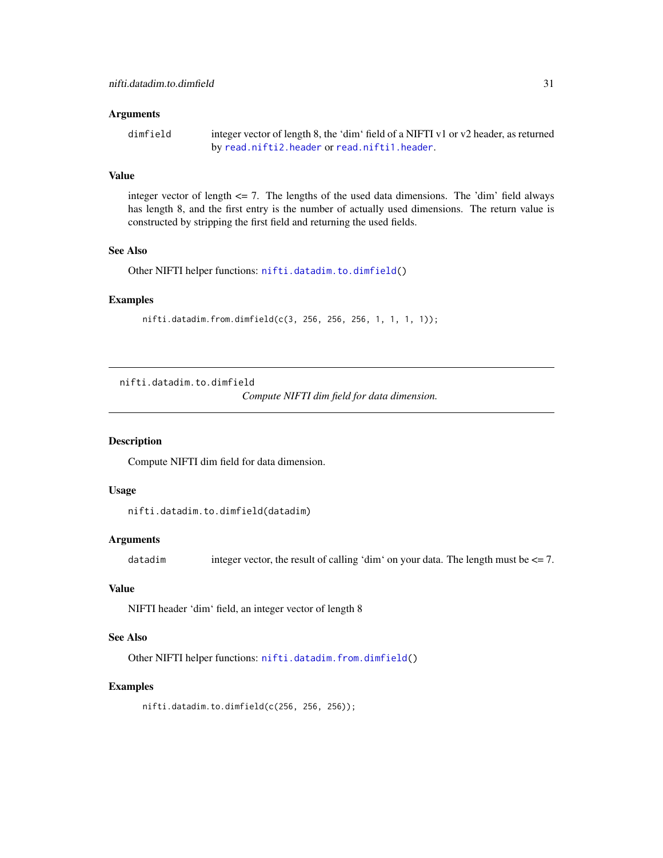#### <span id="page-30-0"></span>**Arguments**

```
dimfield integer vector of length 8, the 'dim' field of a NIFTI v1 or v2 header, as returned
                 by read.nifti2.header or read.nifti1.header.
```
# Value

integer vector of length  $\leq$  7. The lengths of the used data dimensions. The 'dim' field always has length 8, and the first entry is the number of actually used dimensions. The return value is constructed by stripping the first field and returning the used fields.

#### See Also

Other NIFTI helper functions: [nifti.datadim.to.dimfield\(](#page-30-1))

#### Examples

nifti.datadim.from.dimfield(c(3, 256, 256, 256, 1, 1, 1, 1));

<span id="page-30-1"></span>nifti.datadim.to.dimfield

*Compute NIFTI dim field for data dimension.*

# Description

Compute NIFTI dim field for data dimension.

# Usage

```
nifti.datadim.to.dimfield(datadim)
```
#### **Arguments**

datadim integer vector, the result of calling 'dim' on your data. The length must be  $\leq$  = 7.

#### Value

NIFTI header 'dim' field, an integer vector of length 8

# See Also

Other NIFTI helper functions: [nifti.datadim.from.dimfield\(](#page-29-2))

#### Examples

nifti.datadim.to.dimfield(c(256, 256, 256));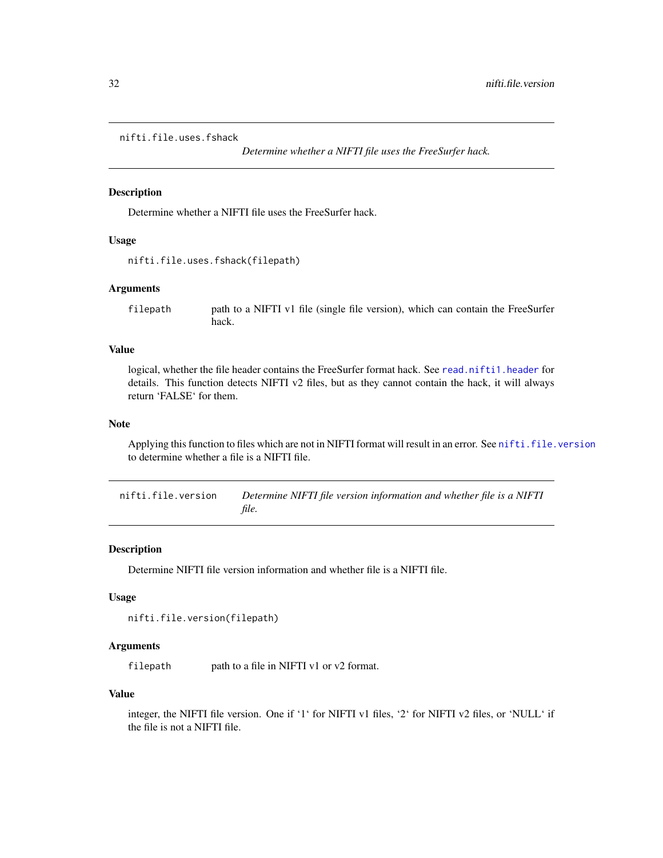# <span id="page-31-0"></span>nifti.file.uses.fshack

*Determine whether a NIFTI file uses the FreeSurfer hack.*

#### Description

Determine whether a NIFTI file uses the FreeSurfer hack.

#### Usage

```
nifti.file.uses.fshack(filepath)
```
#### Arguments

filepath path to a NIFTI v1 file (single file version), which can contain the FreeSurfer hack.

# Value

logical, whether the file header contains the FreeSurfer format hack. See [read.nifti1.header](#page-73-1) for details. This function detects NIFTI v2 files, but as they cannot contain the hack, it will always return 'FALSE' for them.

#### Note

Applying this function to files which are not in NIFTI format will result in an error. See [nifti.file.version](#page-31-1) to determine whether a file is a NIFTI file.

<span id="page-31-1"></span>nifti.file.version *Determine NIFTI file version information and whether file is a NIFTI file.*

# Description

Determine NIFTI file version information and whether file is a NIFTI file.

#### Usage

```
nifti.file.version(filepath)
```
#### Arguments

filepath path to a file in NIFTI v1 or v2 format.

#### Value

integer, the NIFTI file version. One if '1' for NIFTI v1 files, '2' for NIFTI v2 files, or 'NULL' if the file is not a NIFTI file.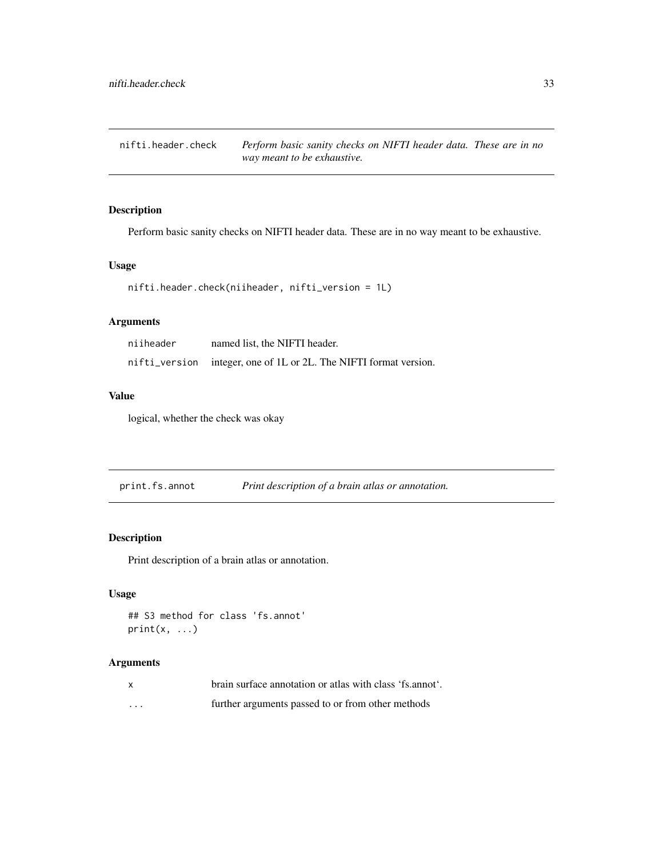<span id="page-32-0"></span>nifti.header.check *Perform basic sanity checks on NIFTI header data. These are in no way meant to be exhaustive.*

# Description

Perform basic sanity checks on NIFTI header data. These are in no way meant to be exhaustive.

#### Usage

```
nifti.header.check(niiheader, nifti_version = 1L)
```
# Arguments

| niiheader | named list, the NIFTI header.                                     |
|-----------|-------------------------------------------------------------------|
|           | nifti_version integer, one of 1L or 2L. The NIFTI format version. |

# Value

logical, whether the check was okay

print.fs.annot *Print description of a brain atlas or annotation.*

# Description

Print description of a brain atlas or annotation.

# Usage

```
## S3 method for class 'fs.annot'
print(x, \ldots)
```

| $\mathbf{x}$ | brain surface annotation or atlas with class 'fs.annot'. |
|--------------|----------------------------------------------------------|
| .            | further arguments passed to or from other methods        |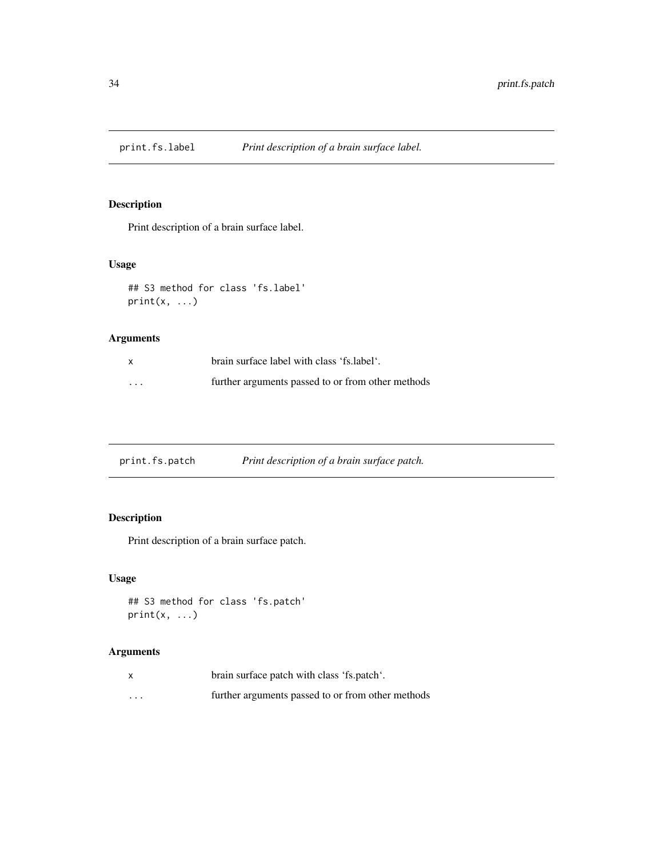<span id="page-33-0"></span>

Print description of a brain surface label.

# Usage

```
## S3 method for class 'fs.label'
print(x, \ldots)
```
# Arguments

|          | brain surface label with class 'fs.label'.        |
|----------|---------------------------------------------------|
| $\cdots$ | further arguments passed to or from other methods |

| print.fs.patch | Print description of a brain surface patch. |
|----------------|---------------------------------------------|
|                |                                             |

# Description

Print description of a brain surface patch.

# Usage

```
## S3 method for class 'fs.patch'
print(x, \ldots)
```

| x        | brain surface patch with class 'fs.patch'.        |
|----------|---------------------------------------------------|
| $\cdots$ | further arguments passed to or from other methods |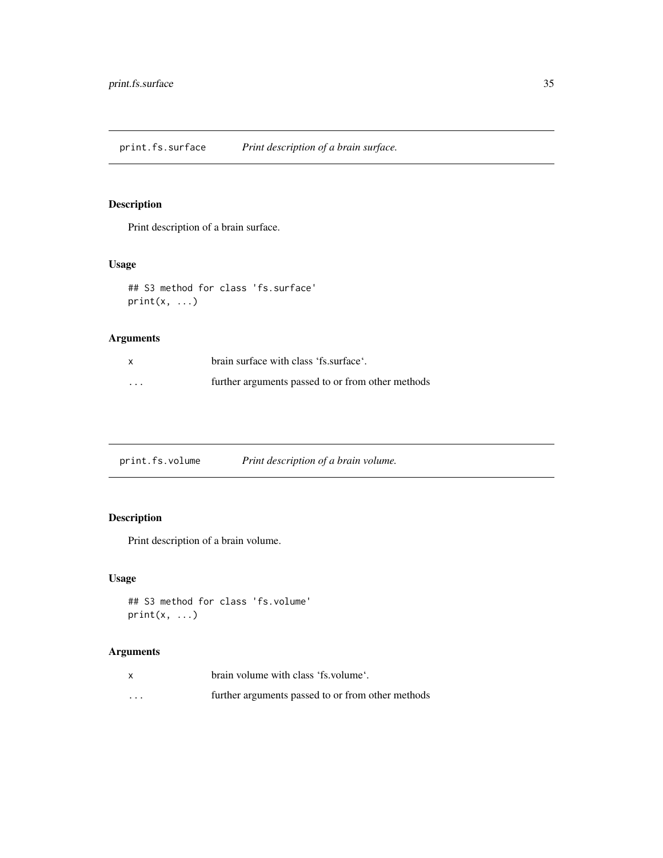<span id="page-34-0"></span>print.fs.surface *Print description of a brain surface.*

# Description

Print description of a brain surface.

# Usage

```
## S3 method for class 'fs.surface'
print(x, \ldots)
```
# Arguments

|          | brain surface with class 'fs.surface'.            |
|----------|---------------------------------------------------|
| $\cdots$ | further arguments passed to or from other methods |

print.fs.volume *Print description of a brain volume.*

# Description

Print description of a brain volume.

# Usage

```
## S3 method for class 'fs.volume'
print(x, \ldots)
```

|         | brain volume with class 'fs. volume'.             |
|---------|---------------------------------------------------|
| $\cdot$ | further arguments passed to or from other methods |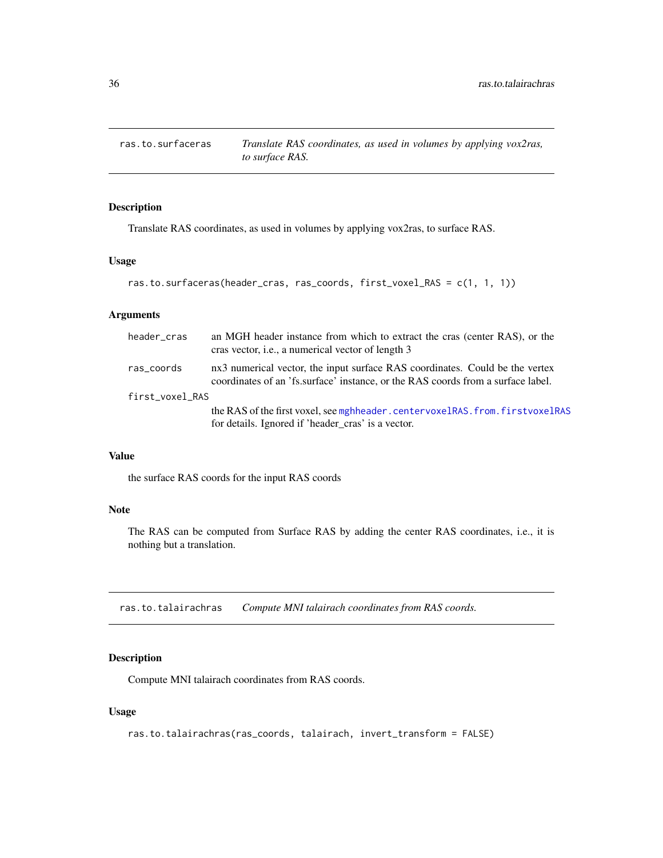<span id="page-35-0"></span>

Translate RAS coordinates, as used in volumes by applying vox2ras, to surface RAS.

# Usage

```
ras.to.surfaceras(header_cras, ras_coords, first_voxel_RAS = c(1, 1, 1))
```
# Arguments

| header cras     | an MGH header instance from which to extract the cras (center RAS), or the<br>cras vector, <i>i.e.</i> , a numerical vector of length 3                          |
|-----------------|------------------------------------------------------------------------------------------------------------------------------------------------------------------|
| ras_coords      | nx3 numerical vector, the input surface RAS coordinates. Could be the vertex<br>coordinates of an 'fs.surface' instance, or the RAS coords from a surface label. |
| first_voxel_RAS |                                                                                                                                                                  |
|                 | the RAS of the first voxel, see mghheader.centervoxelRAS.from.firstvoxelRAS<br>for details. Ignored if 'header_cras' is a vector.                                |

# Value

the surface RAS coords for the input RAS coords

# Note

The RAS can be computed from Surface RAS by adding the center RAS coordinates, i.e., it is nothing but a translation.

ras.to.talairachras *Compute MNI talairach coordinates from RAS coords.*

# Description

Compute MNI talairach coordinates from RAS coords.

#### Usage

```
ras.to.talairachras(ras_coords, talairach, invert_transform = FALSE)
```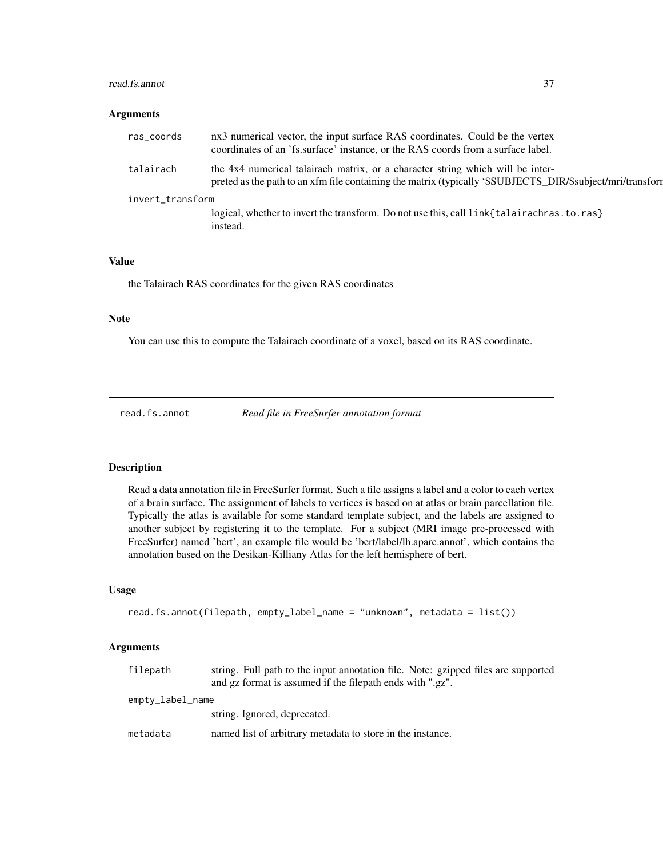#### read.fs.annot 37

#### Arguments

| ras_coords       | nx3 numerical vector, the input surface RAS coordinates. Could be the vertex<br>coordinates of an 'fs.surface' instance, or the RAS coords from a surface label.                             |  |
|------------------|----------------------------------------------------------------------------------------------------------------------------------------------------------------------------------------------|--|
| talairach        | the 4x4 numerical talairach matrix, or a character string which will be inter-<br>preted as the path to an xfm file containing the matrix (typically '\$SUBJECTS_DIR/\$subject/mri/transform |  |
| invert_transform |                                                                                                                                                                                              |  |
|                  | logical, whether to invert the transform. Do not use this, call $link{t}$ alair achras. to. ras $\}$<br>instead.                                                                             |  |

# Value

the Talairach RAS coordinates for the given RAS coordinates

## Note

You can use this to compute the Talairach coordinate of a voxel, based on its RAS coordinate.

<span id="page-36-0"></span>read.fs.annot *Read file in FreeSurfer annotation format*

# Description

Read a data annotation file in FreeSurfer format. Such a file assigns a label and a color to each vertex of a brain surface. The assignment of labels to vertices is based on at atlas or brain parcellation file. Typically the atlas is available for some standard template subject, and the labels are assigned to another subject by registering it to the template. For a subject (MRI image pre-processed with FreeSurfer) named 'bert', an example file would be 'bert/label/lh.aparc.annot', which contains the annotation based on the Desikan-Killiany Atlas for the left hemisphere of bert.

# Usage

```
read.fs.annot(filepath, empty_label_name = "unknown", metadata = list())
```
# Arguments

| filepath         | string. Full path to the input annotation file. Note: gzipped files are supported<br>and gz format is assumed if the filepath ends with ".gz". |
|------------------|------------------------------------------------------------------------------------------------------------------------------------------------|
| empty_label_name |                                                                                                                                                |
|                  | string. Ignored, deprecated.                                                                                                                   |
| metadata         | named list of arbitrary metadata to store in the instance.                                                                                     |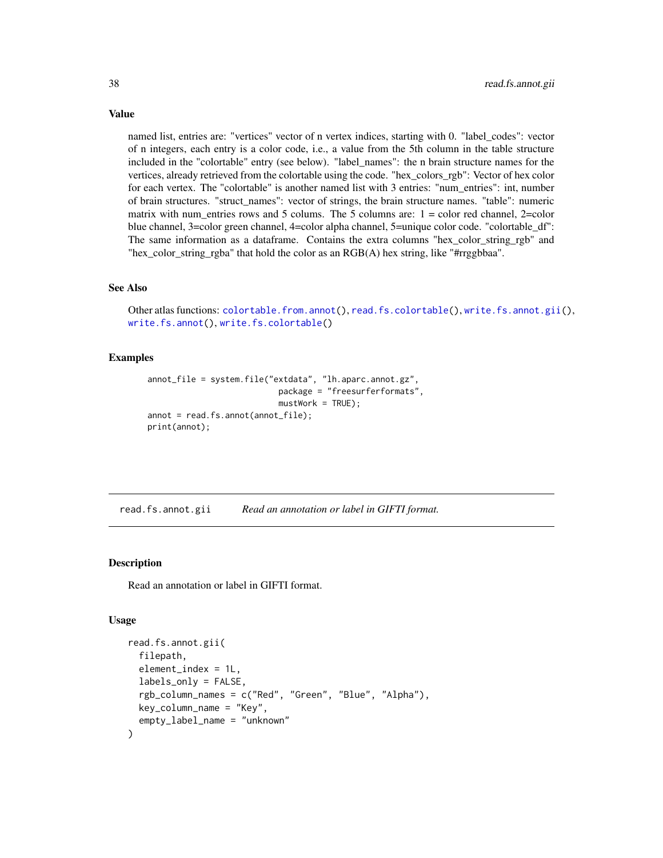named list, entries are: "vertices" vector of n vertex indices, starting with 0. "label\_codes": vector of n integers, each entry is a color code, i.e., a value from the 5th column in the table structure included in the "colortable" entry (see below). "label\_names": the n brain structure names for the vertices, already retrieved from the colortable using the code. "hex\_colors\_rgb": Vector of hex color for each vertex. The "colortable" is another named list with 3 entries: "num\_entries": int, number of brain structures. "struct\_names": vector of strings, the brain structure names. "table": numeric matrix with num\_entries rows and 5 colums. The 5 columns are:  $1 =$  color red channel, 2=color blue channel, 3=color green channel, 4=color alpha channel, 5=unique color code. "colortable\_df": The same information as a dataframe. Contains the extra columns "hex\_color\_string\_rgb" and "hex\_color\_string\_rgba" that hold the color as an RGB(A) hex string, like "#rrggbbaa".

#### See Also

Other atlas functions: [colortable.from.annot\(](#page-5-0)), [read.fs.colortable\(](#page-38-0)), [write.fs.annot.gii\(](#page-86-0)), [write.fs.annot\(](#page-84-0)), [write.fs.colortable\(](#page-87-0))

## Examples

```
annot_file = system.file("extdata", "lh.aparc.annot.gz",
                           package = "freesurferformats",
                           mustWork = TRUE);
annot = read.fs.annot(annot_file);
print(annot);
```
<span id="page-37-0"></span>read.fs.annot.gii *Read an annotation or label in GIFTI format.*

#### Description

Read an annotation or label in GIFTI format.

#### Usage

```
read.fs.annot.gii(
  filepath,
  element_index = 1L,
  labels_only = FALSE,
  rgb_column_names = c("Red", "Green", "Blue", "Alpha"),
  key_column_name = "Key",
  empty_label_name = "unknown"
)
```
# Value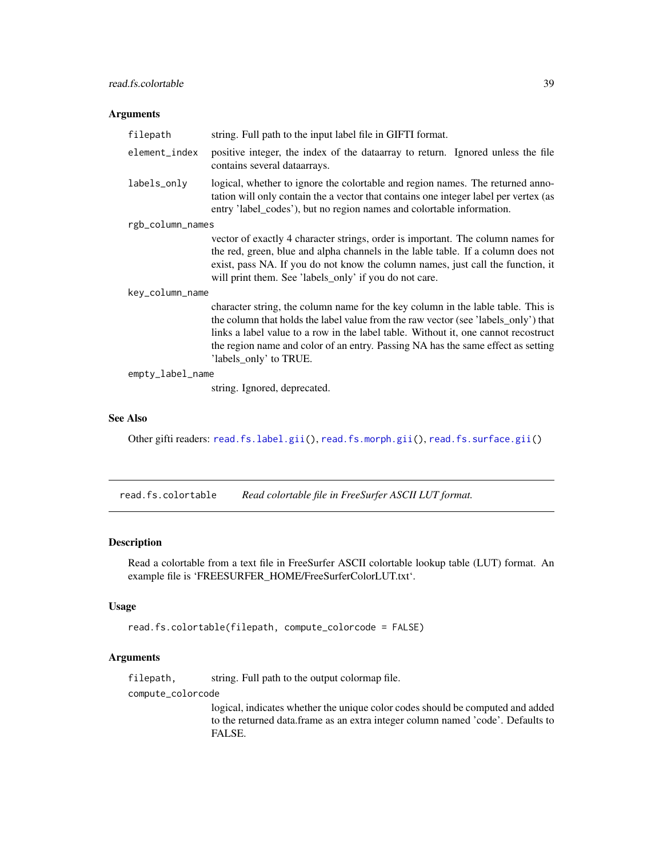# Arguments

| filepath         | string. Full path to the input label file in GIFTI format.                                                                                                                                                                                                                                                                                                                 |  |
|------------------|----------------------------------------------------------------------------------------------------------------------------------------------------------------------------------------------------------------------------------------------------------------------------------------------------------------------------------------------------------------------------|--|
| element_index    | positive integer, the index of the data array to return. Ignored unless the file<br>contains several dataarrays.                                                                                                                                                                                                                                                           |  |
| labels_only      | logical, whether to ignore the colortable and region names. The returned anno-<br>tation will only contain the a vector that contains one integer label per vertex (as<br>entry 'label_codes'), but no region names and colortable information.                                                                                                                            |  |
| rgb_column_names |                                                                                                                                                                                                                                                                                                                                                                            |  |
|                  | vector of exactly 4 character strings, order is important. The column names for<br>the red, green, blue and alpha channels in the lable table. If a column does not<br>exist, pass NA. If you do not know the column names, just call the function, it<br>will print them. See 'labels_only' if you do not care.                                                           |  |
| key_column_name  |                                                                                                                                                                                                                                                                                                                                                                            |  |
|                  | character string, the column name for the key column in the lable table. This is<br>the column that holds the label value from the raw vector (see 'labels_only') that<br>links a label value to a row in the label table. Without it, one cannot recostruct<br>the region name and color of an entry. Passing NA has the same effect as setting<br>'labels_only' to TRUE. |  |
| empty_label_name |                                                                                                                                                                                                                                                                                                                                                                            |  |
|                  | string. Ignored, deprecated.                                                                                                                                                                                                                                                                                                                                               |  |

# See Also

Other gifti readers: [read.fs.label.gii\(](#page-41-0)), [read.fs.morph.gii\(](#page-49-0)), [read.fs.surface.gii\(](#page-57-0))

<span id="page-38-0"></span>read.fs.colortable *Read colortable file in FreeSurfer ASCII LUT format.*

# Description

Read a colortable from a text file in FreeSurfer ASCII colortable lookup table (LUT) format. An example file is 'FREESURFER\_HOME/FreeSurferColorLUT.txt'.

# Usage

```
read.fs.colortable(filepath, compute_colorcode = FALSE)
```
#### Arguments

filepath, string. Full path to the output colormap file.

compute\_colorcode

logical, indicates whether the unique color codes should be computed and added to the returned data.frame as an extra integer column named 'code'. Defaults to FALSE.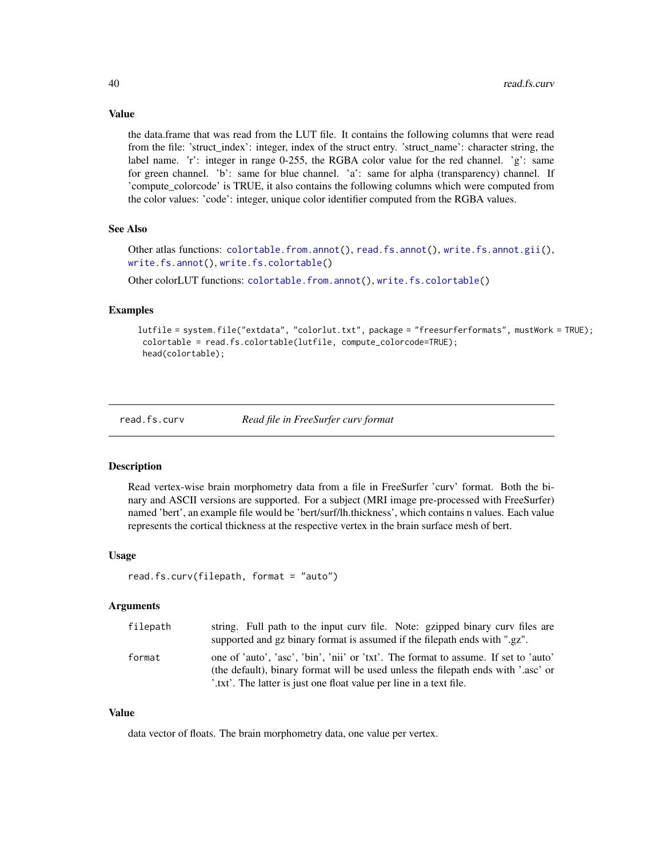Value

the data.frame that was read from the LUT file. It contains the following columns that were read from the file: 'struct\_index': integer, index of the struct entry. 'struct\_name': character string, the label name. 'r': integer in range 0-255, the RGBA color value for the red channel. 'g': same for green channel. 'b': same for blue channel. 'a': same for alpha (transparency) channel. If 'compute\_colorcode' is TRUE, it also contains the following columns which were computed from the color values: 'code': integer, unique color identifier computed from the RGBA values.

#### See Also

Other atlas functions: [colortable.from.annot\(](#page-5-0)), [read.fs.annot\(](#page-36-0)), [write.fs.annot.gii\(](#page-86-0)), [write.fs.annot\(](#page-84-0)), [write.fs.colortable\(](#page-87-0))

Other colorLUT functions: [colortable.from.annot\(](#page-5-0)), [write.fs.colortable\(](#page-87-0))

# Examples

lutfile = system.file("extdata", "colorlut.txt", package = "freesurferformats", mustWork = TRUE); colortable = read.fs.colortable(lutfile, compute\_colorcode=TRUE); head(colortable);

<span id="page-39-0"></span>

read.fs.curv *Read file in FreeSurfer curv format*

#### **Description**

Read vertex-wise brain morphometry data from a file in FreeSurfer 'curv' format. Both the binary and ASCII versions are supported. For a subject (MRI image pre-processed with FreeSurfer) named 'bert', an example file would be 'bert/surf/lh.thickness', which contains n values. Each value represents the cortical thickness at the respective vertex in the brain surface mesh of bert.

#### Usage

```
read.fs.curv(filepath, format = "auto")
```
#### Arguments

| filepath | string. Full path to the input curv file. Note: gzipped binary curv files are       |
|----------|-------------------------------------------------------------------------------------|
|          | supported and gz binary format is assumed if the filepath ends with ".gz".          |
| format   | one of 'auto', 'asc', 'bin', 'nii' or 'txt'. The format to assume. If set to 'auto' |
|          | (the default), binary format will be used unless the filepath ends with '.asc' or   |
|          | '.txt'. The latter is just one float value per line in a text file.                 |

## Value

data vector of floats. The brain morphometry data, one value per vertex.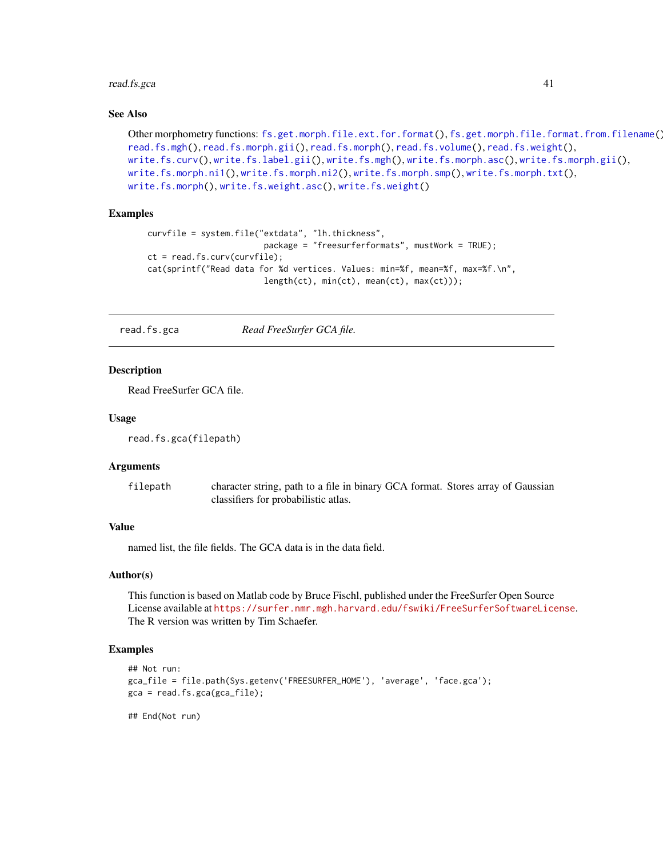#### read.fs.gca 41

## See Also

```
Other morphometry functions: fs.get.morph.file.ext.for.format(), fs.get.morph.file.format.from.filename(),
read.fs.mgh(), read.fs.morph.gii(), read.fs.morph(), read.fs.volume(), read.fs.weight(),
write.fs.curv(), write.fs.label.gii(), write.fs.mgh(), write.fs.morph.asc(), write.fs.morph.gii(),
write.fs.morph.ni1(), write.fs.morph.ni2(), write.fs.morph.smp(), write.fs.morph.txt(),
write.fs.morph(), write.fs.weight.asc(), write.fs.weight()
```
# Examples

```
curvfile = system.file("extdata", "lh.thickness",
                        package = "freesurferformats", mustWork = TRUE);
ct = read.fs.curv(curvfile);
cat(sprintf("Read data for %d vertices. Values: min=%f, mean=%f, max=%f.\n",
                        length(ct), min(ct), mean(ct), max(ct)));
```
read.fs.gca *Read FreeSurfer GCA file.*

### Description

Read FreeSurfer GCA file.

#### Usage

```
read.fs.gca(filepath)
```
#### Arguments

filepath character string, path to a file in binary GCA format. Stores array of Gaussian classifiers for probabilistic atlas.

# Value

named list, the file fields. The GCA data is in the data field.

### Author(s)

This function is based on Matlab code by Bruce Fischl, published under the FreeSurfer Open Source License available at <https://surfer.nmr.mgh.harvard.edu/fswiki/FreeSurferSoftwareLicense>. The R version was written by Tim Schaefer.

# Examples

```
## Not run:
gca_file = file.path(Sys.getenv('FREESURFER_HOME'), 'average', 'face.gca');
gca = read.fs.gca(gca_file);
```
## End(Not run)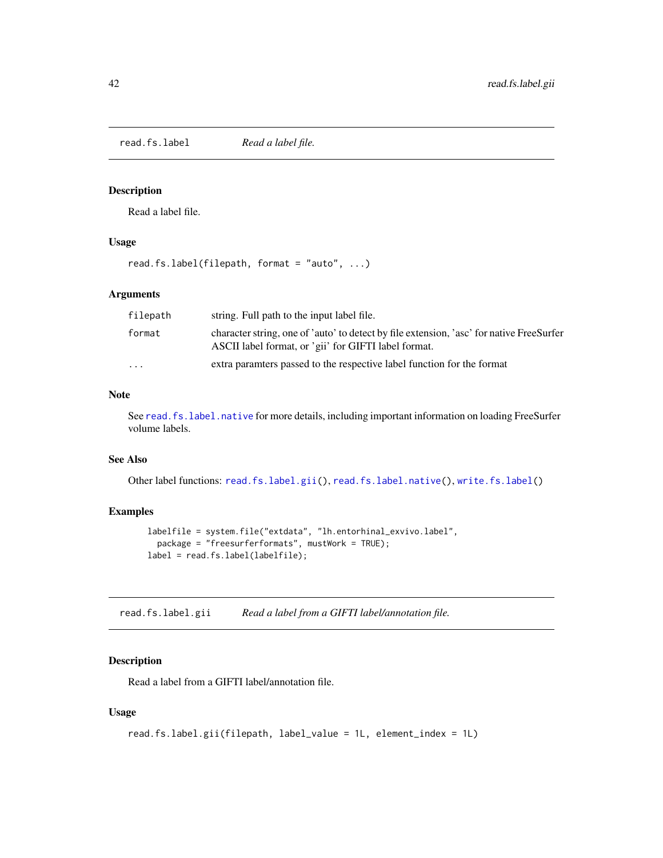<span id="page-41-1"></span>read.fs.label *Read a label file.*

# Description

Read a label file.

### Usage

read.fs.label(filepath, format = "auto", ...)

### Arguments

| filepath                | string. Full path to the input label file.                                                                                                       |
|-------------------------|--------------------------------------------------------------------------------------------------------------------------------------------------|
| format                  | character string, one of 'auto' to detect by file extension, 'asc' for native FreeSurfer<br>ASCII label format, or 'gii' for GIFTI label format. |
| $\cdot$ $\cdot$ $\cdot$ | extra paramters passed to the respective label function for the format                                                                           |

# Note

See [read.fs.label.native](#page-42-0) for more details, including important information on loading FreeSurfer volume labels.

# See Also

Other label functions: [read.fs.label.gii\(](#page-41-0)), [read.fs.label.native\(](#page-42-0)), [write.fs.label\(](#page-88-1))

# Examples

```
labelfile = system.file("extdata", "lh.entorhinal_exvivo.label",
  package = "freesurferformats", mustWork = TRUE);
label = read.fs.label(labelfile);
```
<span id="page-41-0"></span>read.fs.label.gii *Read a label from a GIFTI label/annotation file.*

# Description

Read a label from a GIFTI label/annotation file.

# Usage

```
read.fs.label.gii(filepath, label_value = 1L, element_index = 1L)
```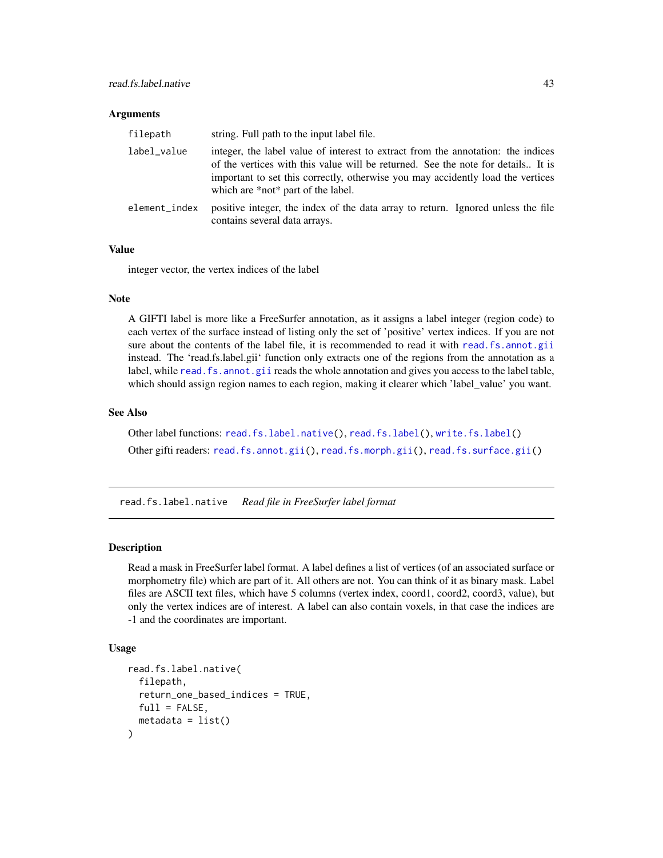#### **Arguments**

| filepath      | string. Full path to the input label file.                                                                                                                                                                                                                                                    |
|---------------|-----------------------------------------------------------------------------------------------------------------------------------------------------------------------------------------------------------------------------------------------------------------------------------------------|
| label value   | integer, the label value of interest to extract from the annotation: the indices<br>of the vertices with this value will be returned. See the note for details It is<br>important to set this correctly, otherwise you may accidently load the vertices<br>which are *not* part of the label. |
| element_index | positive integer, the index of the data array to return. Ignored unless the file<br>contains several data arrays.                                                                                                                                                                             |

# Value

integer vector, the vertex indices of the label

#### Note

A GIFTI label is more like a FreeSurfer annotation, as it assigns a label integer (region code) to each vertex of the surface instead of listing only the set of 'positive' vertex indices. If you are not sure about the contents of the label file, it is recommended to read it with [read.fs.annot.gii](#page-37-0) instead. The 'read.fs.label.gii' function only extracts one of the regions from the annotation as a label, while read. fs. annot.gii reads the whole annotation and gives you access to the label table, which should assign region names to each region, making it clearer which 'label\_value' you want.

#### See Also

Other label functions: [read.fs.label.native\(](#page-42-0)), [read.fs.label\(](#page-41-1)), [write.fs.label\(](#page-88-1)) Other gifti readers: [read.fs.annot.gii\(](#page-37-0)), [read.fs.morph.gii\(](#page-49-0)), [read.fs.surface.gii\(](#page-57-0))

<span id="page-42-0"></span>read.fs.label.native *Read file in FreeSurfer label format*

## Description

Read a mask in FreeSurfer label format. A label defines a list of vertices (of an associated surface or morphometry file) which are part of it. All others are not. You can think of it as binary mask. Label files are ASCII text files, which have 5 columns (vertex index, coord1, coord2, coord3, value), but only the vertex indices are of interest. A label can also contain voxels, in that case the indices are -1 and the coordinates are important.

# Usage

```
read.fs.label.native(
  filepath,
  return_one_based_indices = TRUE,
 full = FALSE,metadata = list())
```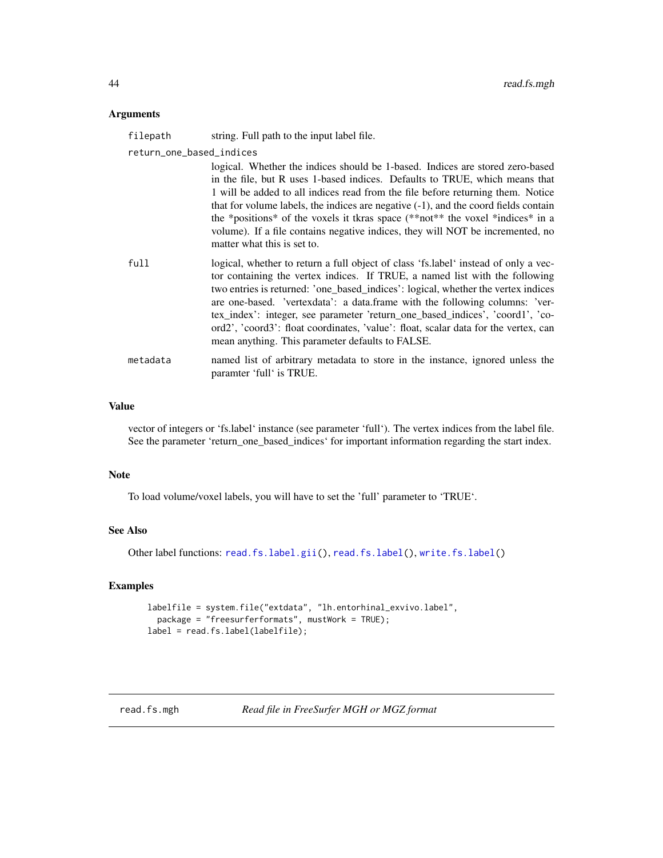### Arguments

| filepath                 | string. Full path to the input label file.                                                                                                                                                                                                                                                                                                                                                                                                                                                                                                                                                        |
|--------------------------|---------------------------------------------------------------------------------------------------------------------------------------------------------------------------------------------------------------------------------------------------------------------------------------------------------------------------------------------------------------------------------------------------------------------------------------------------------------------------------------------------------------------------------------------------------------------------------------------------|
| return_one_based_indices | logical. Whether the indices should be 1-based. Indices are stored zero-based<br>in the file, but R uses 1-based indices. Defaults to TRUE, which means that<br>1 will be added to all indices read from the file before returning them. Notice<br>that for volume labels, the indices are negative $(-1)$ , and the coord fields contain<br>the *positions* of the voxels it tkras space (**not** the voxel *indices* in a<br>volume). If a file contains negative indices, they will NOT be incremented, no                                                                                     |
| full                     | matter what this is set to.<br>logical, whether to return a full object of class 'fs.label' instead of only a vec-<br>tor containing the vertex indices. If TRUE, a named list with the following<br>two entries is returned: 'one_based_indices': logical, whether the vertex indices<br>are one-based. 'vertexdata': a data.frame with the following columns: 'ver-<br>tex_index': integer, see parameter 'return_one_based_indices', 'coord1', 'co-<br>ord2', 'coord3': float coordinates, 'value': float, scalar data for the vertex, can<br>mean anything. This parameter defaults to FALSE. |
| metadata                 | named list of arbitrary metadata to store in the instance, ignored unless the<br>paramter 'full' is TRUE.                                                                                                                                                                                                                                                                                                                                                                                                                                                                                         |

## Value

vector of integers or 'fs.label' instance (see parameter 'full'). The vertex indices from the label file. See the parameter 'return\_one\_based\_indices' for important information regarding the start index.

#### Note

To load volume/voxel labels, you will have to set the 'full' parameter to 'TRUE'.

# See Also

```
Other label functions: read.fs.label.gii(), read.fs.label(), write.fs.label()
```

```
labelfile = system.file("extdata", "lh.entorhinal_exvivo.label",
  package = "freesurferformats", mustWork = TRUE);
label = read.fs.label(labelfile);
```
<span id="page-43-0"></span>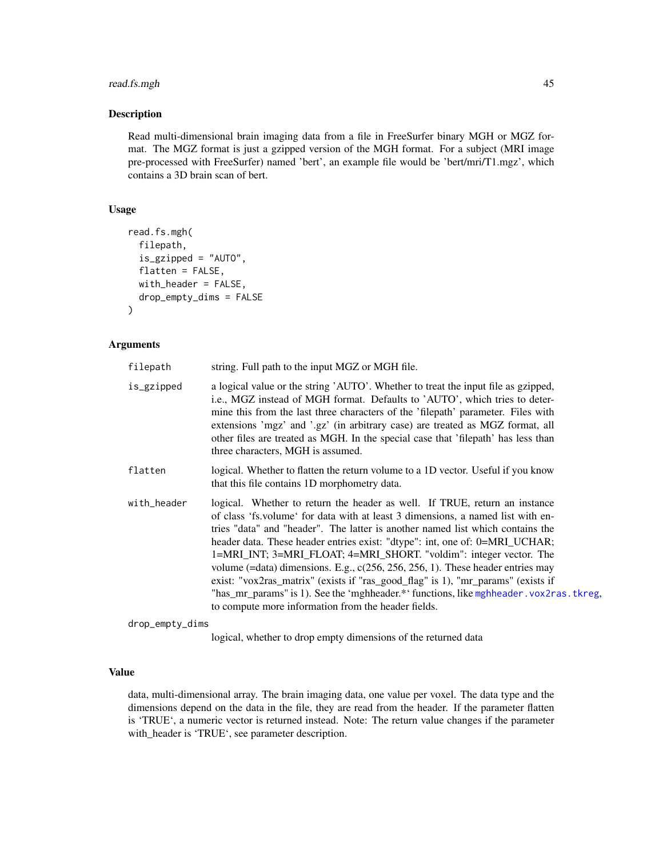# read.fs.mgh 45

### Description

Read multi-dimensional brain imaging data from a file in FreeSurfer binary MGH or MGZ format. The MGZ format is just a gzipped version of the MGH format. For a subject (MRI image pre-processed with FreeSurfer) named 'bert', an example file would be 'bert/mri/T1.mgz', which contains a 3D brain scan of bert.

# Usage

```
read.fs.mgh(
  filepath,
  is_gzipped = "AUTO",
  flatten = FALSE,
 with_header = FALSE,
  drop_empty_dims = FALSE
)
```
# Arguments

| filepath    | string. Full path to the input MGZ or MGH file.                                                                                                                                                                                                                                                                                                                                                                                                                                                                                                                                                                                                                                                                                  |
|-------------|----------------------------------------------------------------------------------------------------------------------------------------------------------------------------------------------------------------------------------------------------------------------------------------------------------------------------------------------------------------------------------------------------------------------------------------------------------------------------------------------------------------------------------------------------------------------------------------------------------------------------------------------------------------------------------------------------------------------------------|
| is_gzipped  | a logical value or the string 'AUTO'. Whether to treat the input file as gzipped,<br>i.e., MGZ instead of MGH format. Defaults to 'AUTO', which tries to deter-<br>mine this from the last three characters of the 'filepath' parameter. Files with<br>extensions 'mgz' and '.gz' (in arbitrary case) are treated as MGZ format, all<br>other files are treated as MGH. In the special case that 'filepath' has less than<br>three characters, MGH is assumed.                                                                                                                                                                                                                                                                   |
| flatten     | logical. Whether to flatten the return volume to a 1D vector. Useful if you know<br>that this file contains 1D morphometry data.                                                                                                                                                                                                                                                                                                                                                                                                                                                                                                                                                                                                 |
| with_header | logical. Whether to return the header as well. If TRUE, return an instance<br>of class 'fs. volume' for data with at least 3 dimensions, a named list with en-<br>tries "data" and "header". The latter is another named list which contains the<br>header data. These header entries exist: "dtype": int, one of: 0=MRI_UCHAR;<br>1=MRI_INT; 3=MRI_FLOAT; 4=MRI_SHORT. "voldim": integer vector. The<br>volume (=data) dimensions. E.g., $c(256, 256, 256, 1)$ . These header entries may<br>exist: "vox2ras_matrix" (exists if "ras_good_flag" is 1), "mr_params" (exists if<br>"has_mr_params" is 1). See the 'mghheader.*' functions, like mghheader. vox2ras. tkreg,<br>to compute more information from the header fields. |

drop\_empty\_dims

logical, whether to drop empty dimensions of the returned data

# Value

data, multi-dimensional array. The brain imaging data, one value per voxel. The data type and the dimensions depend on the data in the file, they are read from the header. If the parameter flatten is 'TRUE', a numeric vector is returned instead. Note: The return value changes if the parameter with\_header is 'TRUE', see parameter description.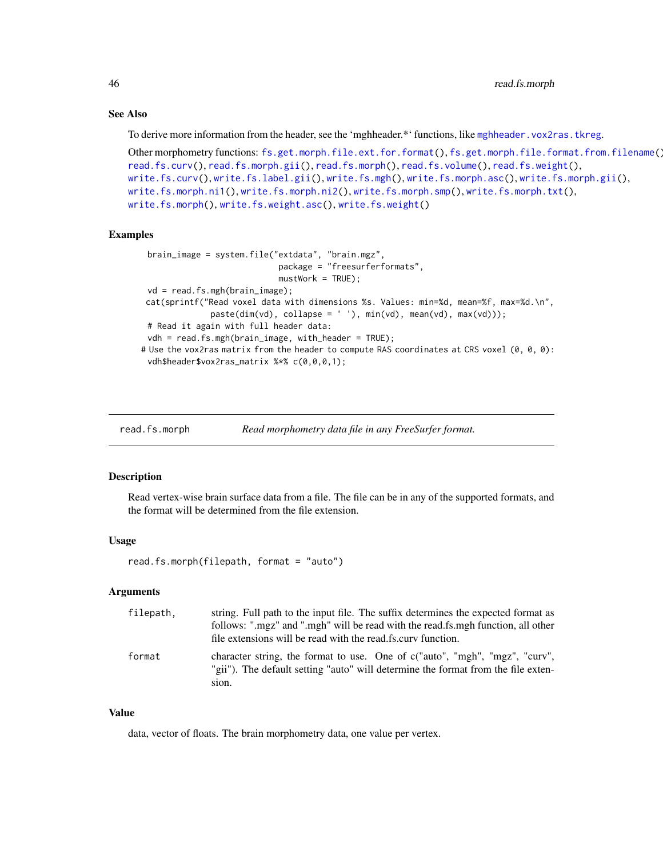# See Also

To derive more information from the header, see the 'mghheader.\*' functions, like [mghheader.vox2ras.tkreg](#page-26-0).

```
Other morphometry functions: fs.get.morph.file.ext.for.format(), fs.get.morph.file.format.from.filename(),
read.fs.curv(), read.fs.morph.gii(), read.fs.morph(), read.fs.volume(), read.fs.weight(),
write.fs.curv(), write.fs.label.gii(), write.fs.mgh(), write.fs.morph.asc(), write.fs.morph.gii(),
write.fs.morph.ni1(), write.fs.morph.ni2(), write.fs.morph.smp(), write.fs.morph.txt(),
write.fs.morph(), write.fs.weight.asc(), write.fs.weight()
```
### Examples

```
brain_image = system.file("extdata", "brain.mgz",
                            package = "freesurferformats",
                            mustWork = TRUE);
 vd = read.fs.mgh(brain_image);
cat(sprintf("Read voxel data with dimensions %s. Values: min=%d, mean=%f, max=%d.\n",
              pastedim(vd), collapse = ' '), min(vd), mean(vd), max(vd));
 # Read it again with full header data:
 vdh = read.fs.mgh(brain_image, with_header = TRUE);
# Use the vox2ras matrix from the header to compute RAS coordinates at CRS voxel (0, 0, 0):
 vdh$header$vox2ras_matrix %*% c(0,0,0,1);
```
<span id="page-45-0"></span>read.fs.morph *Read morphometry data file in any FreeSurfer format.* 

## Description

Read vertex-wise brain surface data from a file. The file can be in any of the supported formats, and the format will be determined from the file extension.

## Usage

read.fs.morph(filepath, format = "auto")

#### Arguments

| filepath, | string. Full path to the input file. The suffix determines the expected format as<br>follows: ".mgz" and ".mgh" will be read with the read.fs.mgh function, all other<br>file extensions will be read with the read fs.curv function. |
|-----------|---------------------------------------------------------------------------------------------------------------------------------------------------------------------------------------------------------------------------------------|
| format    | character string, the format to use. One of c("auto", "mgh", "mgz", "curv",<br>"gii"). The default setting "auto" will determine the format from the file exten-<br>sion.                                                             |

# Value

data, vector of floats. The brain morphometry data, one value per vertex.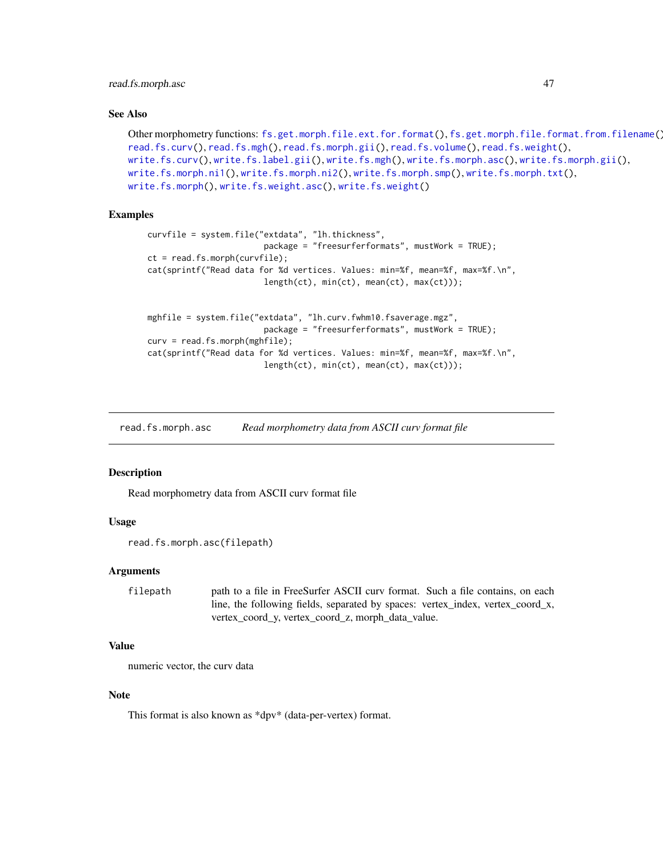# read.fs.morph.asc 47

### See Also

```
Other morphometry functions: fs.get.morph.file.ext.for.format(), fs.get.morph.file.format.from.filename(),
read.fs.curv(), read.fs.mgh(), read.fs.morph.gii(), read.fs.volume(), read.fs.weight(),
write.fs.curv(), write.fs.label.gii(), write.fs.mgh(), write.fs.morph.asc(), write.fs.morph.gii(),
write.fs.morph.ni1(), write.fs.morph.ni2(), write.fs.morph.smp(), write.fs.morph.txt(),
write.fs.morph(), write.fs.weight.asc(), write.fs.weight()
```
# Examples

```
curvfile = system.file("extdata", "lh.thickness",
                        package = "freesurferformats", mustWork = TRUE);
ct = read.fs.morph(curvfile);
cat(sprintf("Read data for %d vertices. Values: min=%f, mean=%f, max=%f.\n",
                        length(ct), min(ct), mean(ct), max(ct)));
mghfile = system.file("extdata", "lh.curv.fwhm10.fsaverage.mgz",
                        package = "freesurferformats", mustWork = TRUE);
curv = read.fs.morph(mghfile);
cat(sprintf("Read data for %d vertices. Values: min=%f, mean=%f, max=%f.\n",
                        length(ct), min(ct), mean(ct), max(ct)));
```
read.fs.morph.asc *Read morphometry data from ASCII curv format file*

## Description

Read morphometry data from ASCII curv format file

# Usage

```
read.fs.morph.asc(filepath)
```
#### Arguments

filepath path to a file in FreeSurfer ASCII curv format. Such a file contains, on each line, the following fields, separated by spaces: vertex\_index, vertex\_coord\_x, vertex\_coord\_y, vertex\_coord\_z, morph\_data\_value.

# Value

numeric vector, the curv data

# Note

This format is also known as \*dpv\* (data-per-vertex) format.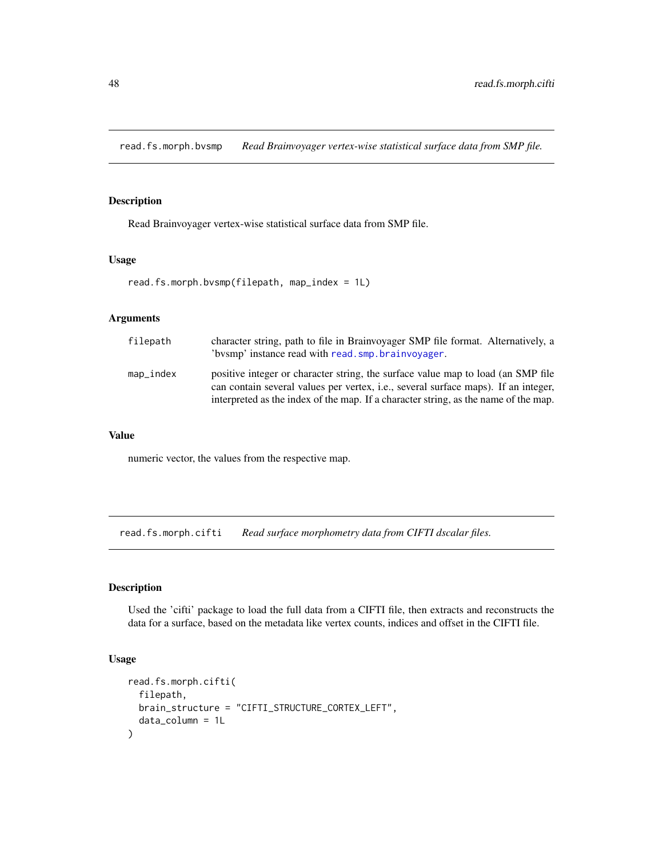read.fs.morph.bvsmp *Read Brainvoyager vertex-wise statistical surface data from SMP file.*

# Description

Read Brainvoyager vertex-wise statistical surface data from SMP file.

#### Usage

read.fs.morph.bvsmp(filepath, map\_index = 1L)

# Arguments

| filepath  | character string, path to file in Brainvoyager SMP file format. Alternatively, a<br>'bysmp' instance read with read. smp. brainvoyager.                                                                                                                       |
|-----------|---------------------------------------------------------------------------------------------------------------------------------------------------------------------------------------------------------------------------------------------------------------|
| map_index | positive integer or character string, the surface value map to load (an SMP file<br>can contain several values per vertex, i.e., several surface maps). If an integer,<br>interpreted as the index of the map. If a character string, as the name of the map. |

## Value

numeric vector, the values from the respective map.

read.fs.morph.cifti *Read surface morphometry data from CIFTI dscalar files.*

# Description

Used the 'cifti' package to load the full data from a CIFTI file, then extracts and reconstructs the data for a surface, based on the metadata like vertex counts, indices and offset in the CIFTI file.

## Usage

```
read.fs.morph.cifti(
  filepath,
 brain_structure = "CIFTI_STRUCTURE_CORTEX_LEFT",
  data_column = 1L
)
```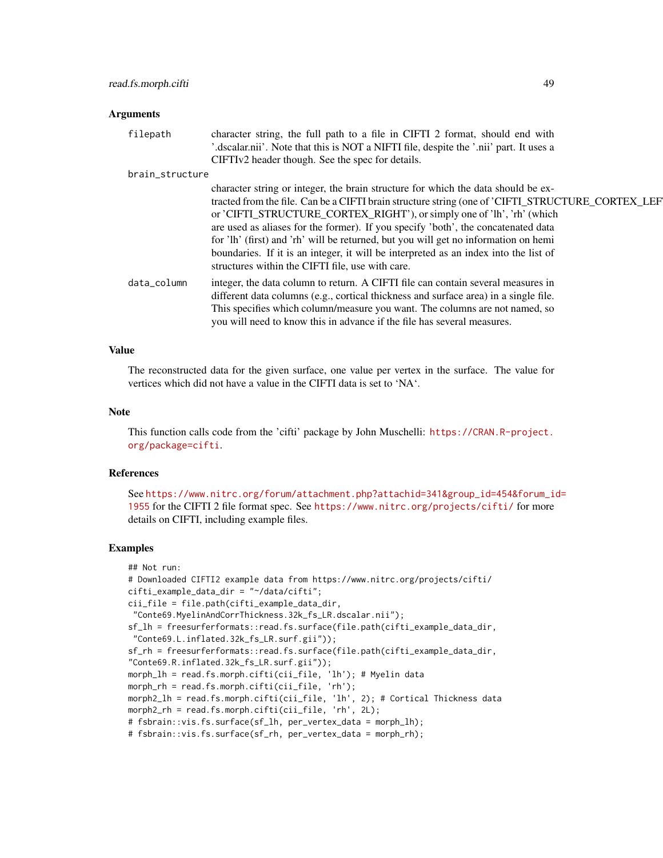#### Arguments

| filepath        | character string, the full path to a file in CIFTI 2 format, should end with<br>'.dscalar.nii'. Note that this is NOT a NIFTI file, despite the '.nii' part. It uses a<br>CIFTIv2 header though. See the spec for details.                                                                                                                                                                                                                                                                                                                                                              |
|-----------------|-----------------------------------------------------------------------------------------------------------------------------------------------------------------------------------------------------------------------------------------------------------------------------------------------------------------------------------------------------------------------------------------------------------------------------------------------------------------------------------------------------------------------------------------------------------------------------------------|
| brain_structure |                                                                                                                                                                                                                                                                                                                                                                                                                                                                                                                                                                                         |
|                 | character string or integer, the brain structure for which the data should be ex-<br>tracted from the file. Can be a CIFTI brain structure string (one of 'CIFTI_STRUCTURE_CORTEX_LEF<br>or 'CIFTI_STRUCTURE_CORTEX_RIGHT'), or simply one of 'lh', 'rh' (which<br>are used as aliases for the former). If you specify 'both', the concatenated data<br>for 'lh' (first) and 'rh' will be returned, but you will get no information on hemi<br>boundaries. If it is an integer, it will be interpreted as an index into the list of<br>structures within the CIFTI file, use with care. |
| data_column     | integer, the data column to return. A CIFTI file can contain several measures in<br>different data columns (e.g., cortical thickness and surface area) in a single file.<br>This specifies which column/measure you want. The columns are not named, so<br>you will need to know this in advance if the file has several measures.                                                                                                                                                                                                                                                      |

#### Value

The reconstructed data for the given surface, one value per vertex in the surface. The value for vertices which did not have a value in the CIFTI data is set to 'NA'.

#### Note

This function calls code from the 'cifti' package by John Muschelli: [https://CRAN.R-project.](https://CRAN.R-project.org/package=cifti) [org/package=cifti](https://CRAN.R-project.org/package=cifti).

## References

See [https://www.nitrc.org/forum/attachment.php?attachid=341&group\\_id=454&forum\\_i](https://www.nitrc.org/forum/attachment.php?attachid=341&group_id=454&forum_id=1955)d= [1955](https://www.nitrc.org/forum/attachment.php?attachid=341&group_id=454&forum_id=1955) for the CIFTI 2 file format spec. See <https://www.nitrc.org/projects/cifti/> for more details on CIFTI, including example files.

```
## Not run:
# Downloaded CIFTI2 example data from https://www.nitrc.org/projects/cifti/
cifti_example_data_dir = "~/data/cifti";
cii_file = file.path(cifti_example_data_dir,
"Conte69.MyelinAndCorrThickness.32k_fs_LR.dscalar.nii");
sf_lh = freesurferformats::read.fs.surface(file.path(cifti_example_data_dir,
"Conte69.L.inflated.32k_fs_LR.surf.gii"));
sf_rh = freesurferformats::read.fs.surface(file.path(cifti_example_data_dir,
"Conte69.R.inflated.32k_fs_LR.surf.gii"));
morph_lh = read.fs.morph.cifti(cii_file, 'lh'); # Myelin data
morph_rh = read.fs.morph.cifti(cii_file, 'rh');
morph2_lh = read.fs.morph.cifti(cii_file, 'lh', 2); # Cortical Thickness data
morph2_rh = read.fs.morph.cifti(cii_file, 'rh', 2L);
# fsbrain::vis.fs.surface(sf_lh, per_vertex_data = morph_lh);
# fsbrain::vis.fs.surface(sf_rh, per_vertex_data = morph_rh);
```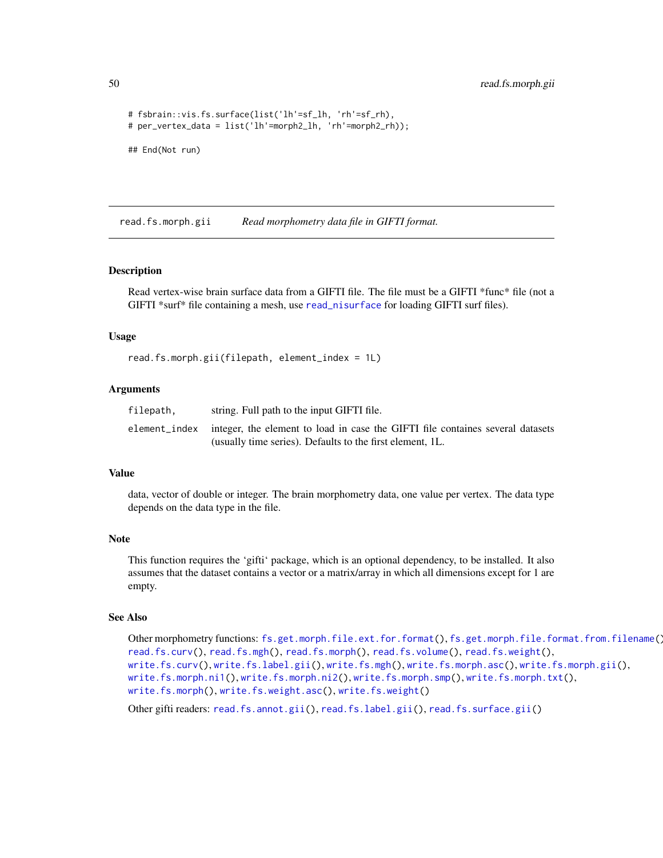50 read.fs.morph.gii

```
# fsbrain::vis.fs.surface(list('lh'=sf_lh, 'rh'=sf_rh),
# per_vertex_data = list('lh'=morph2_lh, 'rh'=morph2_rh));
## End(Not run)
```
<span id="page-49-0"></span>read.fs.morph.gii *Read morphometry data file in GIFTI format.*

#### Description

Read vertex-wise brain surface data from a GIFTI file. The file must be a GIFTI \*func\* file (not a GIFTI \*surf\* file containing a mesh, use [read\\_nisurface](#page-76-0) for loading GIFTI surf files).

### Usage

read.fs.morph.gii(filepath, element\_index = 1L)

## Arguments

| filepath. | string. Full path to the input GIFTI file.                                                   |
|-----------|----------------------------------------------------------------------------------------------|
|           | element_index integer, the element to load in case the GIFTI file containes several datasets |
|           | (usually time series). Defaults to the first element, 1L.                                    |

#### Value

data, vector of double or integer. The brain morphometry data, one value per vertex. The data type depends on the data type in the file.

#### Note

This function requires the 'gifti' package, which is an optional dependency, to be installed. It also assumes that the dataset contains a vector or a matrix/array in which all dimensions except for 1 are empty.

#### See Also

```
Other morphometry functions: fs.get.morph.file.ext.for.format(), fs.get.morph.file.format.from.filename(),
read.fs.curv(), read.fs.mgh(), read.fs.morph(), read.fs.volume(), read.fs.weight(),
write.fs.curv(), write.fs.label.gii(), write.fs.mgh(), write.fs.morph.asc(), write.fs.morph.gii(),
write.fs.morph.ni1(), write.fs.morph.ni2(), write.fs.morph.smp(), write.fs.morph.txt(),
write.fs.morph(), write.fs.weight.asc(), write.fs.weight()
```
Other gifti readers: [read.fs.annot.gii\(](#page-37-0)), [read.fs.label.gii\(](#page-41-0)), [read.fs.surface.gii\(](#page-57-0))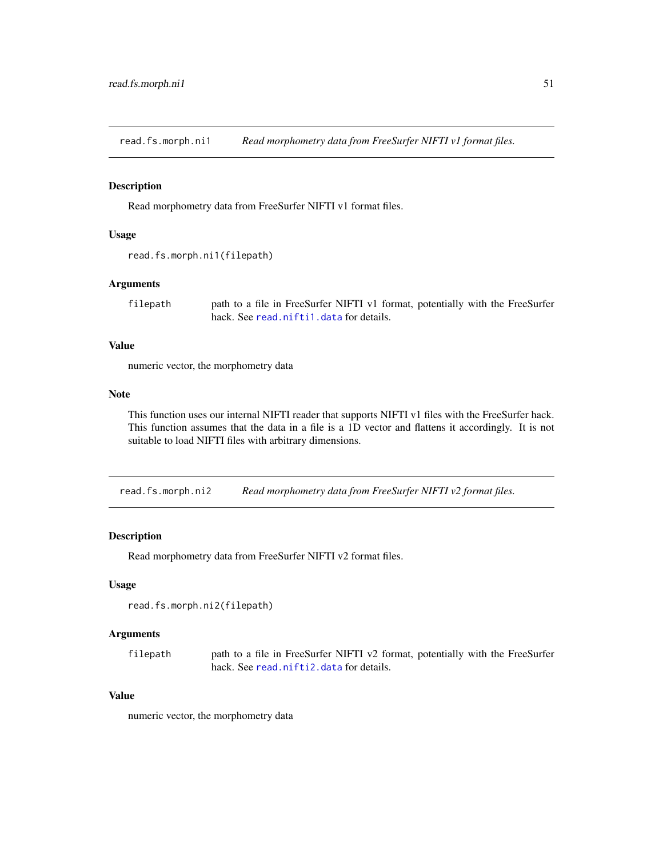read.fs.morph.ni1 *Read morphometry data from FreeSurfer NIFTI v1 format files.*

### Description

Read morphometry data from FreeSurfer NIFTI v1 format files.

### Usage

```
read.fs.morph.ni1(filepath)
```
## Arguments

filepath path to a file in FreeSurfer NIFTI v1 format, potentially with the FreeSurfer hack. See [read.nifti1.data](#page-72-0) for details.

# Value

numeric vector, the morphometry data

#### Note

This function uses our internal NIFTI reader that supports NIFTI v1 files with the FreeSurfer hack. This function assumes that the data in a file is a 1D vector and flattens it accordingly. It is not suitable to load NIFTI files with arbitrary dimensions.

read.fs.morph.ni2 *Read morphometry data from FreeSurfer NIFTI v2 format files.*

# Description

Read morphometry data from FreeSurfer NIFTI v2 format files.

#### Usage

```
read.fs.morph.ni2(filepath)
```
# Arguments

filepath path to a file in FreeSurfer NIFTI v2 format, potentially with the FreeSurfer hack. See [read.nifti2.data](#page-74-0) for details.

# Value

numeric vector, the morphometry data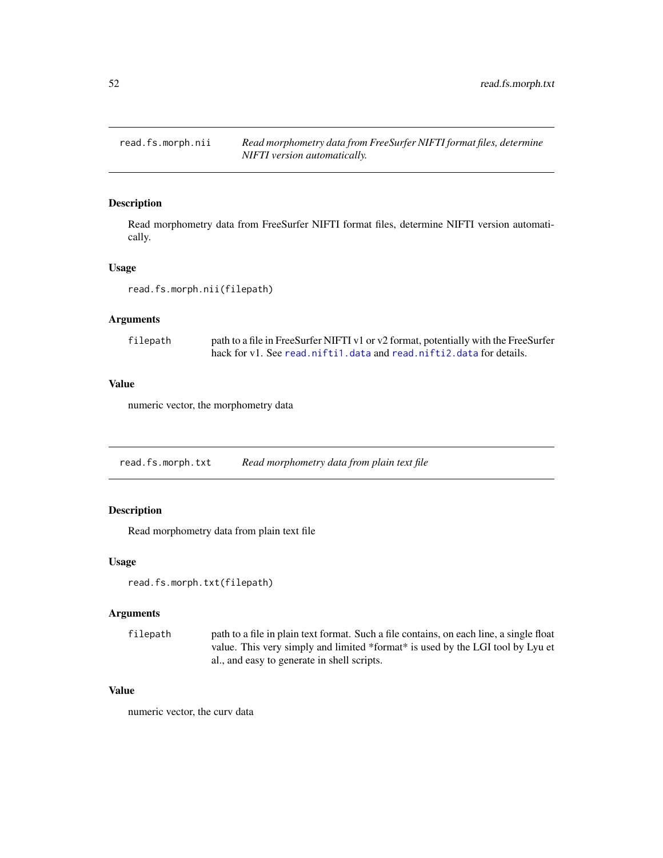read.fs.morph.nii *Read morphometry data from FreeSurfer NIFTI format files, determine NIFTI version automatically.*

# Description

Read morphometry data from FreeSurfer NIFTI format files, determine NIFTI version automatically.

# Usage

read.fs.morph.nii(filepath)

#### Arguments

| filepath | path to a file in FreeSurfer NIFTI v1 or v2 format, potentially with the FreeSurfer |
|----------|-------------------------------------------------------------------------------------|
|          | hack for yl. See read.niftil.data and read.niftil.data for details.                 |

# Value

numeric vector, the morphometry data

read.fs.morph.txt *Read morphometry data from plain text file*

# Description

Read morphometry data from plain text file

# Usage

```
read.fs.morph.txt(filepath)
```
# Arguments

filepath path to a file in plain text format. Such a file contains, on each line, a single float value. This very simply and limited \*format\* is used by the LGI tool by Lyu et al., and easy to generate in shell scripts.

# Value

numeric vector, the curv data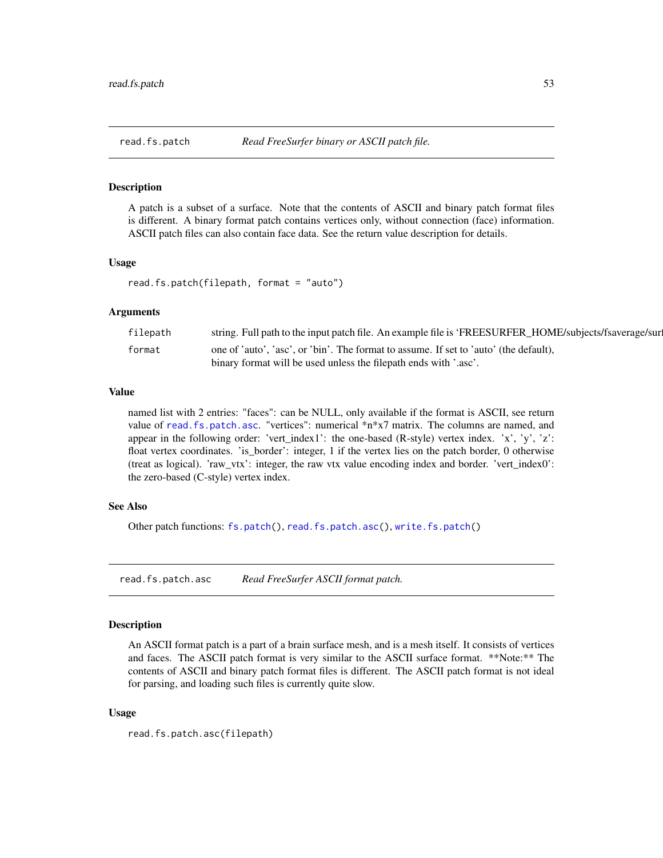<span id="page-52-1"></span>

#### **Description**

A patch is a subset of a surface. Note that the contents of ASCII and binary patch format files is different. A binary format patch contains vertices only, without connection (face) information. ASCII patch files can also contain face data. See the return value description for details.

#### Usage

read.fs.patch(filepath, format = "auto")

## Arguments

| filepath | string. Full path to the input patch file. An example file is 'FREESURFER_HOME/subjects/fsaverage/sur |
|----------|-------------------------------------------------------------------------------------------------------|
| format   | one of 'auto', 'asc', or 'bin'. The format to assume. If set to 'auto' (the default),                 |
|          | binary format will be used unless the filepath ends with '.asc'.                                      |

# Value

named list with 2 entries: "faces": can be NULL, only available if the format is ASCII, see return value of [read.fs.patch.asc](#page-52-0). "vertices": numerical \*n\*x7 matrix. The columns are named, and appear in the following order: 'vert\_index1': the one-based (R-style) vertex index. 'x', 'y', 'z': float vertex coordinates. 'is\_border': integer, 1 if the vertex lies on the patch border, 0 otherwise (treat as logical). 'raw\_vtx': integer, the raw vtx value encoding index and border. 'vert\_index0': the zero-based (C-style) vertex index.

## See Also

Other patch functions: [fs.patch\(](#page-10-1)), [read.fs.patch.asc\(](#page-52-0)), [write.fs.patch\(](#page-97-0))

<span id="page-52-0"></span>read.fs.patch.asc *Read FreeSurfer ASCII format patch.*

# Description

An ASCII format patch is a part of a brain surface mesh, and is a mesh itself. It consists of vertices and faces. The ASCII patch format is very similar to the ASCII surface format. \*\*Note:\*\* The contents of ASCII and binary patch format files is different. The ASCII patch format is not ideal for parsing, and loading such files is currently quite slow.

## Usage

```
read.fs.patch.asc(filepath)
```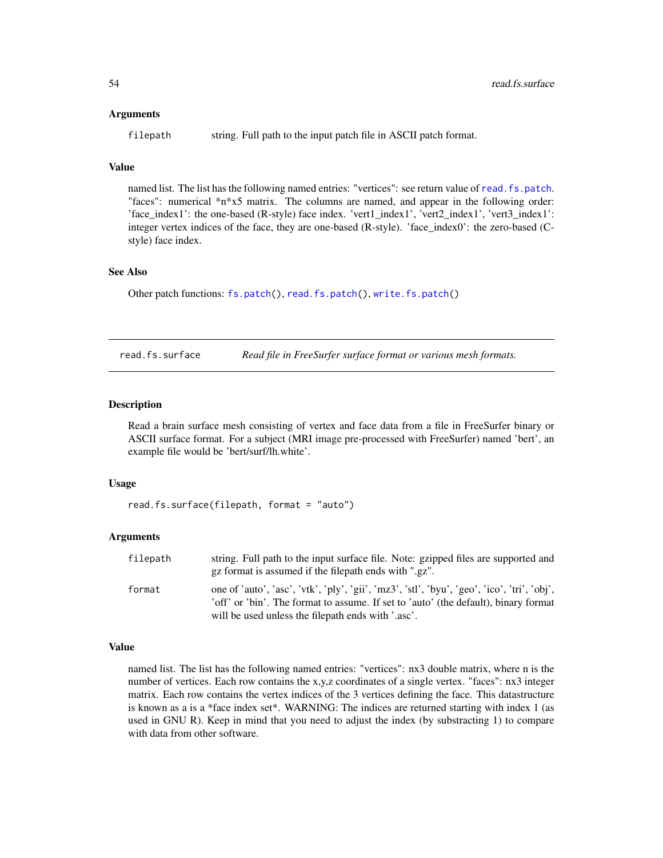#### Arguments

filepath string. Full path to the input patch file in ASCII patch format.

# Value

named list. The list has the following named entries: "vertices": see return value of [read.fs.patch](#page-52-1). "faces": numerical \*n\*x5 matrix. The columns are named, and appear in the following order: 'face\_index1': the one-based (R-style) face index. 'vert1\_index1', 'vert2\_index1', 'vert3\_index1': integer vertex indices of the face, they are one-based (R-style). 'face\_index0': the zero-based (Cstyle) face index.

#### See Also

Other patch functions: [fs.patch\(](#page-10-1)), [read.fs.patch\(](#page-52-1)), [write.fs.patch\(](#page-97-0))

<span id="page-53-0"></span>read.fs.surface *Read file in FreeSurfer surface format or various mesh formats.*

# **Description**

Read a brain surface mesh consisting of vertex and face data from a file in FreeSurfer binary or ASCII surface format. For a subject (MRI image pre-processed with FreeSurfer) named 'bert', an example file would be 'bert/surf/lh.white'.

# Usage

```
read.fs.surface(filepath, format = "auto")
```
### Arguments

| filepath | string. Full path to the input surface file. Note: gzipped files are supported and<br>gz format is assumed if the filepath ends with ".gz".                                        |
|----------|------------------------------------------------------------------------------------------------------------------------------------------------------------------------------------|
| format   | one of 'auto', 'asc', 'vtk', 'ply', 'gii', 'mz3', 'stl', 'byu', 'geo', 'ico', 'tri', 'obj',<br>'off' or 'bin'. The format to assume. If set to 'auto' (the default), binary format |
|          | will be used unless the filepath ends with '.asc'.                                                                                                                                 |

# Value

named list. The list has the following named entries: "vertices": nx3 double matrix, where n is the number of vertices. Each row contains the x,y,z coordinates of a single vertex. "faces": nx3 integer matrix. Each row contains the vertex indices of the 3 vertices defining the face. This datastructure is known as a is a \*face index set\*. WARNING: The indices are returned starting with index 1 (as used in GNU R). Keep in mind that you need to adjust the index (by substracting 1) to compare with data from other software.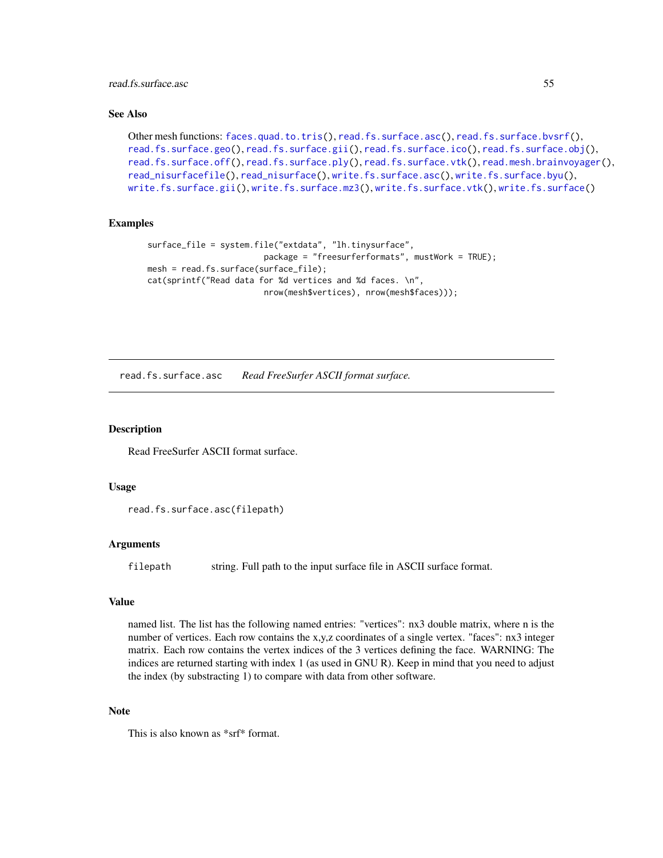read.fs.surface.asc 55

# See Also

```
Other mesh functions: faces.quad.to.tris(), read.fs.surface.asc(), read.fs.surface.bvsrf(),
read.fs.surface.geo(read.fs.surface.gii(read.fs.surface.ico(read.fs.surface.obj(),
read.fs.surface.off(), read.fs.surface.ply(), read.fs.surface.vtk(), read.mesh.brainvoyager(),
read_nisurfacefile(), read_nisurface(), write.fs.surface.asc(), write.fs.surface.byu(),
write.fs.surface.gii(), write.fs.surface.mz3(), write.fs.surface.vtk(), write.fs.surface()
```
## Examples

```
surface_file = system.file("extdata", "lh.tinysurface",
                        package = "freesurferformats", mustWork = TRUE);
mesh = read.fs.surface(surface_file);
cat(sprintf("Read data for %d vertices and %d faces. \n",
                        nrow(mesh$vertices), nrow(mesh$faces)));
```
<span id="page-54-0"></span>read.fs.surface.asc *Read FreeSurfer ASCII format surface.*

# **Description**

Read FreeSurfer ASCII format surface.

## Usage

```
read.fs.surface.asc(filepath)
```
#### **Arguments**

filepath string. Full path to the input surface file in ASCII surface format.

# Value

named list. The list has the following named entries: "vertices": nx3 double matrix, where n is the number of vertices. Each row contains the x,y,z coordinates of a single vertex. "faces": nx3 integer matrix. Each row contains the vertex indices of the 3 vertices defining the face. WARNING: The indices are returned starting with index 1 (as used in GNU R). Keep in mind that you need to adjust the index (by substracting 1) to compare with data from other software.

#### Note

This is also known as \*srf\* format.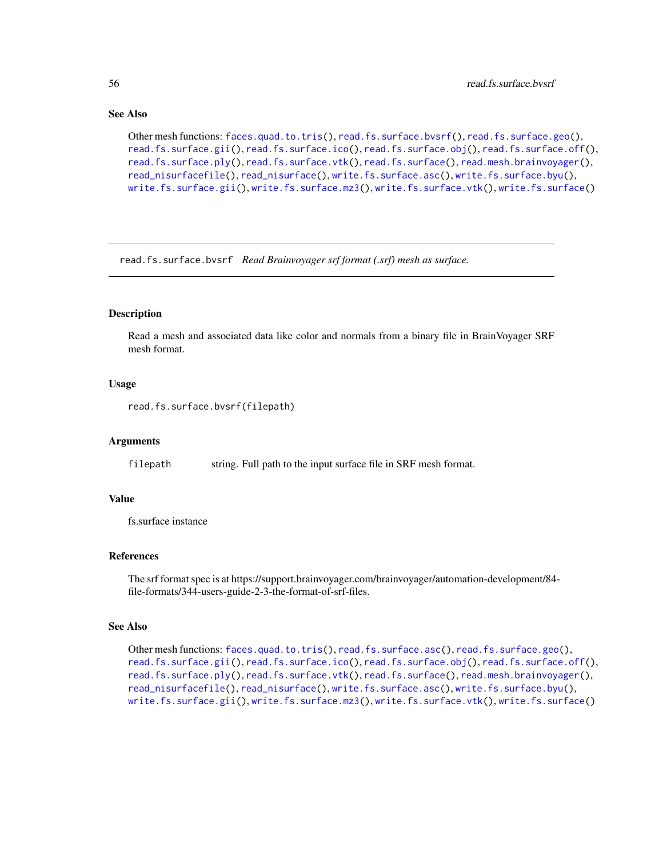## See Also

```
Other mesh functions: faces.quad.to.tris(), read.fs.surface.bvsrf(), read.fs.surface.geo(),
read.fs.surface.gii(), read.fs.surface.ico(), read.fs.surface.obj(), read.fs.surface.off(),
read.fs.surface.ply(), read.fs.surface.vtk(), read.fs.surface(), read.mesh.brainvoyager(),
read_nisurfacefile(), read_nisurface(), write.fs.surface.asc(), write.fs.surface.byu(),
write.fs.surface.gii(), write.fs.surface.mz3(), write.fs.surface.vtk(), write.fs.surface()
```
<span id="page-55-0"></span>read.fs.surface.bvsrf *Read Brainvoyager srf format (.srf) mesh as surface.*

# Description

Read a mesh and associated data like color and normals from a binary file in BrainVoyager SRF mesh format.

## Usage

```
read.fs.surface.bvsrf(filepath)
```
### Arguments

filepath string. Full path to the input surface file in SRF mesh format.

## Value

fs.surface instance

## References

The srf format spec is at https://support.brainvoyager.com/brainvoyager/automation-development/84 file-formats/344-users-guide-2-3-the-format-of-srf-files.

## See Also

```
Other mesh functions: faces.quad.to.tris(), read.fs.surface.asc(), read.fs.surface.geo(),
read.fs.surface.gii(), read.fs.surface.ico(), read.fs.surface.obj(), read.fs.surface.off(),
read.fs.surface.ply(), read.fs.surface.vtk(), read.fs.surface(), read.mesh.brainvoyager(),
read_nisurfacefile(), read_nisurface(), write.fs.surface.asc(), write.fs.surface.byu(),
write.fs.surface.gii(), write.fs.surface.mz3(), write.fs.surface.vtk(), write.fs.surface()
```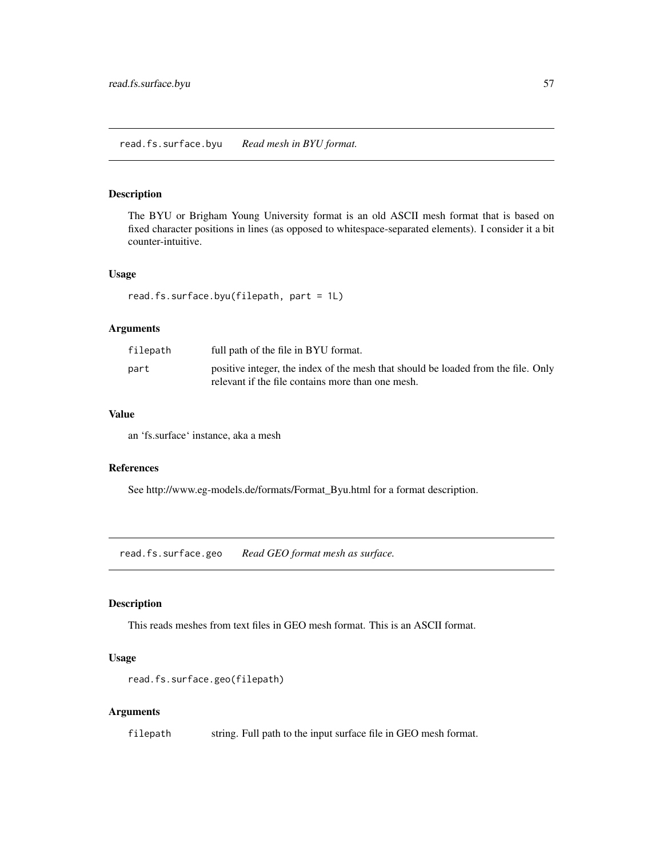## Description

The BYU or Brigham Young University format is an old ASCII mesh format that is based on fixed character positions in lines (as opposed to whitespace-separated elements). I consider it a bit counter-intuitive.

# Usage

```
read.fs.surface.byu(filepath, part = 1L)
```
# Arguments

| filepath | full path of the file in BYU format.                                                                                                   |
|----------|----------------------------------------------------------------------------------------------------------------------------------------|
| part     | positive integer, the index of the mesh that should be loaded from the file. Only<br>relevant if the file contains more than one mesh. |

### Value

an 'fs.surface' instance, aka a mesh

#### References

See http://www.eg-models.de/formats/Format\_Byu.html for a format description.

<span id="page-56-0"></span>read.fs.surface.geo *Read GEO format mesh as surface.*

# Description

This reads meshes from text files in GEO mesh format. This is an ASCII format.

# Usage

```
read.fs.surface.geo(filepath)
```
## Arguments

filepath string. Full path to the input surface file in GEO mesh format.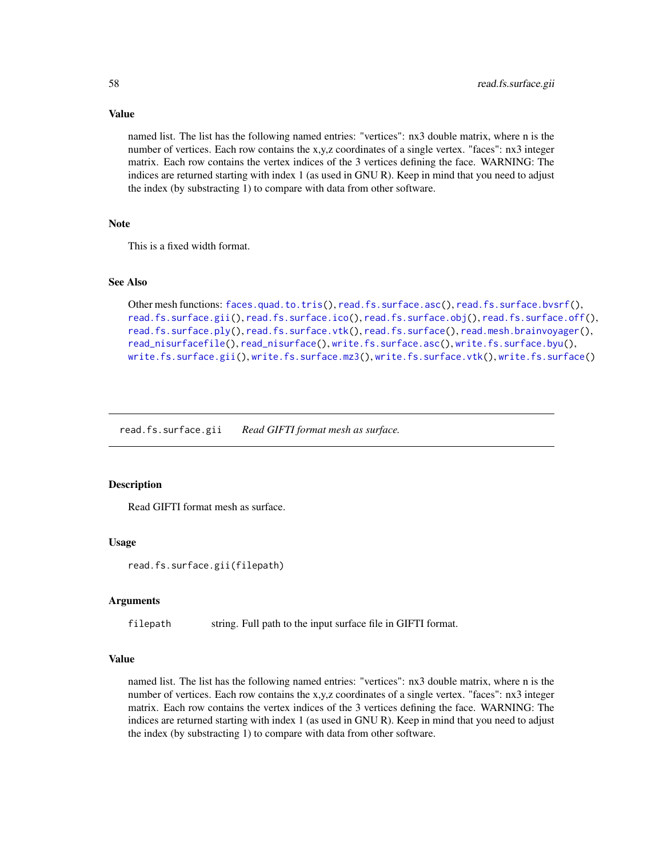named list. The list has the following named entries: "vertices": nx3 double matrix, where n is the number of vertices. Each row contains the x,y,z coordinates of a single vertex. "faces": nx3 integer matrix. Each row contains the vertex indices of the 3 vertices defining the face. WARNING: The indices are returned starting with index 1 (as used in GNU R). Keep in mind that you need to adjust the index (by substracting 1) to compare with data from other software.

#### **Note**

This is a fixed width format.

# See Also

```
Other mesh functions: faces.quad.to.tris(), read.fs.surface.asc(), read.fs.surface.bvsrf(),
read.fs.surface.gii(), read.fs.surface.ico(), read.fs.surface.obj(), read.fs.surface.off(),
read.fs.surface.ply(), read.fs.surface.vtk(), read.fs.surface(), read.mesh.brainvoyager(),
read_nisurfacefile(), read_nisurface(), write.fs.surface.asc(), write.fs.surface.byu(),
write.fs.surface.gii(), write.fs.surface.mz3(), write.fs.surface.vtk(), write.fs.surface()
```
<span id="page-57-0"></span>read.fs.surface.gii *Read GIFTI format mesh as surface.*

## Description

Read GIFTI format mesh as surface.

#### Usage

read.fs.surface.gii(filepath)

# Arguments

filepath string. Full path to the input surface file in GIFTI format.

#### Value

named list. The list has the following named entries: "vertices": nx3 double matrix, where n is the number of vertices. Each row contains the x,y,z coordinates of a single vertex. "faces": nx3 integer matrix. Each row contains the vertex indices of the 3 vertices defining the face. WARNING: The indices are returned starting with index 1 (as used in GNU R). Keep in mind that you need to adjust the index (by substracting 1) to compare with data from other software.

# Value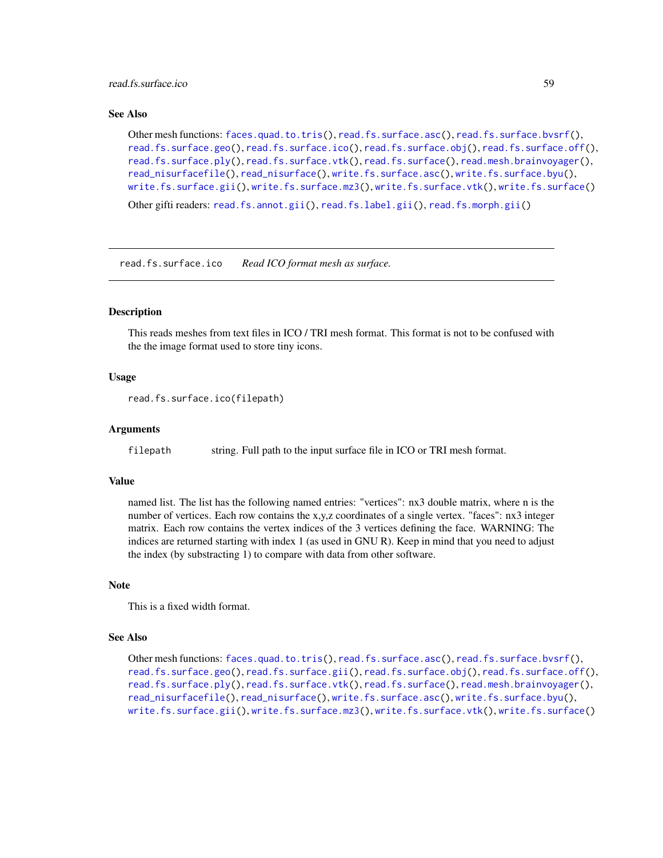read.fs.surface.ico 59

#### See Also

```
Other mesh functions: faces.quad.to.tris(), read.fs.surface.asc(), read.fs.surface.bvsrf(),
read.fs.surface.geo(), read.fs.surface.ico(), read.fs.surface.obj(), read.fs.surface.off(),
read.fs.surface.ply(), read.fs.surface.vtk(), read.fs.surface(), read.mesh.brainvoyager(),
read_nisurfacefile(), read_nisurface(), write.fs.surface.asc(), write.fs.surface.byu(),
write.fs.surface.gii(), write.fs.surface.mz3(), write.fs.surface.vtk(), write.fs.surface()
Other gifti readers: read.fs.annot.gii(), read.fs.label.gii(), read.fs.morph.gii()
```
<span id="page-58-0"></span>read.fs.surface.ico *Read ICO format mesh as surface.*

## Description

This reads meshes from text files in ICO / TRI mesh format. This format is not to be confused with the the image format used to store tiny icons.

# Usage

```
read.fs.surface.ico(filepath)
```
### Arguments

filepath string. Full path to the input surface file in ICO or TRI mesh format.

# Value

named list. The list has the following named entries: "vertices": nx3 double matrix, where n is the number of vertices. Each row contains the x,y,z coordinates of a single vertex. "faces": nx3 integer matrix. Each row contains the vertex indices of the 3 vertices defining the face. WARNING: The indices are returned starting with index 1 (as used in GNU R). Keep in mind that you need to adjust the index (by substracting 1) to compare with data from other software.

#### Note

This is a fixed width format.

## See Also

```
Other mesh functions: faces.quad.to.tris(), read.fs.surface.asc(), read.fs.surface.bvsrf(),
read.fs.surface.geo(), read.fs.surface.gii(), read.fs.surface.obj(), read.fs.surface.off(),
read.fs.surface.ply(), read.fs.surface.vtk(), read.fs.surface(), read.mesh.brainvoyager(),
read_nisurfacefile(), read_nisurface(), write.fs.surface.asc(), write.fs.surface.byu(),
write.fs.surface.gii(), write.fs.surface.mz3(), write.fs.surface.vtk(), write.fs.surface()
```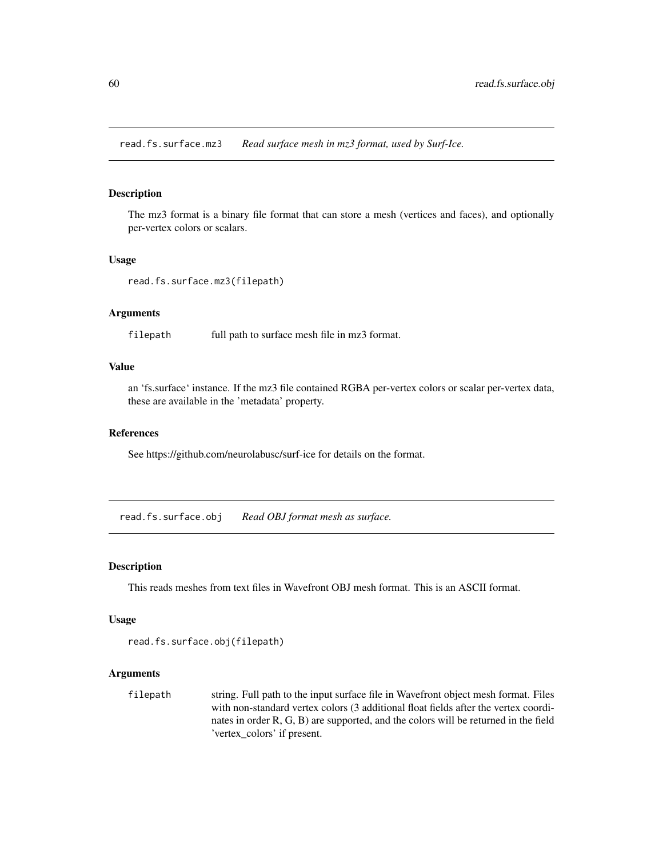read.fs.surface.mz3 *Read surface mesh in mz3 format, used by Surf-Ice.*

# Description

The mz3 format is a binary file format that can store a mesh (vertices and faces), and optionally per-vertex colors or scalars.

### Usage

```
read.fs.surface.mz3(filepath)
```
# Arguments

filepath full path to surface mesh file in mz3 format.

# Value

an 'fs.surface' instance. If the mz3 file contained RGBA per-vertex colors or scalar per-vertex data, these are available in the 'metadata' property.

## References

See https://github.com/neurolabusc/surf-ice for details on the format.

<span id="page-59-0"></span>read.fs.surface.obj *Read OBJ format mesh as surface.*

# Description

This reads meshes from text files in Wavefront OBJ mesh format. This is an ASCII format.

#### Usage

```
read.fs.surface.obj(filepath)
```
# Arguments

filepath string. Full path to the input surface file in Wavefront object mesh format. Files with non-standard vertex colors (3 additional float fields after the vertex coordinates in order R, G, B) are supported, and the colors will be returned in the field 'vertex\_colors' if present.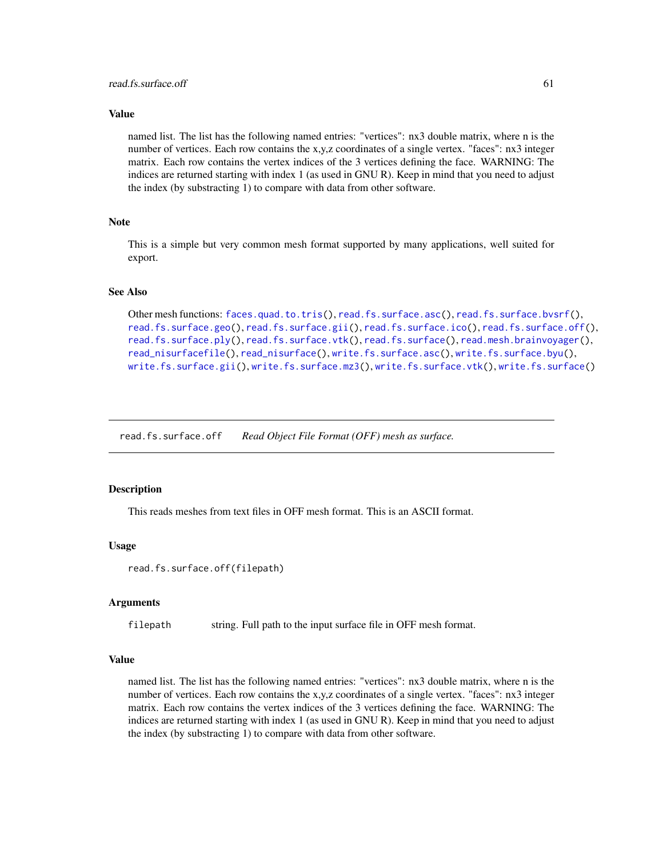#### Value

named list. The list has the following named entries: "vertices": nx3 double matrix, where n is the number of vertices. Each row contains the x,y,z coordinates of a single vertex. "faces": nx3 integer matrix. Each row contains the vertex indices of the 3 vertices defining the face. WARNING: The indices are returned starting with index 1 (as used in GNU R). Keep in mind that you need to adjust the index (by substracting 1) to compare with data from other software.

#### **Note**

This is a simple but very common mesh format supported by many applications, well suited for export.

## See Also

```
Other mesh functions: faces.quad.to.tris(), read.fs.surface.asc(), read.fs.surface.bvsrf(),
read.fs.surface.geo(), read.fs.surface.gii(), read.fs.surface.ico(), read.fs.surface.off(),
read.fs.surface.ply(), read.fs.surface.vtk(), read.fs.surface(), read.mesh.brainvoyager(),
read_nisurfacefile(), read_nisurface(), write.fs.surface.asc(), write.fs.surface.byu(),
write.fs.surface.gii(), write.fs.surface.mz3(), write.fs.surface.vtk(), write.fs.surface()
```
<span id="page-60-0"></span>read.fs.surface.off *Read Object File Format (OFF) mesh as surface.*

## Description

This reads meshes from text files in OFF mesh format. This is an ASCII format.

#### Usage

```
read.fs.surface.off(filepath)
```
# Arguments

filepath string. Full path to the input surface file in OFF mesh format.

## Value

named list. The list has the following named entries: "vertices": nx3 double matrix, where n is the number of vertices. Each row contains the x,y,z coordinates of a single vertex. "faces": nx3 integer matrix. Each row contains the vertex indices of the 3 vertices defining the face. WARNING: The indices are returned starting with index 1 (as used in GNU R). Keep in mind that you need to adjust the index (by substracting 1) to compare with data from other software.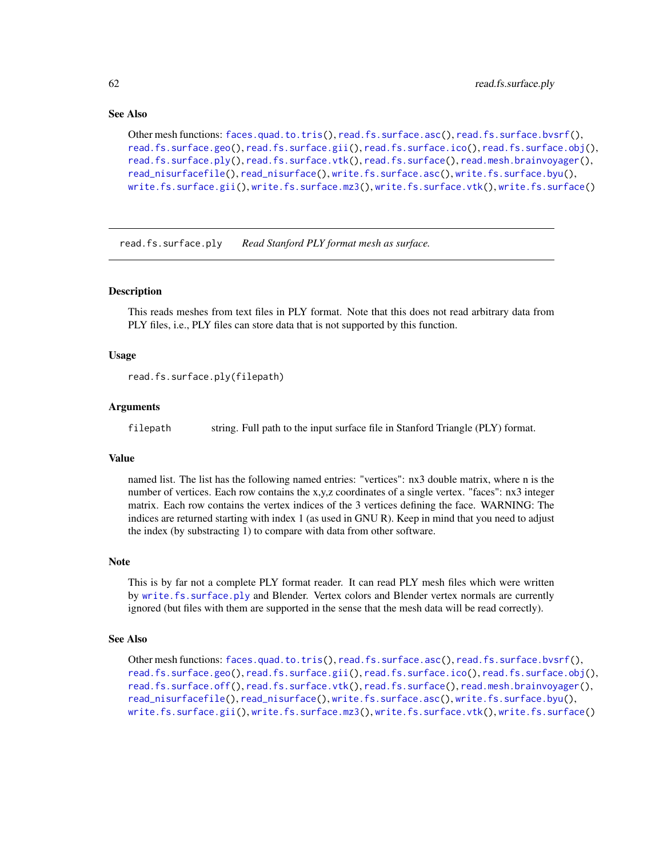## See Also

```
Other mesh functions: faces.quad.to.tris(), read.fs.surface.asc(), read.fs.surface.bvsrf(),
read.fs.surface.geo(read.fs.surface.gii(read.fs.surface.ico(read.fs.surface.obj(),
read.fs.surface.ply(), read.fs.surface.vtk(), read.fs.surface(), read.mesh.brainvoyager(),
read_nisurfacefile(), read_nisurface(), write.fs.surface.asc(), write.fs.surface.byu(),
write.fs.surface.gii(), write.fs.surface.mz3(), write.fs.surface.vtk(), write.fs.surface()
```
<span id="page-61-0"></span>read.fs.surface.ply *Read Stanford PLY format mesh as surface.*

## Description

This reads meshes from text files in PLY format. Note that this does not read arbitrary data from PLY files, i.e., PLY files can store data that is not supported by this function.

### Usage

```
read.fs.surface.ply(filepath)
```
#### **Arguments**

filepath string. Full path to the input surface file in Stanford Triangle (PLY) format.

# Value

named list. The list has the following named entries: "vertices": nx3 double matrix, where n is the number of vertices. Each row contains the x,y,z coordinates of a single vertex. "faces": nx3 integer matrix. Each row contains the vertex indices of the 3 vertices defining the face. WARNING: The indices are returned starting with index 1 (as used in GNU R). Keep in mind that you need to adjust the index (by substracting 1) to compare with data from other software.

### Note

This is by far not a complete PLY format reader. It can read PLY mesh files which were written by [write.fs.surface.ply](#page-106-0) and Blender. Vertex colors and Blender vertex normals are currently ignored (but files with them are supported in the sense that the mesh data will be read correctly).

# See Also

```
Other mesh functions: faces.quad.to.tris(), read.fs.surface.asc(), read.fs.surface.bvsrf(),
read.fs.surface.geo(read.fs.surface.gii(read.fs.surface.ico(read.fs.surface.obj(),
read.fs.surface.off(), read.fs.surface.vtk(), read.fs.surface(), read.mesh.brainvoyager(),
read_nisurfacefile(), read_nisurface(), write.fs.surface.asc(), write.fs.surface.byu(),
write.fs.surface.gii(), write.fs.surface.mz3(), write.fs.surface.vtk(), write.fs.surface()
```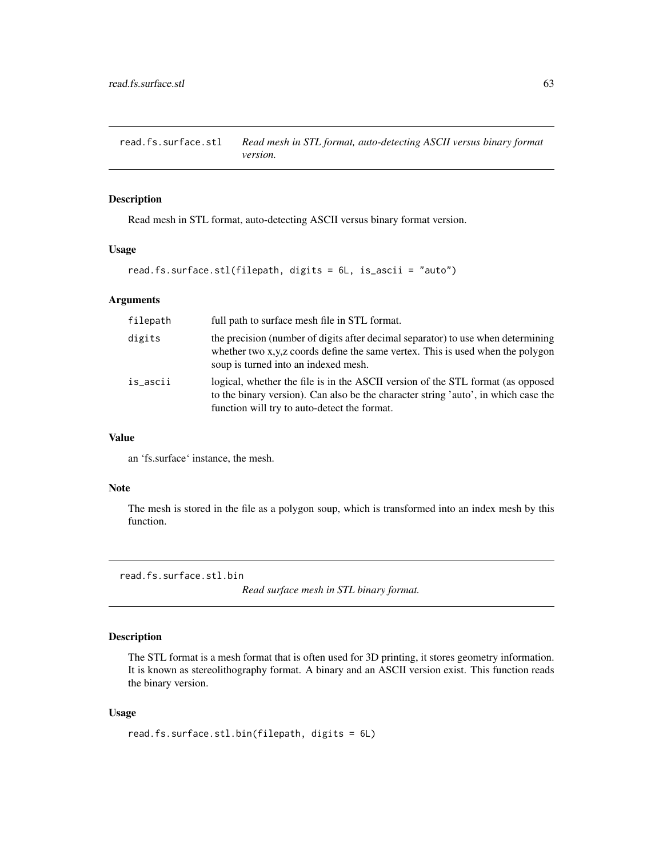read.fs.surface.stl *Read mesh in STL format, auto-detecting ASCII versus binary format version.*

## Description

Read mesh in STL format, auto-detecting ASCII versus binary format version.

# Usage

```
read.fs.surface.stl(filepath, digits = 6L, is_ascii = "auto")
```
### Arguments

| filepath | full path to surface mesh file in STL format.                                                                                                                                                                         |
|----------|-----------------------------------------------------------------------------------------------------------------------------------------------------------------------------------------------------------------------|
| digits   | the precision (number of digits after decimal separator) to use when determining<br>whether two x,y,z coords define the same vertex. This is used when the polygon<br>soup is turned into an indexed mesh.            |
| is_ascii | logical, whether the file is in the ASCII version of the STL format (as opposed<br>to the binary version). Can also be the character string 'auto', in which case the<br>function will try to auto-detect the format. |

#### Value

an 'fs.surface' instance, the mesh.

# Note

The mesh is stored in the file as a polygon soup, which is transformed into an index mesh by this function.

read.fs.surface.stl.bin

*Read surface mesh in STL binary format.*

# Description

The STL format is a mesh format that is often used for 3D printing, it stores geometry information. It is known as stereolithography format. A binary and an ASCII version exist. This function reads the binary version.

## Usage

```
read.fs.surface.stl.bin(filepath, digits = 6L)
```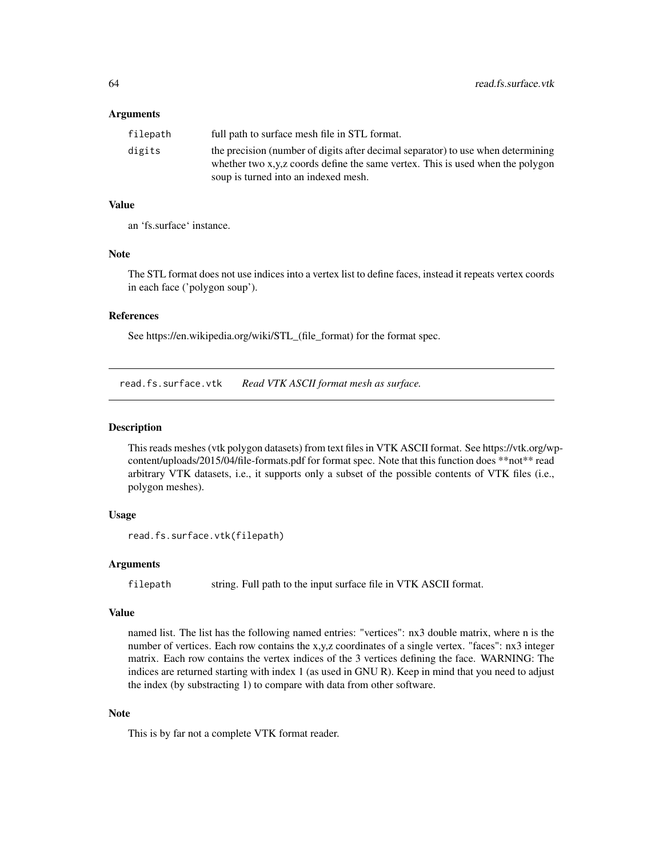### Arguments

| filepath | full path to surface mesh file in STL format.                                    |
|----------|----------------------------------------------------------------------------------|
| digits   | the precision (number of digits after decimal separator) to use when determining |
|          | whether two x,y,z coords define the same vertex. This is used when the polygon   |
|          | soup is turned into an indexed mesh.                                             |

## Value

an 'fs.surface' instance.

#### Note

The STL format does not use indices into a vertex list to define faces, instead it repeats vertex coords in each face ('polygon soup').

# References

See https://en.wikipedia.org/wiki/STL\_(file\_format) for the format spec.

<span id="page-63-0"></span>read.fs.surface.vtk *Read VTK ASCII format mesh as surface.*

# Description

This reads meshes (vtk polygon datasets) from text files in VTK ASCII format. See https://vtk.org/wpcontent/uploads/2015/04/file-formats.pdf for format spec. Note that this function does \*\*not\*\* read arbitrary VTK datasets, i.e., it supports only a subset of the possible contents of VTK files (i.e., polygon meshes).

## Usage

```
read.fs.surface.vtk(filepath)
```
# Arguments

filepath string. Full path to the input surface file in VTK ASCII format.

#### Value

named list. The list has the following named entries: "vertices": nx3 double matrix, where n is the number of vertices. Each row contains the x,y,z coordinates of a single vertex. "faces": nx3 integer matrix. Each row contains the vertex indices of the 3 vertices defining the face. WARNING: The indices are returned starting with index 1 (as used in GNU R). Keep in mind that you need to adjust the index (by substracting 1) to compare with data from other software.

## Note

This is by far not a complete VTK format reader.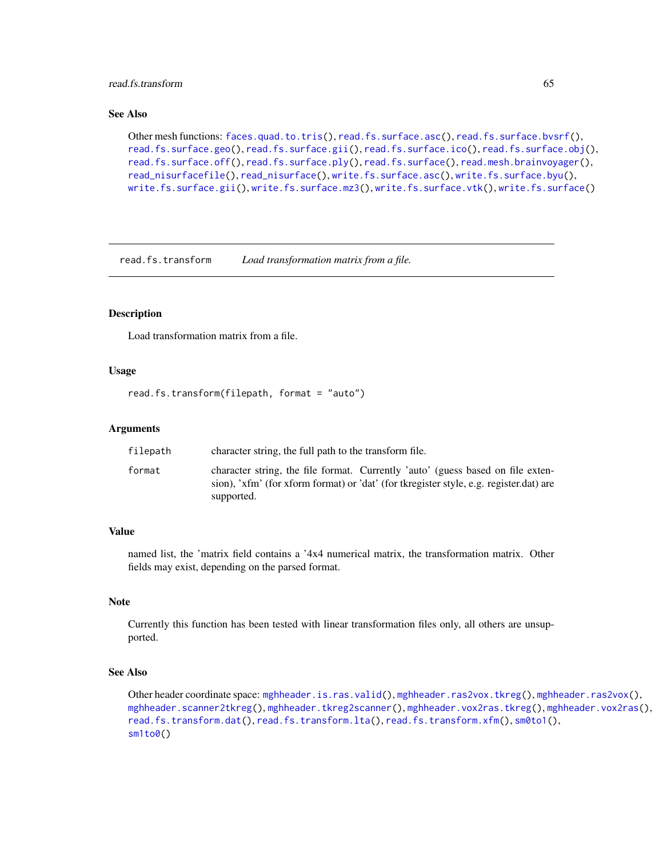# read.fs.transform 65

# See Also

```
Other mesh functions: faces.quad.to.tris(), read.fs.surface.asc(), read.fs.surface.bvsrf(),
read.fs.surface.geo(read.fs.surface.gii(read.fs.surface.ico(read.fs.surface.obj(),
read.fs.surface.off(), read.fs.surface.ply(), read.fs.surface(), read.mesh.brainvoyager(),
read_nisurfacefile(), read_nisurface(), write.fs.surface.asc(), write.fs.surface.byu(),
write.fs.surface.gii(), write.fs.surface.mz3(), write.fs.surface.vtk(), write.fs.surface()
```
<span id="page-64-0"></span>read.fs.transform *Load transformation matrix from a file.*

## **Description**

Load transformation matrix from a file.

## Usage

```
read.fs.transform(filepath, format = "auto")
```
### Arguments

| filepath | character string, the full path to the transform file.                                                                                                                                  |  |  |  |
|----------|-----------------------------------------------------------------------------------------------------------------------------------------------------------------------------------------|--|--|--|
| format   | character string, the file format. Currently 'auto' (guess based on file exten-<br>sion), 'xfm' (for xform format) or 'dat' (for tkregister style, e.g. register.dat) are<br>supported. |  |  |  |

# Value

named list, the 'matrix field contains a '4x4 numerical matrix, the transformation matrix. Other fields may exist, depending on the parsed format.

# Note

Currently this function has been tested with linear transformation files only, all others are unsupported.

# See Also

Other header coordinate space: [mghheader.is.ras.valid\(](#page-21-0)), [mghheader.ras2vox.tkreg\(](#page-23-0)), [mghheader.ras2vox\(](#page-22-0)), [mghheader.scanner2tkreg\(](#page-23-1)), [mghheader.tkreg2scanner\(](#page-24-0)), [mghheader.vox2ras.tkreg\(](#page-26-0)), [mghheader.vox2ras\(](#page-25-0)), [read.fs.transform.dat\(](#page-65-0)), [read.fs.transform.lta\(](#page-66-0)), [read.fs.transform.xfm\(](#page-67-0)), [sm0to1\(](#page-81-0)), sm<sub>1</sub>to0()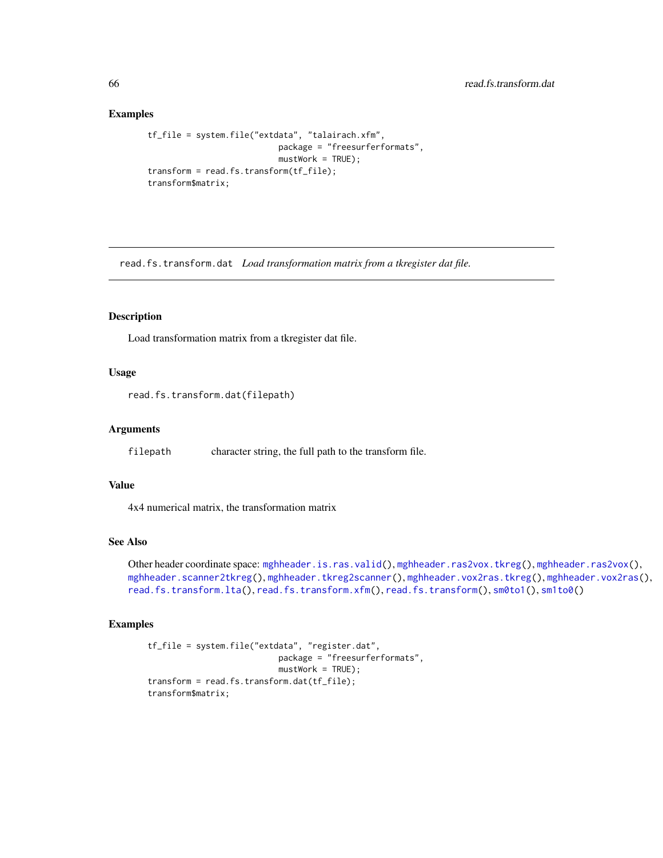## Examples

```
tf_file = system.file("extdata", "talairach.xfm",
                           package = "freesurferformats",
                           mustWork = TRUE);
transform = read.fs.transform(tf_file);
transform$matrix;
```
<span id="page-65-0"></span>read.fs.transform.dat *Load transformation matrix from a tkregister dat file.*

# Description

Load transformation matrix from a tkregister dat file.

## Usage

read.fs.transform.dat(filepath)

### Arguments

filepath character string, the full path to the transform file.

#### Value

4x4 numerical matrix, the transformation matrix

# See Also

Other header coordinate space: [mghheader.is.ras.valid\(](#page-21-0)), [mghheader.ras2vox.tkreg\(](#page-23-0)), [mghheader.ras2vox\(](#page-22-0)), [mghheader.scanner2tkreg\(](#page-23-1)), [mghheader.tkreg2scanner\(](#page-24-0)), [mghheader.vox2ras.tkreg\(](#page-26-0)), [mghheader.vox2ras\(](#page-25-0)), [read.fs.transform.lta\(](#page-66-0)), [read.fs.transform.xfm\(](#page-67-0)), [read.fs.transform\(](#page-64-0)), [sm0to1\(](#page-81-0)), [sm1to0\(](#page-81-1))

```
tf_file = system.file("extdata", "register.dat",
                          package = "freesurferformats",
                           mustWork = TRUE;
transform = read.fs.transform.dat(tf_file);
transform$matrix;
```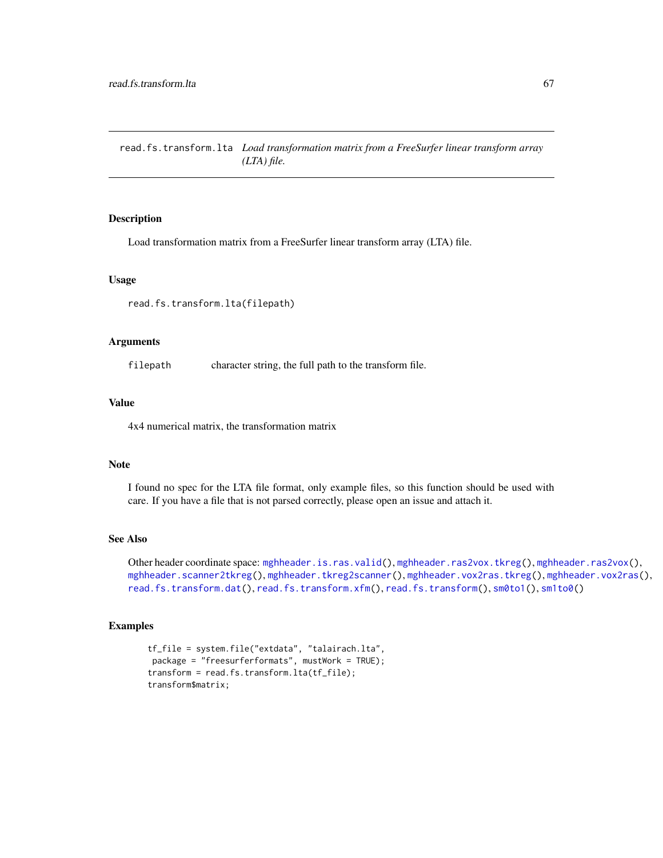<span id="page-66-0"></span>read.fs.transform.lta *Load transformation matrix from a FreeSurfer linear transform array (LTA) file.*

## Description

Load transformation matrix from a FreeSurfer linear transform array (LTA) file.

#### Usage

read.fs.transform.lta(filepath)

### Arguments

filepath character string, the full path to the transform file.

#### Value

4x4 numerical matrix, the transformation matrix

# Note

I found no spec for the LTA file format, only example files, so this function should be used with care. If you have a file that is not parsed correctly, please open an issue and attach it.

# See Also

Other header coordinate space: [mghheader.is.ras.valid\(](#page-21-0)), [mghheader.ras2vox.tkreg\(](#page-23-0)), [mghheader.ras2vox\(](#page-22-0)), [mghheader.scanner2tkreg\(](#page-23-1)), [mghheader.tkreg2scanner\(](#page-24-0)), [mghheader.vox2ras.tkreg\(](#page-26-0)), [mghheader.vox2ras\(](#page-25-0)), [read.fs.transform.dat\(](#page-65-0)), [read.fs.transform.xfm\(](#page-67-0)), [read.fs.transform\(](#page-64-0)), [sm0to1\(](#page-81-0)), [sm1to0\(](#page-81-1))

```
tf_file = system.file("extdata", "talairach.lta",
package = "freesurferformats", mustWork = TRUE);
transform = read.fs.transform.lta(tf_file);
transform$matrix;
```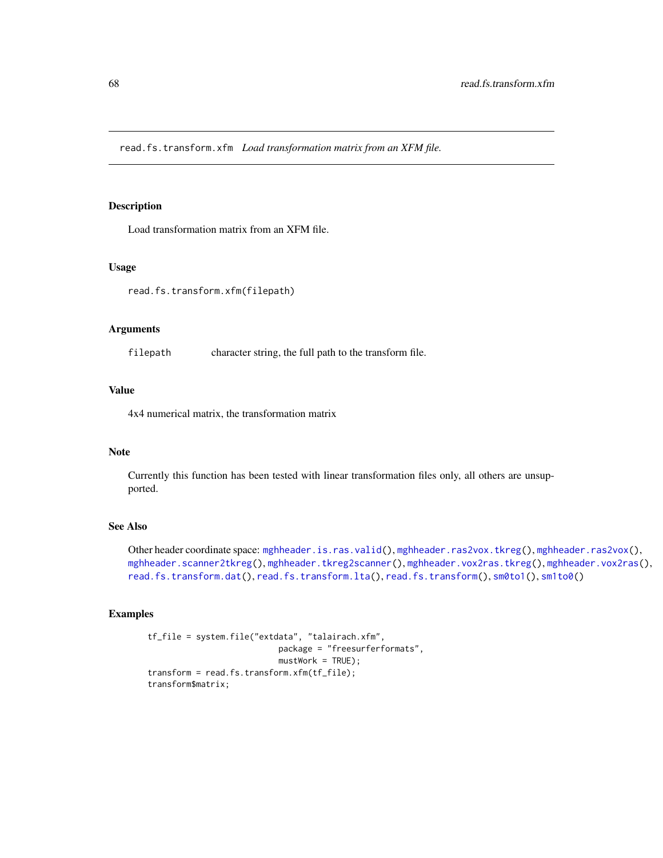<span id="page-67-0"></span>read.fs.transform.xfm *Load transformation matrix from an XFM file.*

### Description

Load transformation matrix from an XFM file.

# Usage

read.fs.transform.xfm(filepath)

### Arguments

filepath character string, the full path to the transform file.

# Value

4x4 numerical matrix, the transformation matrix

## Note

Currently this function has been tested with linear transformation files only, all others are unsupported.

## See Also

Other header coordinate space: [mghheader.is.ras.valid\(](#page-21-0)), [mghheader.ras2vox.tkreg\(](#page-23-0)), [mghheader.ras2vox\(](#page-22-0)), [mghheader.scanner2tkreg\(](#page-23-1)), [mghheader.tkreg2scanner\(](#page-24-0)), [mghheader.vox2ras.tkreg\(](#page-26-0)), [mghheader.vox2ras\(](#page-25-0)), [read.fs.transform.dat\(](#page-65-0)), [read.fs.transform.lta\(](#page-66-0)), [read.fs.transform\(](#page-64-0)), [sm0to1\(](#page-81-0)), [sm1to0\(](#page-81-1))

```
tf_file = system.file("extdata", "talairach.xfm",
                          package = "freesurferformats",
                           mustWork = TRUE);
transform = read.fs.transform.xfm(tf_file);
transform$matrix;
```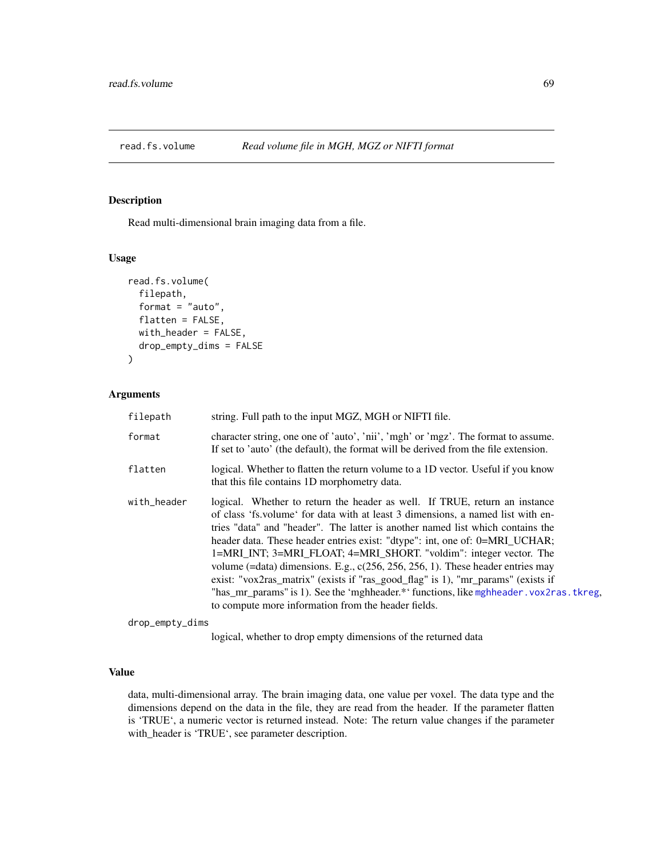<span id="page-68-0"></span>

## Description

Read multi-dimensional brain imaging data from a file.

## Usage

```
read.fs.volume(
  filepath,
  format = "auto",
  flatten = FALSE,
 with_header = FALSE,
  drop_empty_dims = FALSE
)
```
# Arguments

| filepath    | string. Full path to the input MGZ, MGH or NIFTI file.                                                                                                                                                                                                                                                                                                                                                                                                                                                                                                                                                                                                                                                                         |
|-------------|--------------------------------------------------------------------------------------------------------------------------------------------------------------------------------------------------------------------------------------------------------------------------------------------------------------------------------------------------------------------------------------------------------------------------------------------------------------------------------------------------------------------------------------------------------------------------------------------------------------------------------------------------------------------------------------------------------------------------------|
| format      | character string, one one of 'auto', 'nii', 'mgh' or 'mgz'. The format to assume.<br>If set to 'auto' (the default), the format will be derived from the file extension.                                                                                                                                                                                                                                                                                                                                                                                                                                                                                                                                                       |
| flatten     | logical. Whether to flatten the return volume to a 1D vector. Useful if you know<br>that this file contains 1D morphometry data.                                                                                                                                                                                                                                                                                                                                                                                                                                                                                                                                                                                               |
| with_header | logical. Whether to return the header as well. If TRUE, return an instance<br>of class 'fs. volume' for data with at least 3 dimensions, a named list with en-<br>tries "data" and "header". The latter is another named list which contains the<br>header data. These header entries exist: "dtype": int, one of: 0=MRI_UCHAR;<br>1=MRI_INT; 3=MRI_FLOAT; 4=MRI_SHORT. "voldim": integer vector. The<br>volume (=data) dimensions. E.g., $c(256, 256, 256, 1)$ . These header entries may<br>exist: "vox2ras_matrix" (exists if "ras_good_flag" is 1), "mr_params" (exists if<br>"has_mr_params" is 1). See the 'mghheader.*' functions, like mghheader.vox2ras.tkreg,<br>to compute more information from the header fields. |

drop\_empty\_dims

logical, whether to drop empty dimensions of the returned data

# Value

data, multi-dimensional array. The brain imaging data, one value per voxel. The data type and the dimensions depend on the data in the file, they are read from the header. If the parameter flatten is 'TRUE', a numeric vector is returned instead. Note: The return value changes if the parameter with\_header is 'TRUE', see parameter description.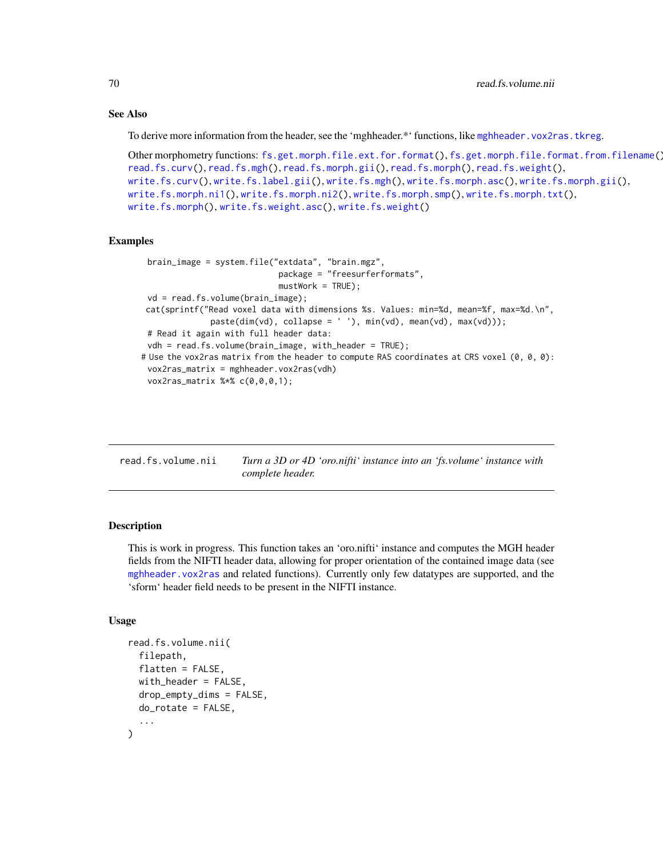# See Also

To derive more information from the header, see the 'mghheader.\*' functions, like [mghheader.vox2ras.tkreg](#page-26-0).

```
Other morphometry functions: fs.get.morph.file.ext.for.format(), fs.get.morph.file.format.from.filename(),
read.fs.curv(), read.fs.mgh(), read.fs.morph.gii(), read.fs.morph(), read.fs.weight(),
write.fs.curv(), write.fs.label.gii(), write.fs.mgh(), write.fs.morph.asc(), write.fs.morph.gii(),
write.fs.morph.ni1(), write.fs.morph.ni2(), write.fs.morph.smp(), write.fs.morph.txt(),
write.fs.morph(), write.fs.weight.asc(), write.fs.weight()
```
#### Examples

```
brain_image = system.file("extdata", "brain.mgz",
                            package = "freesurferformats",
                            mustWork = TRUE;
 vd = read.fs.volume(brain_image);
cat(sprintf("Read voxel data with dimensions %s. Values: min=%d, mean=%f, max=%d.\n",
              paste(dim(vd), collapse = ' '), min(vd), mean(vd), max(vd)));
 # Read it again with full header data:
 vdh = read.fs.volume(brain_image, with_header = TRUE);
# Use the vox2ras matrix from the header to compute RAS coordinates at CRS voxel (0, 0, 0):
 vox2ras_matrix = mghheader.vox2ras(vdh)
 vox2ras_matrix %*% c(0,0,0,1);
```

| read.fs.volume.nii | Turn a 3D or 4D 'oro.nifti' instance into an 'fs.volume' instance with |  |  |  |
|--------------------|------------------------------------------------------------------------|--|--|--|
|                    | complete header.                                                       |  |  |  |

## Description

This is work in progress. This function takes an 'oro.nifti' instance and computes the MGH header fields from the NIFTI header data, allowing for proper orientation of the contained image data (see [mghheader.vox2ras](#page-25-0) and related functions). Currently only few datatypes are supported, and the 'sform' header field needs to be present in the NIFTI instance.

# Usage

```
read.fs.volume.nii(
  filepath,
  flatten = FALSE,
 with_header = FALSE,
  drop_{empty\_dims} = FALSE,
  do_rotate = FALSE,
  ...
)
```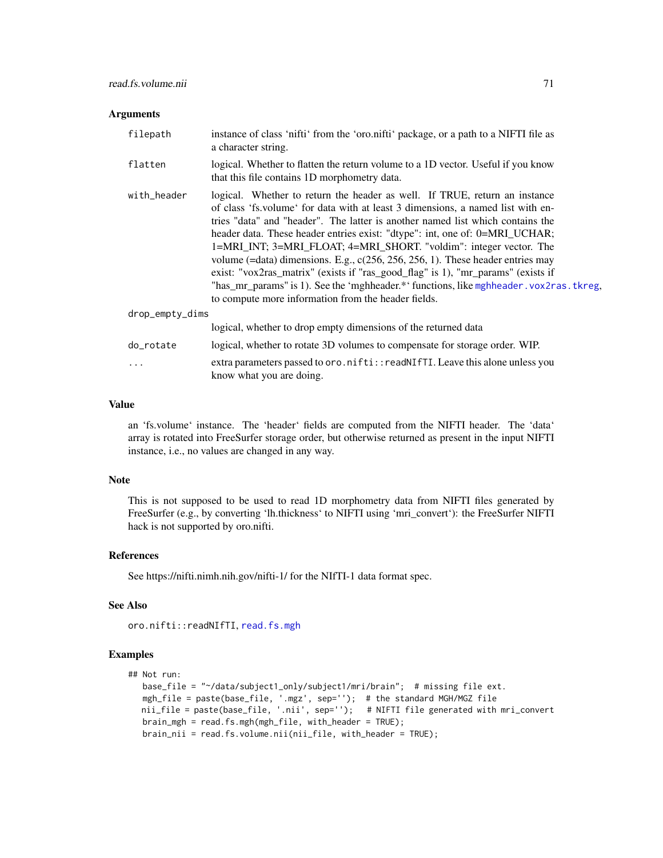#### **Arguments**

| filepath        | instance of class 'nifti' from the 'oro.nifti' package, or a path to a NIFTI file as<br>a character string.                                                                                                                                                                                                                                                                                                                                                                                                                                                                                                                                                                                                                      |
|-----------------|----------------------------------------------------------------------------------------------------------------------------------------------------------------------------------------------------------------------------------------------------------------------------------------------------------------------------------------------------------------------------------------------------------------------------------------------------------------------------------------------------------------------------------------------------------------------------------------------------------------------------------------------------------------------------------------------------------------------------------|
| flatten         | logical. Whether to flatten the return volume to a 1D vector. Useful if you know<br>that this file contains 1D morphometry data.                                                                                                                                                                                                                                                                                                                                                                                                                                                                                                                                                                                                 |
| with_header     | logical. Whether to return the header as well. If TRUE, return an instance<br>of class 'fs. volume' for data with at least 3 dimensions, a named list with en-<br>tries "data" and "header". The latter is another named list which contains the<br>header data. These header entries exist: "dtype": int, one of: 0=MRI_UCHAR;<br>1=MRI_INT; 3=MRI_FLOAT; 4=MRI_SHORT. "voldim": integer vector. The<br>volume (=data) dimensions. E.g., $c(256, 256, 256, 1)$ . These header entries may<br>exist: "vox2ras_matrix" (exists if "ras_good_flag" is 1), "mr_params" (exists if<br>"has_mr_params" is 1). See the 'mghheader.*' functions, like mghheader. vox2ras. tkreg,<br>to compute more information from the header fields. |
| drop_empty_dims |                                                                                                                                                                                                                                                                                                                                                                                                                                                                                                                                                                                                                                                                                                                                  |
|                 | logical, whether to drop empty dimensions of the returned data                                                                                                                                                                                                                                                                                                                                                                                                                                                                                                                                                                                                                                                                   |
| do_rotate       | logical, whether to rotate 3D volumes to compensate for storage order. WIP.                                                                                                                                                                                                                                                                                                                                                                                                                                                                                                                                                                                                                                                      |
| .               | extra parameters passed to oro.nifti::readNIfTI. Leave this alone unless you<br>know what you are doing.                                                                                                                                                                                                                                                                                                                                                                                                                                                                                                                                                                                                                         |

# Value

an 'fs.volume' instance. The 'header' fields are computed from the NIFTI header. The 'data' array is rotated into FreeSurfer storage order, but otherwise returned as present in the input NIFTI instance, i.e., no values are changed in any way.

#### Note

This is not supposed to be used to read 1D morphometry data from NIFTI files generated by FreeSurfer (e.g., by converting 'lh.thickness' to NIFTI using 'mri\_convert'): the FreeSurfer NIFTI hack is not supported by oro.nifti.

# References

See https://nifti.nimh.nih.gov/nifti-1/ for the NIfTI-1 data format spec.

# See Also

oro.nifti::readNIfTI, [read.fs.mgh](#page-43-0)

```
## Not run:
  base_file = "~/data/subject1_only/subject1/mri/brain"; # missing file ext.
  mgh_file = paste(base_file, '.mgz', sep=''); # the standard MGH/MGZ file
  nii_file = paste(base_file, '.nii', sep=''); # NIFTI file generated with mri_convert
  brain_mgh = read.fs.mgh(mgh_file, with_header = TRUE);
  brain_nii = read.fs.volume.nii(nii_file, with_header = TRUE);
```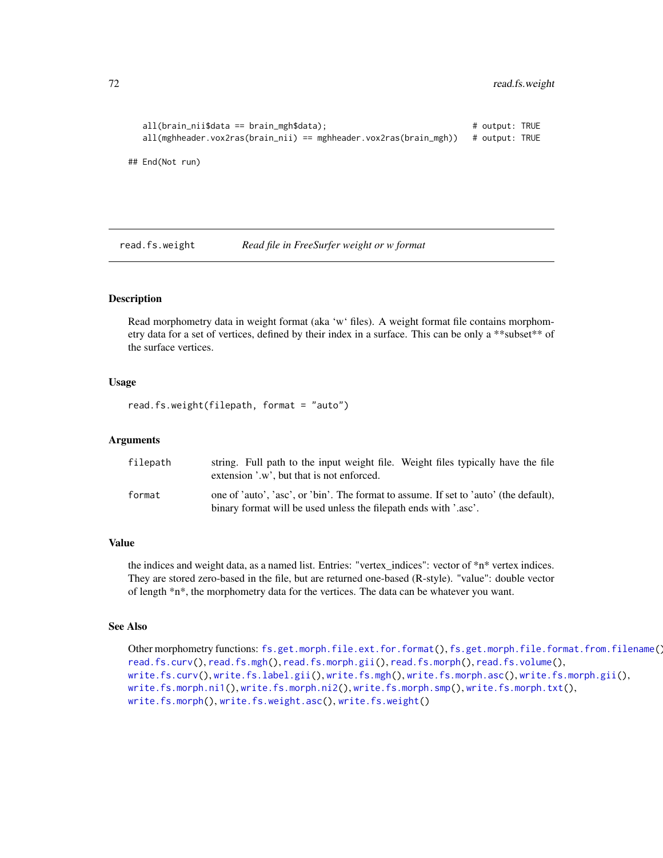```
all(brain_nii$data == brain_mgh$data); # output: TRUE
  all(mghheader.vox2ras(brain_nii) == mghheader.vox2ras(brain_mgh)) # output: TRUE
## End(Not run)
```
<span id="page-71-0"></span>read.fs.weight *Read file in FreeSurfer weight or w format*

# Description

Read morphometry data in weight format (aka 'w' files). A weight format file contains morphometry data for a set of vertices, defined by their index in a surface. This can be only a \*\*subset\*\* of the surface vertices.

### Usage

read.fs.weight(filepath, format = "auto")

# Arguments

| filepath | string. Full path to the input weight file. Weight files typically have the file      |
|----------|---------------------------------------------------------------------------------------|
|          | extension '.w', but that is not enforced.                                             |
| format   | one of 'auto', 'asc', or 'bin'. The format to assume. If set to 'auto' (the default), |
|          | binary format will be used unless the filepath ends with '.asc'.                      |

## Value

the indices and weight data, as a named list. Entries: "vertex\_indices": vector of \*n\* vertex indices. They are stored zero-based in the file, but are returned one-based (R-style). "value": double vector of length \*n\*, the morphometry data for the vertices. The data can be whatever you want.

## See Also

Other morphometry functions: [fs.get.morph.file.ext.for.format\(](#page-9-0)), [fs.get.morph.file.format.from.filename\(](#page-10-0)), [read.fs.curv\(](#page-39-0)), [read.fs.mgh\(](#page-43-0)), [read.fs.morph.gii\(](#page-49-0)), [read.fs.morph\(](#page-45-0)), [read.fs.volume\(](#page-68-0)), [write.fs.curv\(](#page-88-0)), [write.fs.label.gii\(](#page-90-0)), [write.fs.mgh\(](#page-91-0)), [write.fs.morph.asc\(](#page-93-0)), [write.fs.morph.gii\(](#page-93-1)), [write.fs.morph.ni1\(](#page-94-0)), [write.fs.morph.ni2\(](#page-95-0)), [write.fs.morph.smp\(](#page-96-0)), [write.fs.morph.txt\(](#page-96-1)), [write.fs.morph\(](#page-92-0)), [write.fs.weight.asc\(](#page-110-0)), [write.fs.weight\(](#page-109-0))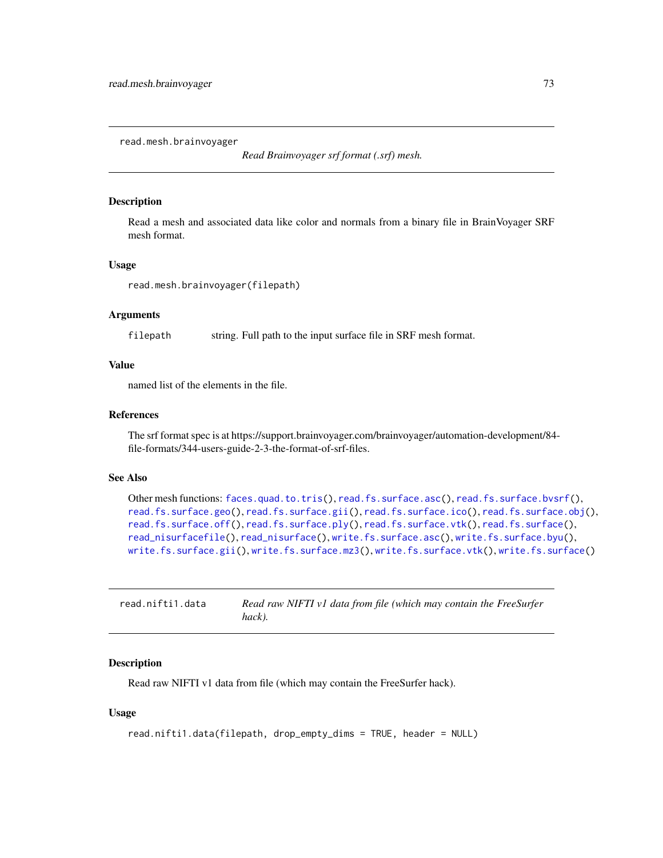<span id="page-72-0"></span>read.mesh.brainvoyager

*Read Brainvoyager srf format (.srf) mesh.*

# Description

Read a mesh and associated data like color and normals from a binary file in BrainVoyager SRF mesh format.

### Usage

read.mesh.brainvoyager(filepath)

# Arguments

filepath string. Full path to the input surface file in SRF mesh format.

# Value

named list of the elements in the file.

### References

The srf format spec is at https://support.brainvoyager.com/brainvoyager/automation-development/84 file-formats/344-users-guide-2-3-the-format-of-srf-files.

# See Also

```
Other mesh functions: faces.quad.to.tris(), read.fs.surface.asc(), read.fs.surface.bvsrf(),
read.fs.surface.geo(read.fs.surface.gii(read.fs.surface.ico(read.fs.surface.obj(),
read.fs.surface.off(), read.fs.surface.ply(), read.fs.surface.vtk(), read.fs.surface(),
read_nisurfacefile(), read_nisurface(), write.fs.surface.asc(), write.fs.surface.byu(),
write.fs.surface.gii(), write.fs.surface.mz3(), write.fs.surface.vtk(), write.fs.surface()
```

| read.nifti1.data | Read raw NIFTI v1 data from file (which may contain the FreeSurfer |
|------------------|--------------------------------------------------------------------|
|                  | hack).                                                             |

### Description

Read raw NIFTI v1 data from file (which may contain the FreeSurfer hack).

# Usage

```
read.nifti1.data(filepath, drop_empty_dims = TRUE, header = NULL)
```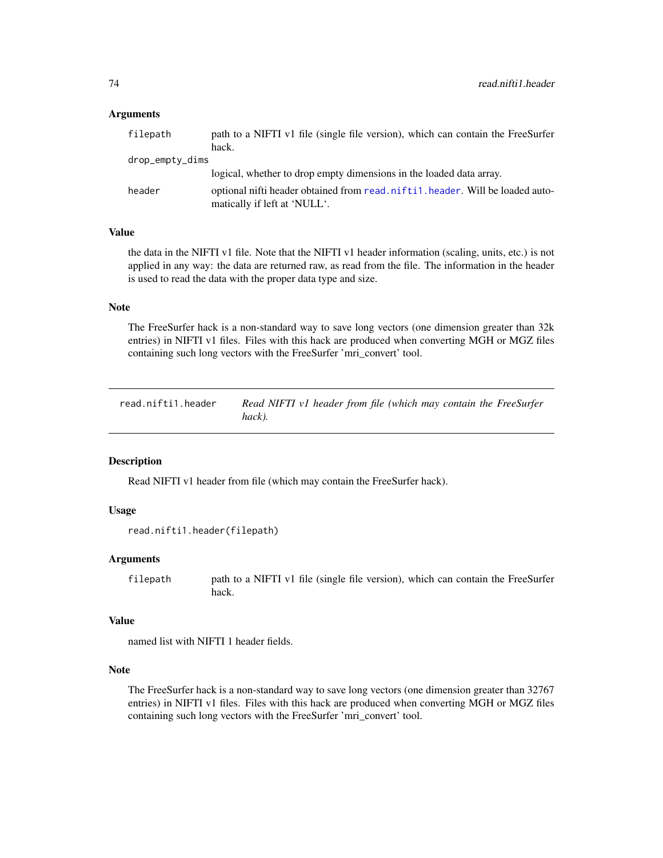### Arguments

| filepath        | path to a NIFTI v1 file (single file version), which can contain the FreeSurfer                                |
|-----------------|----------------------------------------------------------------------------------------------------------------|
|                 | hack.                                                                                                          |
| drop_empty_dims |                                                                                                                |
|                 | logical, whether to drop empty dimensions in the loaded data array.                                            |
| header          | optional nifti header obtained from read. nifti1. header. Will be loaded auto-<br>matically if left at 'NULL'. |

# Value

the data in the NIFTI v1 file. Note that the NIFTI v1 header information (scaling, units, etc.) is not applied in any way: the data are returned raw, as read from the file. The information in the header is used to read the data with the proper data type and size.

# Note

The FreeSurfer hack is a non-standard way to save long vectors (one dimension greater than 32k entries) in NIFTI v1 files. Files with this hack are produced when converting MGH or MGZ files containing such long vectors with the FreeSurfer 'mri\_convert' tool.

<span id="page-73-0"></span>read.nifti1.header *Read NIFTI v1 header from file (which may contain the FreeSurfer hack).*

# Description

Read NIFTI v1 header from file (which may contain the FreeSurfer hack).

# Usage

```
read.nifti1.header(filepath)
```
### Arguments

filepath path to a NIFTI v1 file (single file version), which can contain the FreeSurfer hack.

# Value

named list with NIFTI 1 header fields.

# Note

The FreeSurfer hack is a non-standard way to save long vectors (one dimension greater than 32767 entries) in NIFTI v1 files. Files with this hack are produced when converting MGH or MGZ files containing such long vectors with the FreeSurfer 'mri\_convert' tool.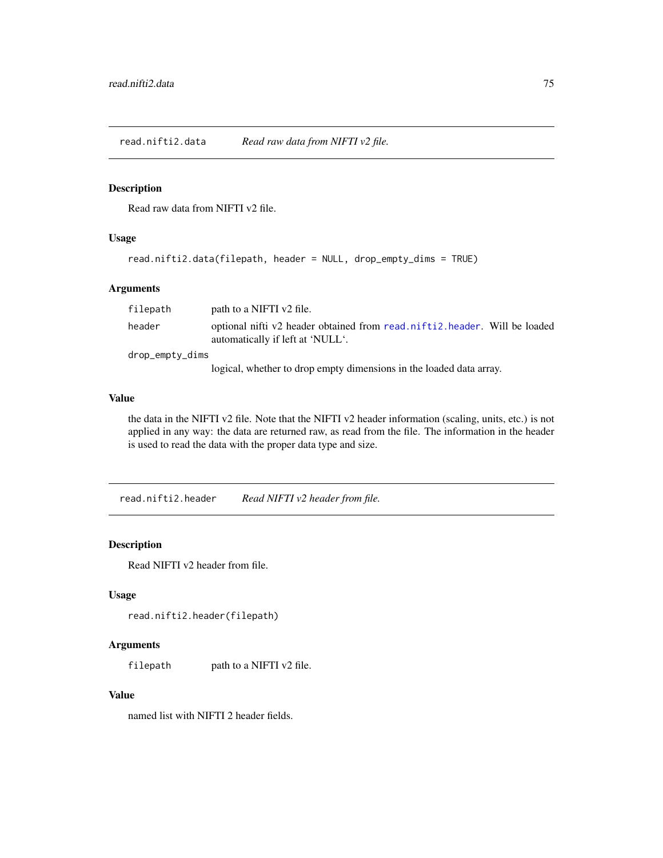read.nifti2.data *Read raw data from NIFTI v2 file.*

# Description

Read raw data from NIFTI v2 file.

# Usage

```
read.nifti2.data(filepath, header = NULL, drop_empty_dims = TRUE)
```
# Arguments

| filepath        | path to a NIFTI v2 file.                                                                                      |
|-----------------|---------------------------------------------------------------------------------------------------------------|
| header          | optional nifti v2 header obtained from read.nifti2.header. Will be loaded<br>automatically if left at 'NULL'. |
| drop_empty_dims |                                                                                                               |
|                 | logical, whether to drop empty dimensions in the loaded data array.                                           |

# Value

the data in the NIFTI v2 file. Note that the NIFTI v2 header information (scaling, units, etc.) is not applied in any way: the data are returned raw, as read from the file. The information in the header is used to read the data with the proper data type and size.

<span id="page-74-0"></span>read.nifti2.header *Read NIFTI v2 header from file.*

# Description

Read NIFTI v2 header from file.

# Usage

```
read.nifti2.header(filepath)
```
# Arguments

filepath path to a NIFTI v2 file.

### Value

named list with NIFTI 2 header fields.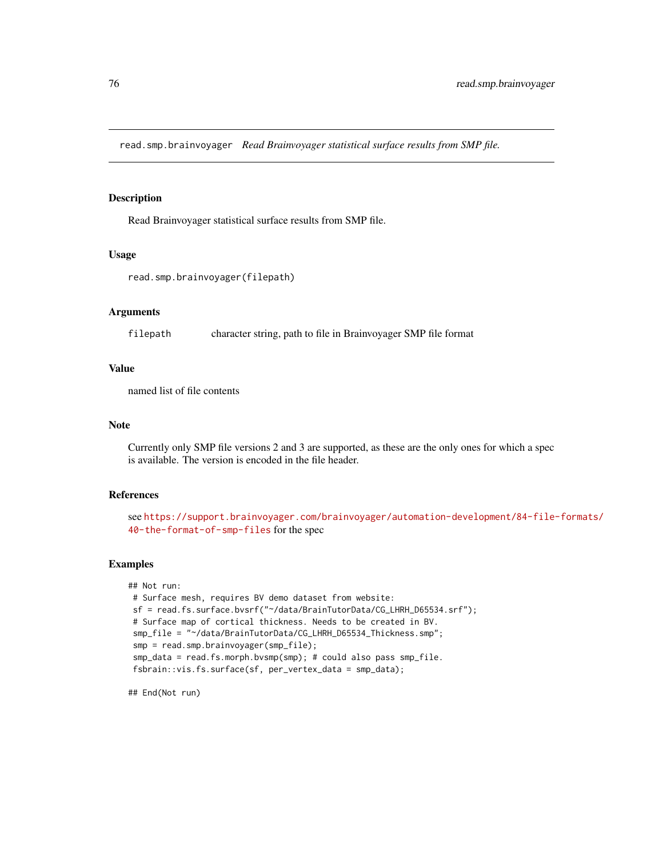read.smp.brainvoyager *Read Brainvoyager statistical surface results from SMP file.*

# Description

Read Brainvoyager statistical surface results from SMP file.

### Usage

```
read.smp.brainvoyager(filepath)
```
### Arguments

filepath character string, path to file in Brainvoyager SMP file format

### Value

named list of file contents

#### Note

Currently only SMP file versions 2 and 3 are supported, as these are the only ones for which a spec is available. The version is encoded in the file header.

### References

see [https://support.brainvoyager.com/brainvoyager/automation-development/84-file-](https://support.brainvoyager.com/brainvoyager/automation-development/84-file-formats/40-the-format-of-smp-files)formats/ [40-the-format-of-smp-files](https://support.brainvoyager.com/brainvoyager/automation-development/84-file-formats/40-the-format-of-smp-files) for the spec

#### Examples

```
## Not run:
# Surface mesh, requires BV demo dataset from website:
sf = read.fs.surface.bvsrf("~/data/BrainTutorData/CG_LHRH_D65534.srf");
# Surface map of cortical thickness. Needs to be created in BV.
smp_file = "~/data/BrainTutorData/CG_LHRH_D65534_Thickness.smp";
 smp = read.smp.brainvoyager(smp_file);
 smp_data = read.fs.morph.bvsmp(smp); # could also pass smp_file.
 fsbrain::vis.fs.surface(sf, per_vertex_data = smp_data);
```
## End(Not run)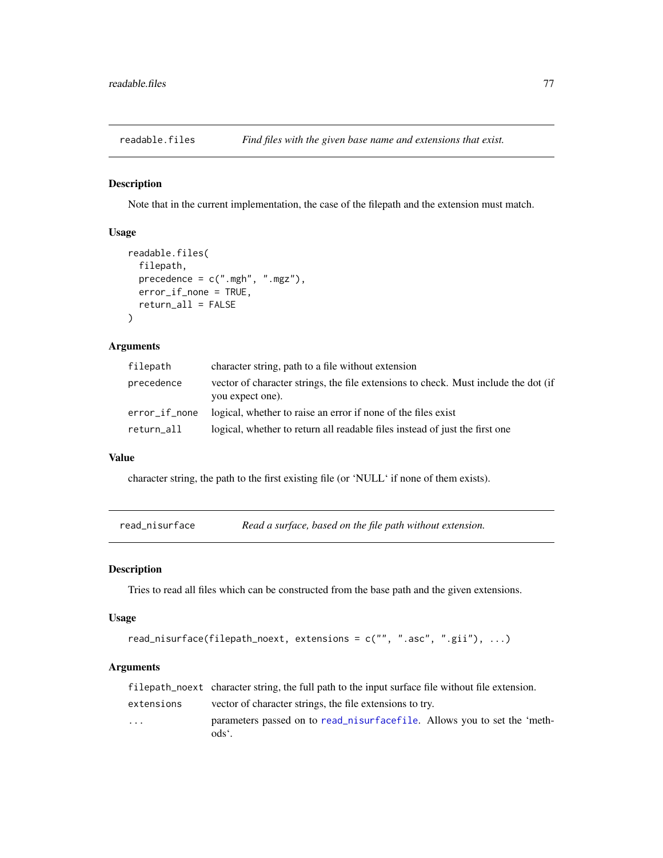readable.files *Find files with the given base name and extensions that exist.*

# Description

Note that in the current implementation, the case of the filepath and the extension must match.

# Usage

```
readable.files(
  filepath,
  precedence = c(".\text{mgh", ".\text{mgz"}},error_if_none = TRUE,
  return_all = FALSE
\lambda
```
# Arguments

| filepath      | character string, path to a file without extension                                                      |
|---------------|---------------------------------------------------------------------------------------------------------|
| precedence    | vector of character strings, the file extensions to check. Must include the dot (if<br>you expect one). |
| error_if_none | logical, whether to raise an error if none of the files exist                                           |
| return_all    | logical, whether to return all readable files instead of just the first one                             |

# Value

character string, the path to the first existing file (or 'NULL' if none of them exists).

<span id="page-76-0"></span>read\_nisurface *Read a surface, based on the file path without extension.*

### Description

Tries to read all files which can be constructed from the base path and the given extensions.

### Usage

```
read_nisurface(filepath_noext, extensions = c("", ".asc", ".gii"), ...)
```
# Arguments

|                         | filepath no ext character string, the full path to the input surface file without file extension. |
|-------------------------|---------------------------------------------------------------------------------------------------|
| extensions              | vector of character strings, the file extensions to try.                                          |
| $\cdot$ $\cdot$ $\cdot$ | parameters passed on to read_nisurfacefile. Allows you to set the 'meth-<br>ods <sup>e</sup> .    |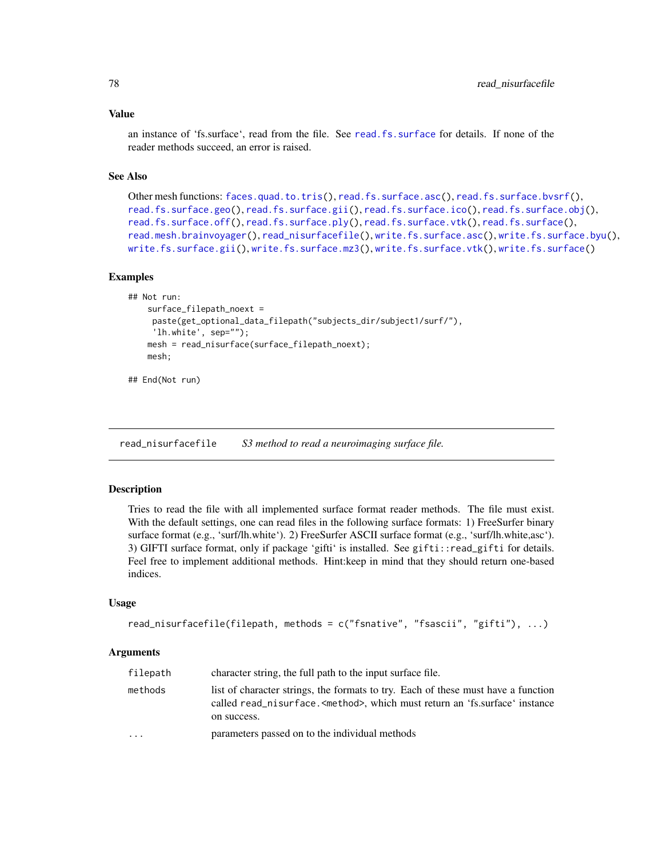#### Value

an instance of 'fs.surface', read from the file. See [read.fs.surface](#page-53-0) for details. If none of the reader methods succeed, an error is raised.

# See Also

```
Other mesh functions: faces.quad.to.tris(), read.fs.surface.asc(), read.fs.surface.bvsrf(),
read.fs.surface.geo(read.fs.surface.gii(read.fs.surface.ico(read.fs.surface.obj(),
read.fs.surface.off(), read.fs.surface.ply(), read.fs.surface.vtk(), read.fs.surface(),
read.mesh.brainvoyager(), read_nisurfacefile(), write.fs.surface.asc(), write.fs.surface.byu(),
write.fs.surface.gii(), write.fs.surface.mz3(), write.fs.surface.vtk(), write.fs.surface()
```
### Examples

```
## Not run:
    surface_filepath_noext =
     paste(get_optional_data_filepath("subjects_dir/subject1/surf/"),
     'lh.white', sep="");
    mesh = read_nisurface(surface_filepath_noext);
   mesh;
```
## End(Not run)

<span id="page-77-0"></span>read\_nisurfacefile *S3 method to read a neuroimaging surface file.*

### Description

Tries to read the file with all implemented surface format reader methods. The file must exist. With the default settings, one can read files in the following surface formats: 1) FreeSurfer binary surface format (e.g., 'surf/lh.white'). 2) FreeSurfer ASCII surface format (e.g., 'surf/lh.white,asc'). 3) GIFTI surface format, only if package 'gifti' is installed. See gifti::read\_gifti for details. Feel free to implement additional methods. Hint:keep in mind that they should return one-based indices.

#### Usage

```
read_nisurfacefile(filepath, methods = c("fsnative", "fsascii", "gifti"), ...)
```
### **Arguments**

| filepath                | character string, the full path to the input surface file.                                                                                                                                |
|-------------------------|-------------------------------------------------------------------------------------------------------------------------------------------------------------------------------------------|
| methods                 | list of character strings, the formats to try. Each of these must have a function<br>called read_nisurface. <method>, which must return an 'fs.surface' instance<br/>on success.</method> |
| $\cdot$ $\cdot$ $\cdot$ | parameters passed on to the individual methods                                                                                                                                            |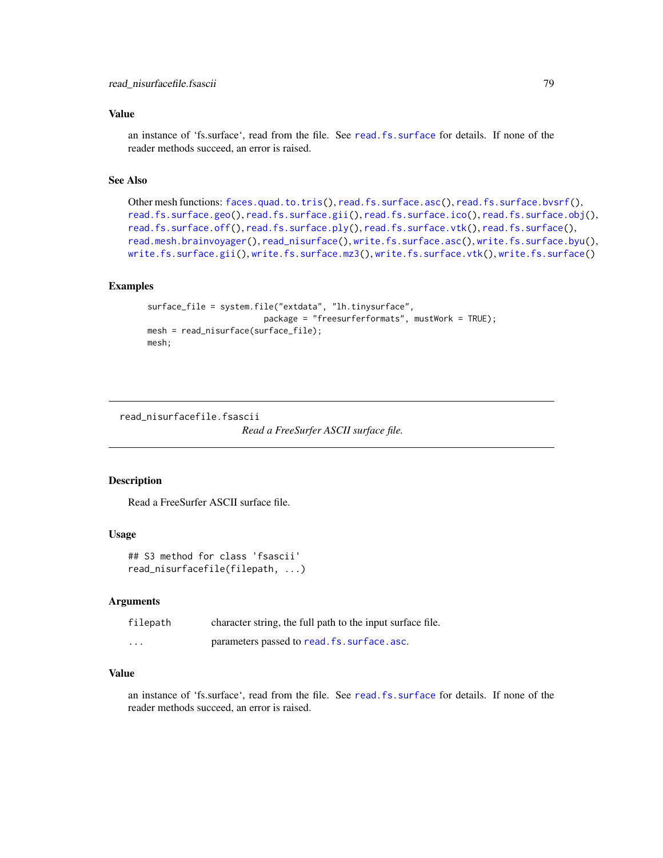# Value

an instance of 'fs.surface', read from the file. See [read.fs.surface](#page-53-0) for details. If none of the reader methods succeed, an error is raised.

# See Also

```
Other mesh functions: faces.quad.to.tris(), read.fs.surface.asc(), read.fs.surface.bvsrf(),
read.fs.surface.geo(read.fs.surface.gii(read.fs.surface.ico(read.fs.surface.obj(),
read.fs.surface.off(), read.fs.surface.ply(), read.fs.surface.vtk(), read.fs.surface(),
read.mesh.brainvoyager(), read_nisurface(), write.fs.surface.asc(), write.fs.surface.byu(),
write.fs.surface.gii(), write.fs.surface.mz3(), write.fs.surface.vtk(), write.fs.surface()
```
# Examples

```
surface_file = system.file("extdata", "lh.tinysurface",
                        package = "freesurferformats", mustWork = TRUE);
mesh = read_nisurface(surface_file);
mesh;
```
read\_nisurfacefile.fsascii

*Read a FreeSurfer ASCII surface file.*

### Description

Read a FreeSurfer ASCII surface file.

### Usage

```
## S3 method for class 'fsascii'
read_nisurfacefile(filepath, ...)
```
# Arguments

| filepath | character string, the full path to the input surface file. |
|----------|------------------------------------------------------------|
| $\cdots$ | parameters passed to read. fs. surface. asc.               |

# Value

an instance of 'fs.surface', read from the file. See [read.fs.surface](#page-53-0) for details. If none of the reader methods succeed, an error is raised.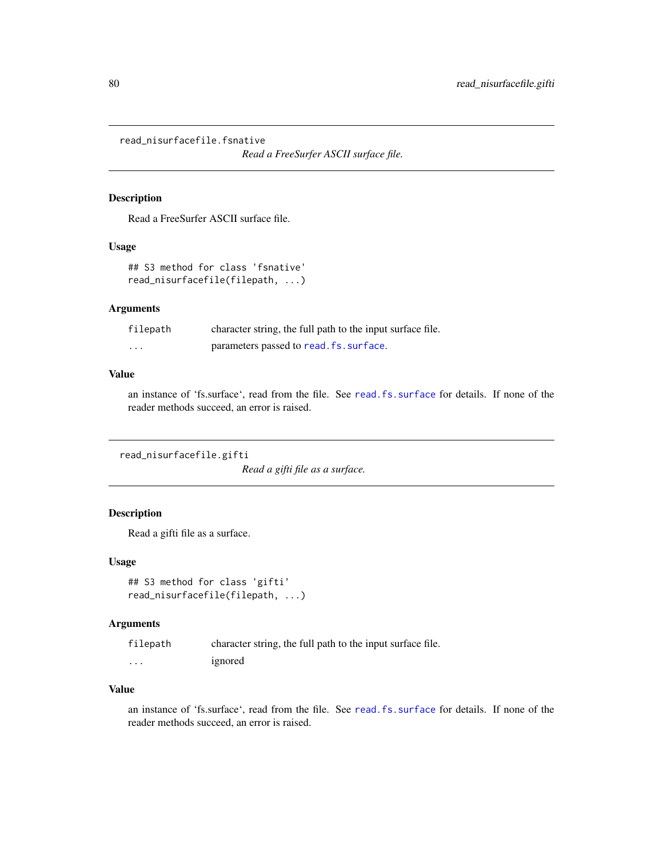read\_nisurfacefile.fsnative

*Read a FreeSurfer ASCII surface file.*

# Description

Read a FreeSurfer ASCII surface file.

# Usage

```
## S3 method for class 'fsnative'
read_nisurfacefile(filepath, ...)
```
### Arguments

| filepath | character string, the full path to the input surface file. |
|----------|------------------------------------------------------------|
| $\cdots$ | parameters passed to read. fs. surface.                    |

### Value

an instance of 'fs.surface', read from the file. See [read.fs.surface](#page-53-0) for details. If none of the reader methods succeed, an error is raised.

read\_nisurfacefile.gifti

*Read a gifti file as a surface.*

# Description

Read a gifti file as a surface.

### Usage

```
## S3 method for class 'gifti'
read_nisurfacefile(filepath, ...)
```
### Arguments

| filepath          | character string, the full path to the input surface file. |
|-------------------|------------------------------------------------------------|
| $\cdot\cdot\cdot$ | ignored                                                    |

### Value

an instance of 'fs.surface', read from the file. See [read.fs.surface](#page-53-0) for details. If none of the reader methods succeed, an error is raised.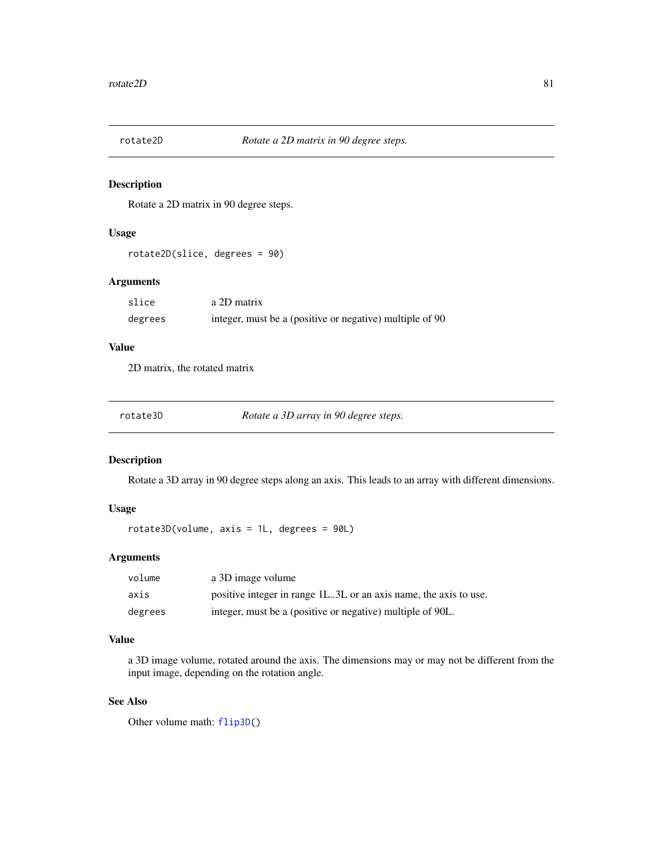# Description

Rotate a 2D matrix in 90 degree steps.

# Usage

rotate2D(slice, degrees = 90)

# Arguments

| slice   | a 2D matrix                                              |
|---------|----------------------------------------------------------|
| degrees | integer, must be a (positive or negative) multiple of 90 |

# Value

2D matrix, the rotated matrix

| Rotate a 3D array in 90 degree steps.<br>rotate3D |  |  |  |
|---------------------------------------------------|--|--|--|
|---------------------------------------------------|--|--|--|

# Description

Rotate a 3D array in 90 degree steps along an axis. This leads to an array with different dimensions.

# Usage

rotate3D(volume, axis = 1L, degrees = 90L)

# Arguments

| volume  | a 3D image volume                                                |
|---------|------------------------------------------------------------------|
| axis    | positive integer in range 1L3L or an axis name, the axis to use. |
| degrees | integer, must be a (positive or negative) multiple of 90L.       |

### Value

a 3D image volume, rotated around the axis. The dimensions may or may not be different from the input image, depending on the rotation angle.

# See Also

Other volume math: [flip3D\(](#page-8-0))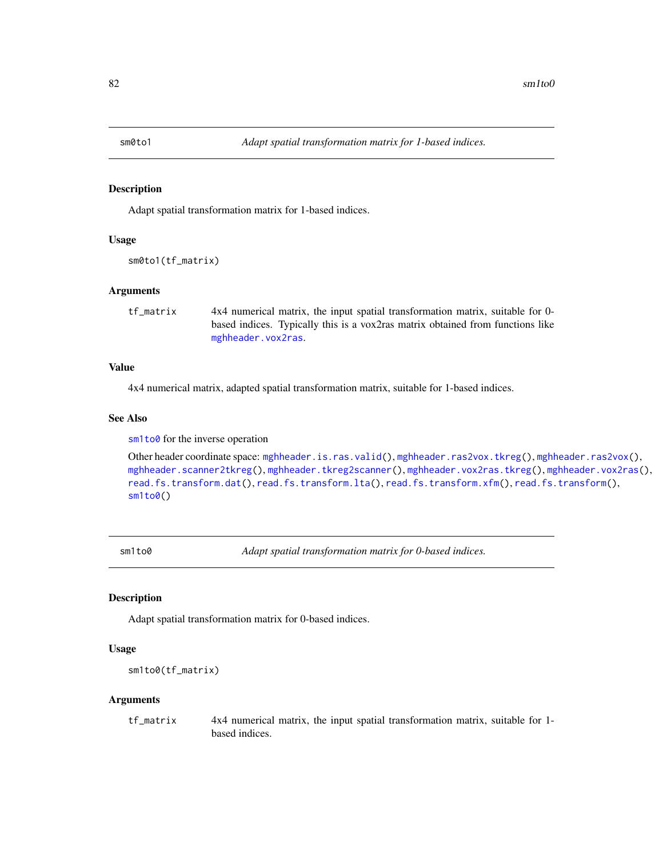<span id="page-81-1"></span>

### Description

Adapt spatial transformation matrix for 1-based indices.

### Usage

sm0to1(tf\_matrix)

### Arguments

tf\_matrix 4x4 numerical matrix, the input spatial transformation matrix, suitable for 0 based indices. Typically this is a vox2ras matrix obtained from functions like [mghheader.vox2ras](#page-25-0).

### Value

4x4 numerical matrix, adapted spatial transformation matrix, suitable for 1-based indices.

# See Also

[sm1to0](#page-81-0) for the inverse operation

```
Other header coordinate space: mghheader.is.ras.valid(), mghheader.ras2vox.tkreg(), mghheader.ras2vox(),
mghheader.scanner2tkreg(), mghheader.tkreg2scanner(), mghheader.vox2ras.tkreg(), mghheader.vox2ras(),
read.fs.transform.dat(), read.fs.transform.lta(), read.fs.transform.xfm(), read.fs.transform(),
sm<sub>1</sub>to0()
```
<span id="page-81-0"></span>sm1to0 *Adapt spatial transformation matrix for 0-based indices.*

### Description

Adapt spatial transformation matrix for 0-based indices.

### Usage

```
sm1to0(tf_matrix)
```
### Arguments

tf\_matrix 4x4 numerical matrix, the input spatial transformation matrix, suitable for 1 based indices.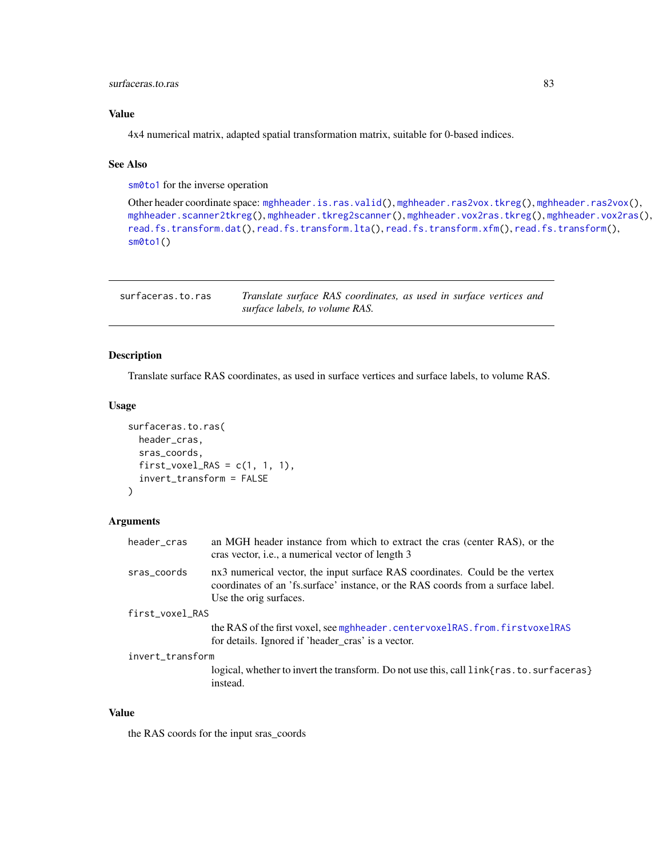# surfaceras.to.ras 83

# Value

4x4 numerical matrix, adapted spatial transformation matrix, suitable for 0-based indices.

# See Also

[sm0to1](#page-81-1) for the inverse operation

```
Other header coordinate space: mghheader.is.ras.valid(), mghheader.ras2vox.tkreg(), mghheader.ras2vox(),
mghheader.scanner2tkreg(), mghheader.tkreg2scanner(), mghheader.vox2ras.tkreg(), mghheader.vox2ras(),
read.fs.transform.dat(), read.fs.transform.lta(), read.fs.transform.xfm(), read.fs.transform(),
sm0to1()
```

| surfaceras.to.ras | Translate surface RAS coordinates, as used in surface vertices and |
|-------------------|--------------------------------------------------------------------|
|                   | surface labels, to volume RAS.                                     |

# Description

Translate surface RAS coordinates, as used in surface vertices and surface labels, to volume RAS.

### Usage

```
surfaceras.to.ras(
  header_cras,
  sras_coords,
  first_vovel_RAS = c(1, 1, 1),invert_transform = FALSE
)
```
### Arguments

| header_cras      | an MGH header instance from which to extract the cras (center RAS), or the<br>cras vector, i.e., a numerical vector of length 3                                                            |
|------------------|--------------------------------------------------------------------------------------------------------------------------------------------------------------------------------------------|
| sras_coords      | nx3 numerical vector, the input surface RAS coordinates. Could be the vertex<br>coordinates of an 'fs.surface' instance, or the RAS coords from a surface label.<br>Use the orig surfaces. |
| first_voxel_RAS  |                                                                                                                                                                                            |
|                  | the RAS of the first voxel, see mghheader.centervoxelRAS.from.firstvoxelRAS<br>for details. Ignored if 'header_cras' is a vector.                                                          |
| invert_transform |                                                                                                                                                                                            |
|                  | logical, whether to invert the transform. Do not use this, call link{ras. to. surfaceras}<br>instead.                                                                                      |

# Value

the RAS coords for the input sras\_coords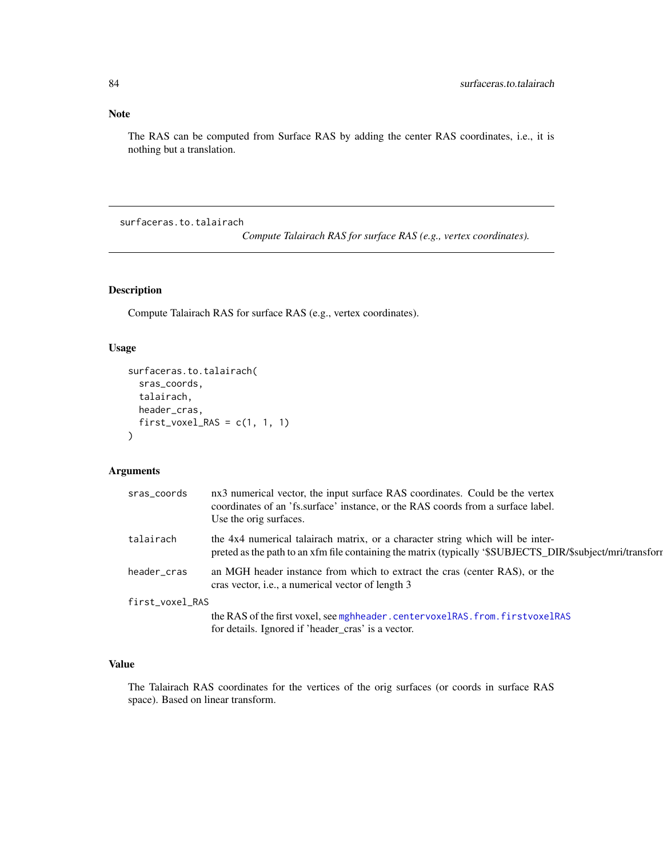# Note

The RAS can be computed from Surface RAS by adding the center RAS coordinates, i.e., it is nothing but a translation.

surfaceras.to.talairach

*Compute Talairach RAS for surface RAS (e.g., vertex coordinates).*

# Description

Compute Talairach RAS for surface RAS (e.g., vertex coordinates).

### Usage

```
surfaceras.to.talairach(
  sras_coords,
  talairach,
 header_cras,
  first_voxel_RAS = c(1, 1, 1)\mathcal{L}
```
# Arguments

| sras_coords     | nx3 numerical vector, the input surface RAS coordinates. Could be the vertex<br>coordinates of an 'fs.surface' instance, or the RAS coords from a surface label.<br>Use the orig surfaces.   |
|-----------------|----------------------------------------------------------------------------------------------------------------------------------------------------------------------------------------------|
| talairach       | the 4x4 numerical talairach matrix, or a character string which will be inter-<br>preted as the path to an xfm file containing the matrix (typically '\$SUBJECTS_DIR/\$subject/mri/transform |
| header_cras     | an MGH header instance from which to extract the cras (center RAS), or the<br>cras vector, <i>i.e.</i> , a numerical vector of length 3                                                      |
| first_voxel_RAS |                                                                                                                                                                                              |
|                 | the RAS of the first voxel, see mghheader.centervoxelRAS.from.firstvoxelRAS                                                                                                                  |
|                 | for details. Ignored if 'header cras' is a vector.                                                                                                                                           |

# Value

The Talairach RAS coordinates for the vertices of the orig surfaces (or coords in surface RAS space). Based on linear transform.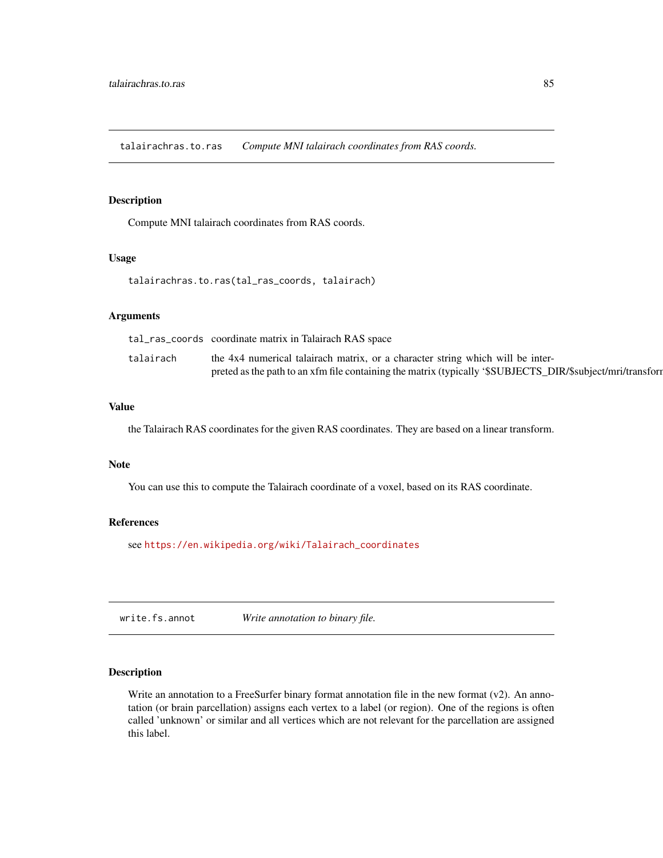talairachras.to.ras *Compute MNI talairach coordinates from RAS coords.*

### Description

Compute MNI talairach coordinates from RAS coords.

# Usage

talairachras.to.ras(tal\_ras\_coords, talairach)

# Arguments

|           | tal_ras_coords coordinate matrix in Talairach RAS space                                                    |
|-----------|------------------------------------------------------------------------------------------------------------|
| talairach | the 4x4 numerical talairach matrix, or a character string which will be inter-                             |
|           | preted as the path to an xfm file containing the matrix (typically '\$SUBJECTS_DIR/\$subject/mri/transform |

# Value

the Talairach RAS coordinates for the given RAS coordinates. They are based on a linear transform.

# Note

You can use this to compute the Talairach coordinate of a voxel, based on its RAS coordinate.

### References

see [https://en.wikipedia.org/wiki/Talairach\\_coordinates](https://en.wikipedia.org/wiki/Talairach_coordinates)

<span id="page-84-0"></span>write.fs.annot *Write annotation to binary file.*

# Description

Write an annotation to a FreeSurfer binary format annotation file in the new format  $(v2)$ . An annotation (or brain parcellation) assigns each vertex to a label (or region). One of the regions is often called 'unknown' or similar and all vertices which are not relevant for the parcellation are assigned this label.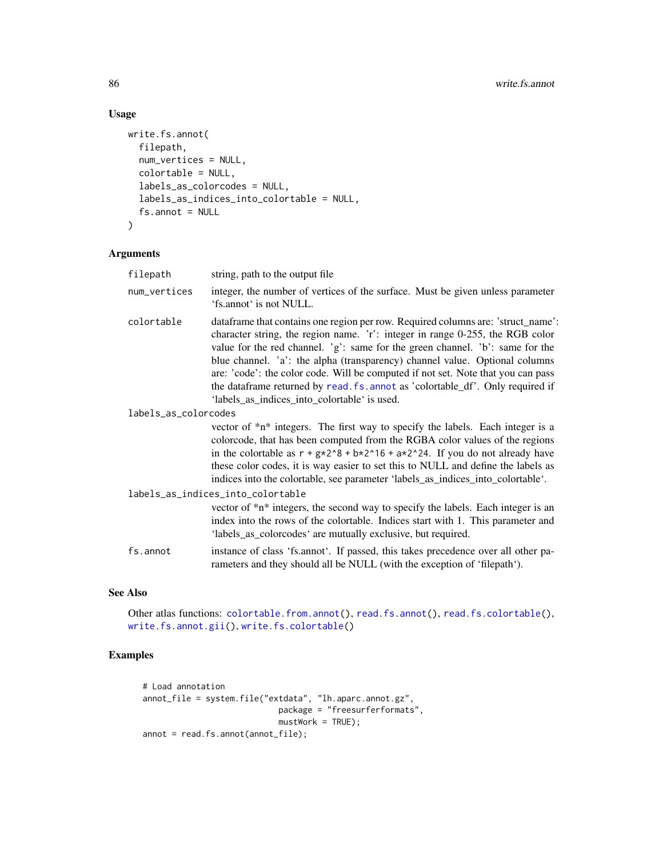# Usage

```
write.fs.annot(
  filepath,
  num_vertices = NULL,
  colortable = NULL,
  labels_as_colorcodes = NULL,
  labels_as_indices_into_colortable = NULL,
  fs. annot = NULL
\mathcal{L}
```
# Arguments

| filepath             | string, path to the output file.                                                                                                                                                                                                                                                                                                                                                                                                                                                                                                                        |  |
|----------------------|---------------------------------------------------------------------------------------------------------------------------------------------------------------------------------------------------------------------------------------------------------------------------------------------------------------------------------------------------------------------------------------------------------------------------------------------------------------------------------------------------------------------------------------------------------|--|
| num_vertices         | integer, the number of vertices of the surface. Must be given unless parameter<br>'fs.annot' is not NULL.                                                                                                                                                                                                                                                                                                                                                                                                                                               |  |
| colortable           | dataframe that contains one region per row. Required columns are: 'struct_name':<br>character string, the region name. 'r': integer in range 0-255, the RGB color<br>value for the red channel. 'g': same for the green channel. 'b': same for the<br>blue channel. 'a': the alpha (transparency) channel value. Optional columns<br>are: 'code': the color code. Will be computed if not set. Note that you can pass<br>the dataframe returned by read. fs. annot as 'colortable_df'. Only required if<br>'labels_as_indices_into_colortable' is used. |  |
| labels_as_colorcodes |                                                                                                                                                                                                                                                                                                                                                                                                                                                                                                                                                         |  |
|                      | vector of *n* integers. The first way to specify the labels. Each integer is a<br>colorcode, that has been computed from the RGBA color values of the regions<br>in the colortable as $r + g*2^8 + b*2^16 + a*2^24$ . If you do not already have<br>these color codes, it is way easier to set this to NULL and define the labels as<br>indices into the colortable, see parameter 'labels_as_indices_into_colortable'.                                                                                                                                 |  |
|                      | labels_as_indices_into_colortable                                                                                                                                                                                                                                                                                                                                                                                                                                                                                                                       |  |
|                      | vector of *n* integers, the second way to specify the labels. Each integer is an<br>index into the rows of the colortable. Indices start with 1. This parameter and<br>'labels_as_colorcodes' are mutually exclusive, but required.                                                                                                                                                                                                                                                                                                                     |  |
| fs.annot             | instance of class 'fs.annot'. If passed, this takes precedence over all other pa-<br>rameters and they should all be NULL (with the exception of 'filepath').                                                                                                                                                                                                                                                                                                                                                                                           |  |

# See Also

Other atlas functions: [colortable.from.annot\(](#page-5-0)), [read.fs.annot\(](#page-36-0)), [read.fs.colortable\(](#page-38-0)), [write.fs.annot.gii\(](#page-86-0)), [write.fs.colortable\(](#page-87-0))

# Examples

```
# Load annotation
annot_file = system.file("extdata", "lh.aparc.annot.gz",
                            package = "freesurferformats",
                            mustWork = TRUE;
annot = read.fs.annot(annot_file);
```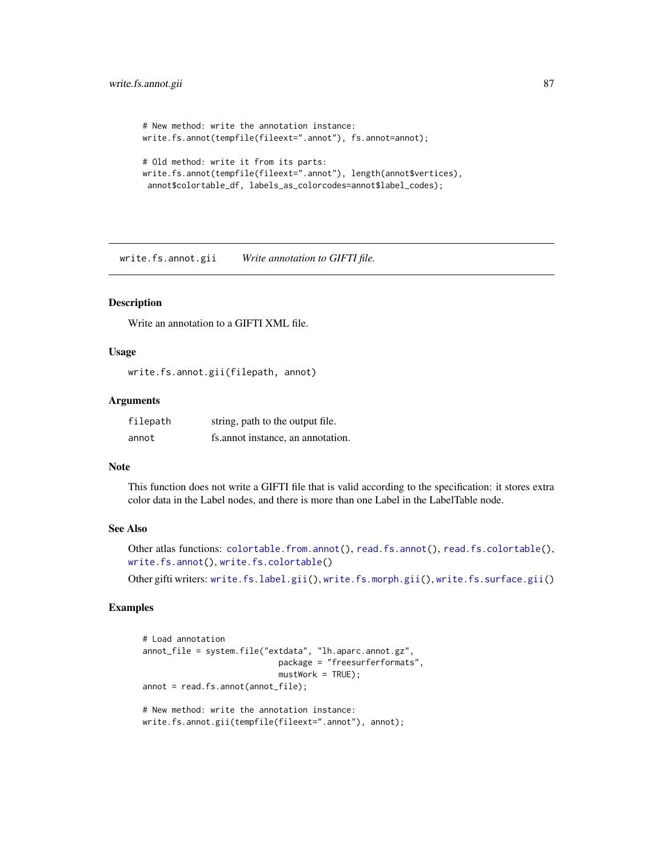```
# New method: write the annotation instance:
write.fs.annot(tempfile(fileext=".annot"), fs.annot=annot);
# Old method: write it from its parts:
write.fs.annot(tempfile(fileext=".annot"), length(annot$vertices),
annot$colortable_df, labels_as_colorcodes=annot$label_codes);
```
<span id="page-86-0"></span>write.fs.annot.gii *Write annotation to GIFTI file.*

# Description

Write an annotation to a GIFTI XML file.

### Usage

```
write.fs.annot.gii(filepath, annot)
```
### Arguments

| filepath | string, path to the output file.  |
|----------|-----------------------------------|
| annot    | fs.annot instance, an annotation. |

### Note

This function does not write a GIFTI file that is valid according to the specification: it stores extra color data in the Label nodes, and there is more than one Label in the LabelTable node.

### See Also

```
Other atlas functions: colortable.from.annot(), read.fs.annot(), read.fs.colortable(),
write.fs.annot(), write.fs.colortable()
```
Other gifti writers: [write.fs.label.gii\(](#page-90-0)), [write.fs.morph.gii\(](#page-93-0)), [write.fs.surface.gii\(](#page-102-0))

# Examples

```
# Load annotation
annot_file = system.file("extdata", "lh.aparc.annot.gz",
                            package = "freesurferformats",
                            mustWork = TRUE);
annot = read.fs.annot(annot_file);
# New method: write the annotation instance:
write.fs.annot.gii(tempfile(fileext=".annot"), annot);
```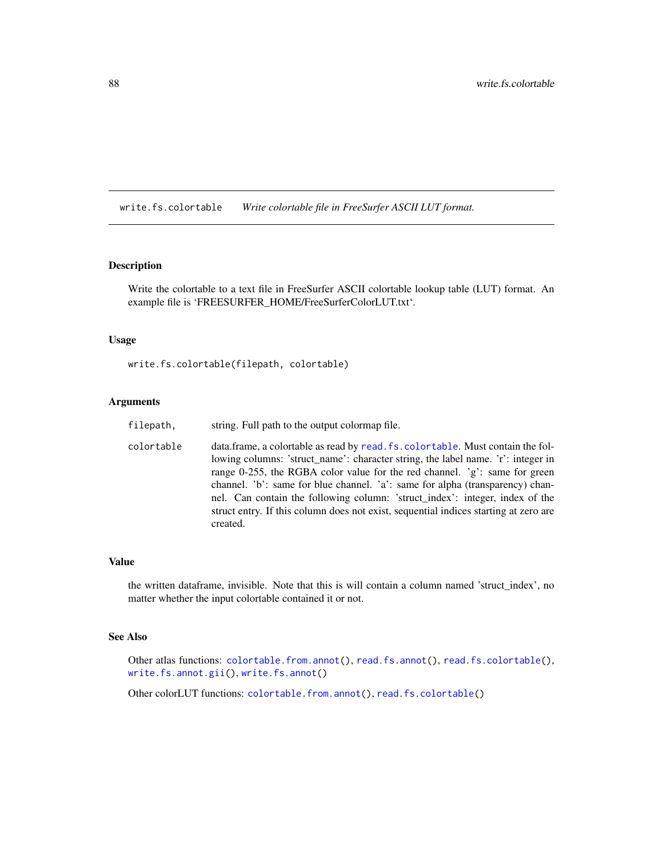<span id="page-87-0"></span>write.fs.colortable *Write colortable file in FreeSurfer ASCII LUT format.*

### Description

Write the colortable to a text file in FreeSurfer ASCII colortable lookup table (LUT) format. An example file is 'FREESURFER\_HOME/FreeSurferColorLUT.txt'.

# Usage

```
write.fs.colortable(filepath, colortable)
```
# Arguments

| filepath.  | string. Full path to the output colormap file.                                                                                                                                                                                                                                                                                                                                                                                                                                                                          |
|------------|-------------------------------------------------------------------------------------------------------------------------------------------------------------------------------------------------------------------------------------------------------------------------------------------------------------------------------------------------------------------------------------------------------------------------------------------------------------------------------------------------------------------------|
| colortable | data.frame, a colortable as read by read. fs. colortable. Must contain the fol-<br>lowing columns: 'struct_name': character string, the label name. 'r': integer in<br>range 0-255, the RGBA color value for the red channel. $g$ : same for green<br>channel. 'b': same for blue channel. 'a': same for alpha (transparency) chan-<br>nel. Can contain the following column: 'struct index': integer, index of the<br>struct entry. If this column does not exist, sequential indices starting at zero are<br>created. |

### Value

the written dataframe, invisible. Note that this is will contain a column named 'struct\_index', no matter whether the input colortable contained it or not.

# See Also

Other atlas functions: [colortable.from.annot\(](#page-5-0)), [read.fs.annot\(](#page-36-0)), [read.fs.colortable\(](#page-38-0)), [write.fs.annot.gii\(](#page-86-0)), [write.fs.annot\(](#page-84-0))

Other colorLUT functions: [colortable.from.annot\(](#page-5-0)), [read.fs.colortable\(](#page-38-0))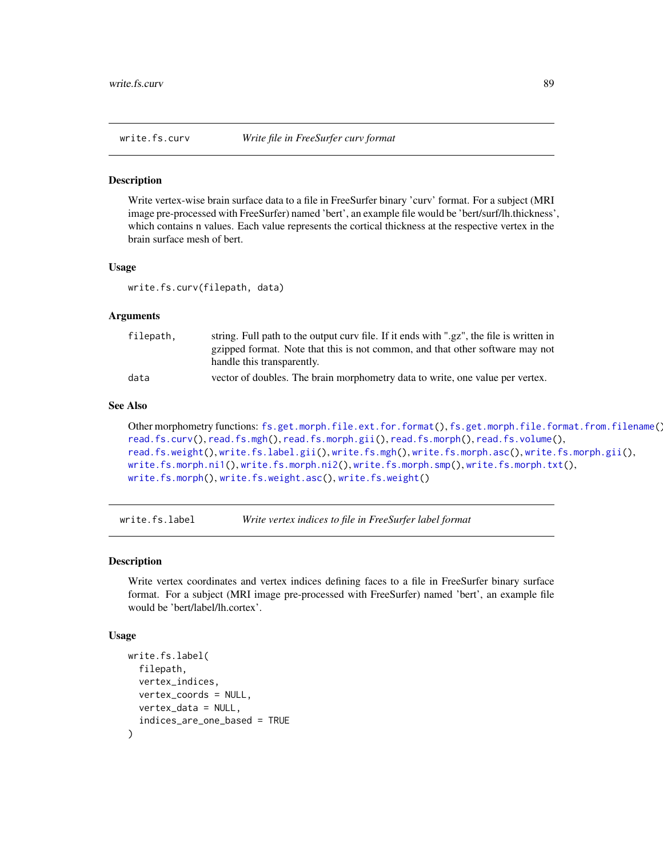<span id="page-88-0"></span>

#### **Description**

Write vertex-wise brain surface data to a file in FreeSurfer binary 'curv' format. For a subject (MRI image pre-processed with FreeSurfer) named 'bert', an example file would be 'bert/surf/lh.thickness', which contains n values. Each value represents the cortical thickness at the respective vertex in the brain surface mesh of bert.

# Usage

write.fs.curv(filepath, data)

# Arguments

| filepath, | string. Full path to the output curv file. If it ends with ".gz", the file is written in |
|-----------|------------------------------------------------------------------------------------------|
|           | gzipped format. Note that this is not common, and that other software may not            |
|           | handle this transparently.                                                               |
| data      | vector of doubles. The brain morphometry data to write, one value per vertex.            |

### See Also

```
Other morphometry functions: fs.get.morph.file.ext.for.format(), fs.get.morph.file.format.from.filename(),
read.fs.curv(), read.fs.mgh(), read.fs.morph.gii(), read.fs.morph(), read.fs.volume(),
read.fs.weight(), write.fs.label.gii(), write.fs.mgh(), write.fs.morph.asc(), write.fs.morph.gii(),
write.fs.morph.ni1(), write.fs.morph.ni2(), write.fs.morph.smp(), write.fs.morph.txt(),
write.fs.morph(), write.fs.weight.asc(), write.fs.weight()
```
write.fs.label *Write vertex indices to file in FreeSurfer label format*

# Description

Write vertex coordinates and vertex indices defining faces to a file in FreeSurfer binary surface format. For a subject (MRI image pre-processed with FreeSurfer) named 'bert', an example file would be 'bert/label/lh.cortex'.

### Usage

```
write.fs.label(
  filepath,
  vertex_indices,
  vertex_coords = NULL,
  vertex_data = NULL,
  indices_are_one_based = TRUE
)
```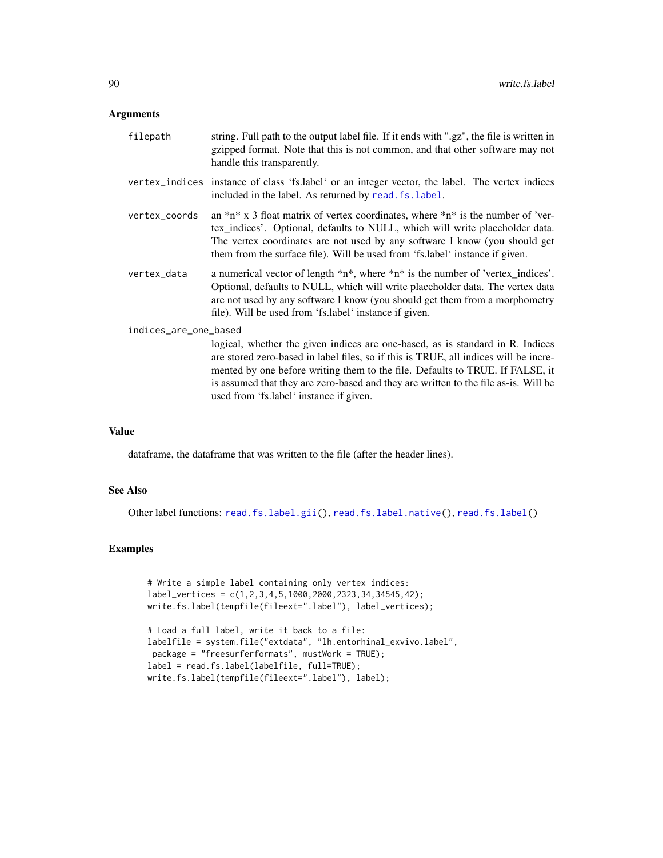### Arguments

| filepath              | string. Full path to the output label file. If it ends with ".gz", the file is written in<br>gzipped format. Note that this is not common, and that other software may not<br>handle this transparently.                                                                                                                                                                                  |  |
|-----------------------|-------------------------------------------------------------------------------------------------------------------------------------------------------------------------------------------------------------------------------------------------------------------------------------------------------------------------------------------------------------------------------------------|--|
|                       | vertex_indices instance of class 'fs.label' or an integer vector, the label. The vertex indices<br>included in the label. As returned by read. fs. label.                                                                                                                                                                                                                                 |  |
| vertex_coords         | an $\pi$ <sup>*</sup> n <sup>*</sup> x 3 float matrix of vertex coordinates, where $\pi$ <sup>*</sup> n <sup>*</sup> is the number of 'ver-<br>tex_indices'. Optional, defaults to NULL, which will write placeholder data.<br>The vertex coordinates are not used by any software I know (you should get<br>them from the surface file). Will be used from 'fs.label' instance if given. |  |
| vertex_data           | a numerical vector of length $*n*,$ where $*n*$ is the number of 'vertex_indices'.<br>Optional, defaults to NULL, which will write placeholder data. The vertex data<br>are not used by any software I know (you should get them from a morphometry<br>file). Will be used from 'fs.label' instance if given.                                                                             |  |
| indices_are_one_based |                                                                                                                                                                                                                                                                                                                                                                                           |  |
|                       | logical, whether the given indices are one-based, as is standard in R. Indices<br>are stored zero-based in label files, so if this is TRUE, all indices will be incre-<br>mented by one before writing them to the file. Defaults to TRUE. If FALSE, it                                                                                                                                   |  |

is assumed that they are zero-based and they are written to the file as-is. Will be

#### Value

dataframe, the dataframe that was written to the file (after the header lines).

used from 'fs.label' instance if given.

# See Also

Other label functions: [read.fs.label.gii\(](#page-41-1)), [read.fs.label.native\(](#page-42-0)), [read.fs.label\(](#page-41-0))

# Examples

```
# Write a simple label containing only vertex indices:
label_vertices = c(1,2,3,4,5,1000,2000,2323,34,34545,42);
write.fs.label(tempfile(fileext=".label"), label_vertices);
# Load a full label, write it back to a file:
labelfile = system.file("extdata", "lh.entorhinal_exvivo.label",
package = "freesurferformats", mustWork = TRUE);
label = read.fs.label(labelfile, full=TRUE);
write.fs.label(tempfile(fileext=".label"), label);
```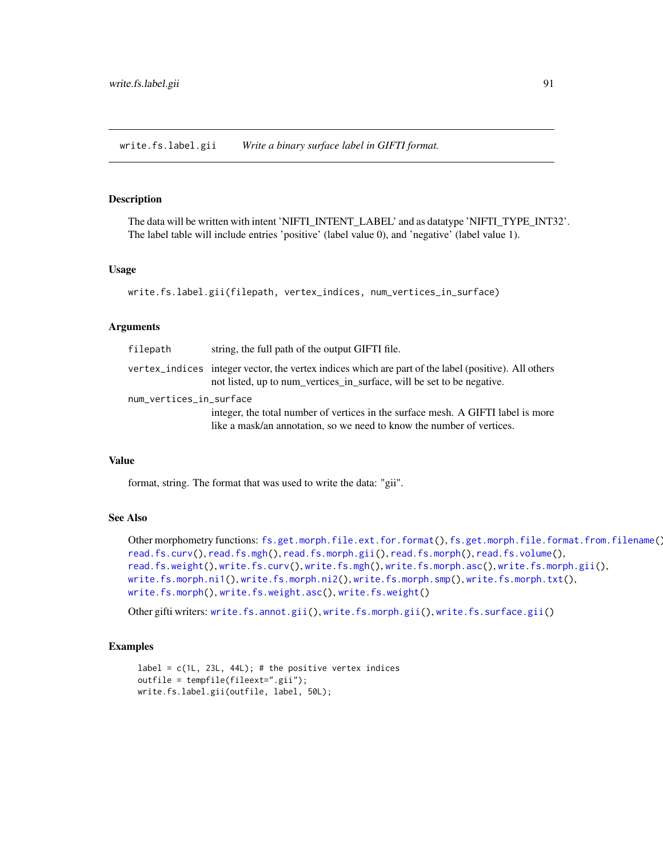<span id="page-90-0"></span>write.fs.label.gii *Write a binary surface label in GIFTI format.*

### Description

The data will be written with intent 'NIFTI\_INTENT\_LABEL' and as datatype 'NIFTI\_TYPE\_INT32'. The label table will include entries 'positive' (label value 0), and 'negative' (label value 1).

#### Usage

```
write.fs.label.gii(filepath, vertex_indices, num_vertices_in_surface)
```
### Arguments

| filepath                | string, the full path of the output GIFTI file.                                                                                                                                |  |
|-------------------------|--------------------------------------------------------------------------------------------------------------------------------------------------------------------------------|--|
|                         | vertex_indices integer vector, the vertex indices which are part of the label (positive). All others<br>not listed, up to num_vertices_in_surface, will be set to be negative. |  |
| num_vertices_in_surface |                                                                                                                                                                                |  |
|                         | integer, the total number of vertices in the surface mesh. A GIFTI label is more                                                                                               |  |
|                         | like a mask/an annotation, so we need to know the number of vertices.                                                                                                          |  |

### Value

format, string. The format that was used to write the data: "gii".

# See Also

```
Other morphometry functions: fs.get.morph.file.ext.for.format(), fs.get.morph.file.format.from.filename(),
read.fs.curv(), read.fs.mgh(), read.fs.morph.gii(), read.fs.morph(), read.fs.volume(),
read.fs.weight(), write.fs.curv(), write.fs.mgh(), write.fs.morph.asc(), write.fs.morph.gii(),
write.fs.morph.ni1(), write.fs.morph.ni2(), write.fs.morph.smp(), write.fs.morph.txt(),
write.fs.morph(), write.fs.weight.asc(), write.fs.weight()
```
Other gifti writers: [write.fs.annot.gii\(](#page-86-0)), [write.fs.morph.gii\(](#page-93-0)), [write.fs.surface.gii\(](#page-102-0))

### Examples

```
label = c(1L, 23L, 44L); # the positive vertex indices
outfile = tempfile(fileext=".gii");
write.fs.label.gii(outfile, label, 50L);
```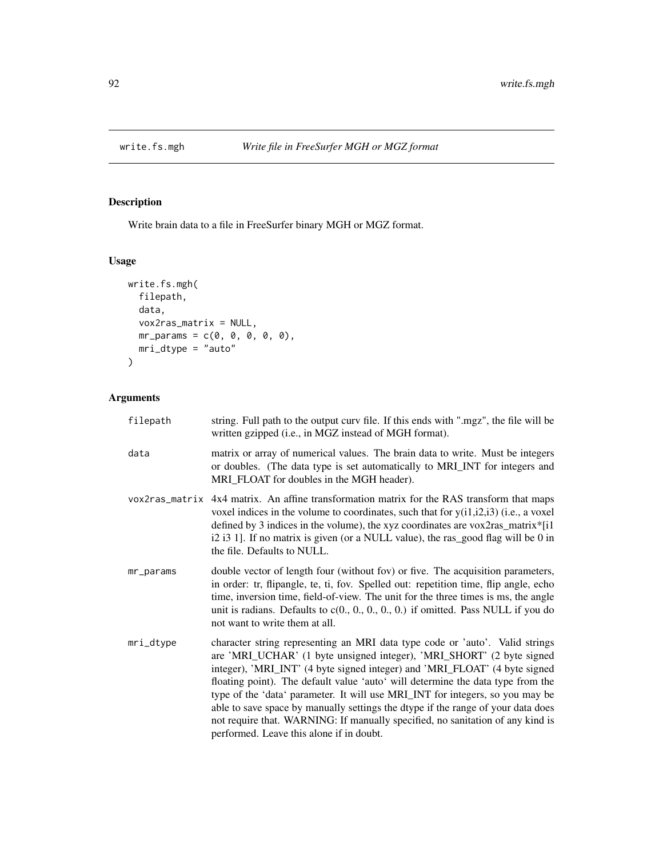<span id="page-91-0"></span>

# Description

Write brain data to a file in FreeSurfer binary MGH or MGZ format.

# Usage

```
write.fs.mgh(
  filepath,
  data,
  vox2ras_matrix = NULL,
  mr\_params = c(0, 0, 0, 0, 0),
 mri_dtype = "auto")
```
# Arguments

| filepath  | string. Full path to the output curv file. If this ends with ".mgz", the file will be<br>written gzipped (i.e., in MGZ instead of MGH format).                                                                                                                                                                                                                                                                                                                                                                                                                                                                            |
|-----------|---------------------------------------------------------------------------------------------------------------------------------------------------------------------------------------------------------------------------------------------------------------------------------------------------------------------------------------------------------------------------------------------------------------------------------------------------------------------------------------------------------------------------------------------------------------------------------------------------------------------------|
| data      | matrix or array of numerical values. The brain data to write. Must be integers<br>or doubles. (The data type is set automatically to MRI_INT for integers and<br>MRI_FLOAT for doubles in the MGH header).                                                                                                                                                                                                                                                                                                                                                                                                                |
|           | vox2ras_matrix 4x4 matrix. An affine transformation matrix for the RAS transform that maps<br>voxel indices in the volume to coordinates, such that for $y(i1,i2,i3)$ (i.e., a voxel<br>defined by 3 indices in the volume), the xyz coordinates are vox2ras_matrix*[i1]<br>i2 i3 1]. If no matrix is given (or a NULL value), the ras_good flag will be 0 in<br>the file. Defaults to NULL.                                                                                                                                                                                                                              |
| mr_params | double vector of length four (without fov) or five. The acquisition parameters,<br>in order: tr, flipangle, te, ti, fov. Spelled out: repetition time, flip angle, echo<br>time, inversion time, field-of-view. The unit for the three times is ms, the angle<br>unit is radians. Defaults to $c(0., 0., 0., 0., 0.)$ if omitted. Pass NULL if you do<br>not want to write them at all.                                                                                                                                                                                                                                   |
| mri_dtype | character string representing an MRI data type code or 'auto'. Valid strings<br>are 'MRI_UCHAR' (1 byte unsigned integer), 'MRI_SHORT' (2 byte signed<br>integer), 'MRI_INT' (4 byte signed integer) and 'MRI_FLOAT' (4 byte signed<br>floating point). The default value 'auto' will determine the data type from the<br>type of the 'data' parameter. It will use MRI_INT for integers, so you may be<br>able to save space by manually settings the dtype if the range of your data does<br>not require that. WARNING: If manually specified, no sanitation of any kind is<br>performed. Leave this alone if in doubt. |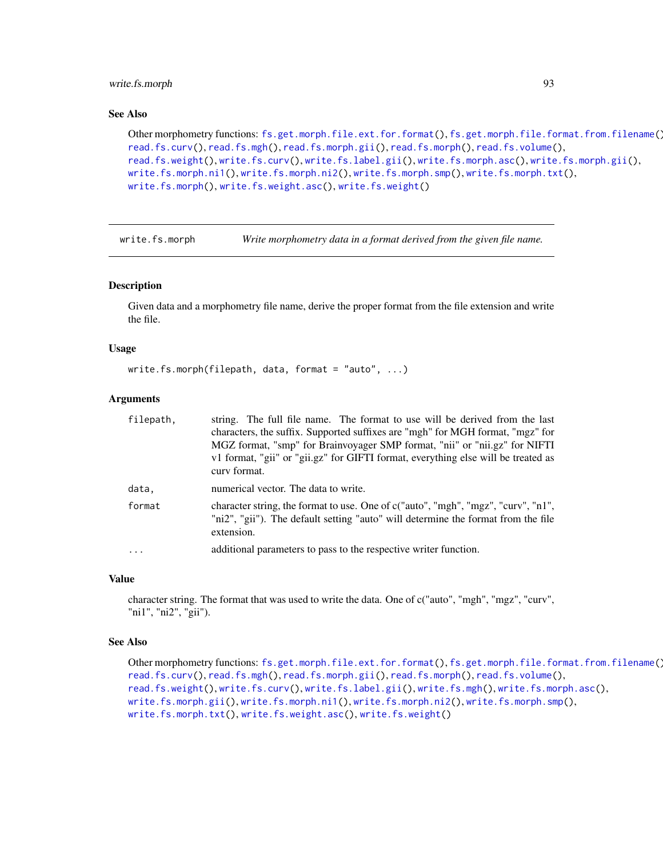# write.fs.morph 93

### See Also

Other morphometry functions: [fs.get.morph.file.ext.for.format\(](#page-9-0)), [fs.get.morph.file.format.from.filename\(](#page-10-0)), [read.fs.curv\(](#page-39-0)), [read.fs.mgh\(](#page-43-0)), [read.fs.morph.gii\(](#page-49-0)), [read.fs.morph\(](#page-45-0)), [read.fs.volume\(](#page-68-0)), [read.fs.weight\(](#page-71-0)), [write.fs.curv\(](#page-88-0)), [write.fs.label.gii\(](#page-90-0)), [write.fs.morph.asc\(](#page-93-1)), [write.fs.morph.gii\(](#page-93-0)), [write.fs.morph.ni1\(](#page-94-0)), [write.fs.morph.ni2\(](#page-95-0)), [write.fs.morph.smp\(](#page-96-0)), [write.fs.morph.txt\(](#page-96-1)), [write.fs.morph\(](#page-92-0)), [write.fs.weight.asc\(](#page-110-0)), [write.fs.weight\(](#page-109-0))

<span id="page-92-0"></span>write.fs.morph *Write morphometry data in a format derived from the given file name.*

### Description

Given data and a morphometry file name, derive the proper format from the file extension and write the file.

### Usage

```
write.fs.morph(filepath, data, format = "auto", ...)
```
### Arguments

| filepath, | string. The full file name. The format to use will be derived from the last                                                                                                          |
|-----------|--------------------------------------------------------------------------------------------------------------------------------------------------------------------------------------|
|           | characters, the suffix. Supported suffixes are "mgh" for MGH format, "mgz" for                                                                                                       |
|           | MGZ format, "smp" for Brainvoyager SMP format, "nii" or "nii.gz" for NIFTI                                                                                                           |
|           | v1 format, "gii" or "gii.gz" for GIFTI format, everything else will be treated as<br>curv format.                                                                                    |
|           |                                                                                                                                                                                      |
| data.     | numerical vector. The data to write.                                                                                                                                                 |
| format    | character string, the format to use. One of c("auto", "mgh", "mgz", "curv", "n1",<br>"ni2", "gii"). The default setting "auto" will determine the format from the file<br>extension. |
| $\ddots$  | additional parameters to pass to the respective writer function.                                                                                                                     |

# Value

character string. The format that was used to write the data. One of c("auto", "mgh", "mgz", "curv", "ni1", "ni2", "gii").

### See Also

```
Other morphometry functions: fs.get.morph.file.ext.for.format(), fs.get.morph.file.format.from.filename(),
read.fs.curv(), read.fs.mgh(), read.fs.morph.gii(), read.fs.morph(), read.fs.volume(),
read.fs.weight(), write.fs.curv(), write.fs.label.gii(), write.fs.mgh(), write.fs.morph.asc(),
write.fs.morph.gii(), write.fs.morph.ni1(), write.fs.morph.ni2(), write.fs.morph.smp(),
write.fs.morph.txt(), write.fs.weight.asc(), write.fs.weight()
```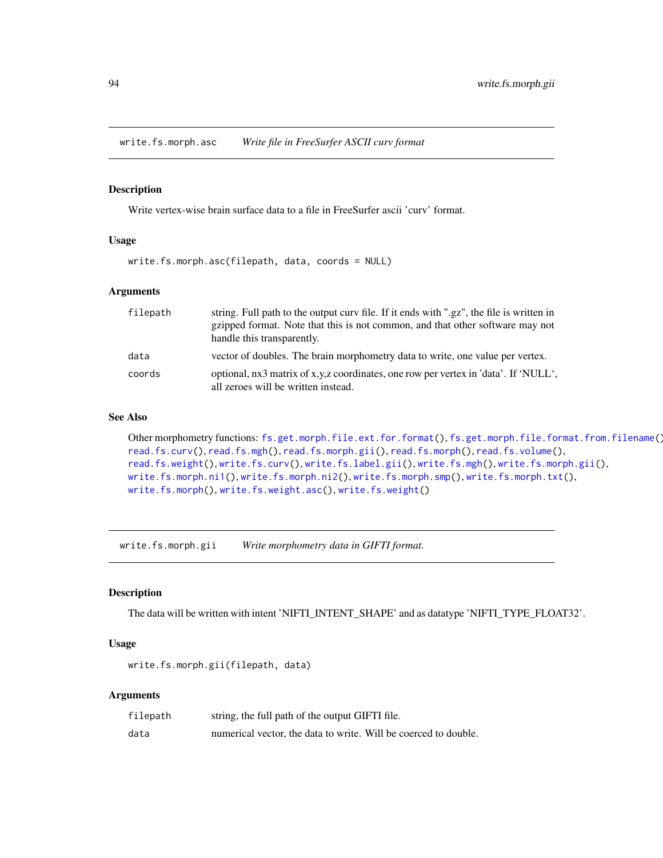<span id="page-93-1"></span>write.fs.morph.asc *Write file in FreeSurfer ASCII curv format*

### Description

Write vertex-wise brain surface data to a file in FreeSurfer ascii 'curv' format.

#### Usage

```
write.fs.morph.asc(filepath, data, coords = NULL)
```
### Arguments

| filepath | string. Full path to the output curv file. If it ends with ".gz", the file is written in<br>gzipped format. Note that this is not common, and that other software may not<br>handle this transparently. |
|----------|---------------------------------------------------------------------------------------------------------------------------------------------------------------------------------------------------------|
| data     | vector of doubles. The brain morphometry data to write, one value per vertex.                                                                                                                           |
| coords   | optional, nx3 matrix of x,y,z coordinates, one row per vertex in 'data'. If 'NULL',<br>all zeroes will be written instead.                                                                              |

# See Also

```
Other morphometry functions: fs.get.morph.file.ext.for.format(), fs.get.morph.file.format.from.filename(),
read.fs.curv(), read.fs.mgh(), read.fs.morph.gii(), read.fs.morph(), read.fs.volume(),
read.fs.weight(), write.fs.curv(), write.fs.label.gii(), write.fs.mgh(), write.fs.morph.gii(),
write.fs.morph.ni1(), write.fs.morph.ni2(), write.fs.morph.smp(), write.fs.morph.txt(),
write.fs.morph(), write.fs.weight.asc(), write.fs.weight()
```
<span id="page-93-0"></span>write.fs.morph.gii *Write morphometry data in GIFTI format.*

### Description

The data will be written with intent 'NIFTI\_INTENT\_SHAPE' and as datatype 'NIFTI\_TYPE\_FLOAT32'.

# Usage

```
write.fs.morph.gii(filepath, data)
```
# Arguments

| filepath | string, the full path of the output GIFTI file.                 |
|----------|-----------------------------------------------------------------|
| data     | numerical vector, the data to write. Will be coerced to double. |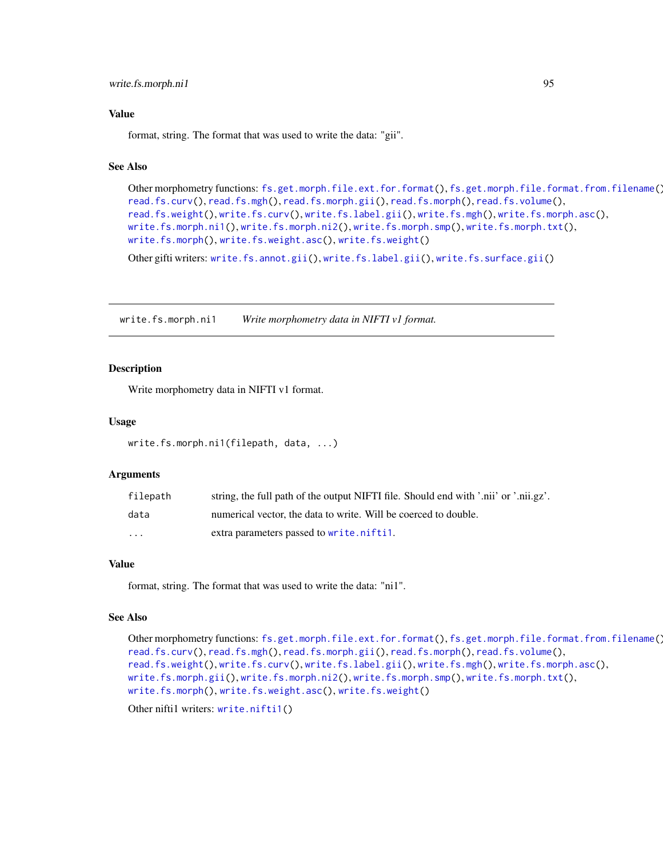### Value

format, string. The format that was used to write the data: "gii".

# See Also

```
Other morphometry functions: fs.get.morph.file.ext.for.format(), fs.get.morph.file.format.from.filename(),
read.fs.curv(), read.fs.mgh(), read.fs.morph.gii(), read.fs.morph(), read.fs.volume(),
read.fs.weight(), write.fs.curv(), write.fs.label.gii(), write.fs.mgh(), write.fs.morph.asc(),
write.fs.morph.ni1(), write.fs.morph.ni2(), write.fs.morph.smp(), write.fs.morph.txt(),
write.fs.morph(), write.fs.weight.asc(), write.fs.weight()
```
Other gifti writers: [write.fs.annot.gii\(](#page-86-0)), [write.fs.label.gii\(](#page-90-0)), [write.fs.surface.gii\(](#page-102-0))

<span id="page-94-0"></span>write.fs.morph.ni1 *Write morphometry data in NIFTI v1 format.*

### **Description**

Write morphometry data in NIFTI v1 format.

### Usage

```
write.fs.morph.ni1(filepath, data, ...)
```
#### Arguments

| filepath | string, the full path of the output NIFTI file. Should end with '.nii' or '.nii.gz'. |
|----------|--------------------------------------------------------------------------------------|
| data     | numerical vector, the data to write. Will be coerced to double.                      |
| $\cdot$  | extra parameters passed to write.nifti1.                                             |

### Value

format, string. The format that was used to write the data: "ni1".

#### See Also

```
Other morphometry functions: fs.get.morph.file.ext.for.format(), fs.get.morph.file.format.from.filename(),
read.fs.curv(), read.fs.mgh(), read.fs.morph.gii(), read.fs.morph(), read.fs.volume(),
read.fs.weight(), write.fs.curv(), write.fs.label.gii(), write.fs.mgh(), write.fs.morph.asc(),
write.fs.morph.gii(), write.fs.morph.ni2(), write.fs.morph.smp(), write.fs.morph.txt(),
write.fs.morph(), write.fs.weight.asc(), write.fs.weight()
```
Other nifti1 writers: [write.nifti1\(](#page-111-0))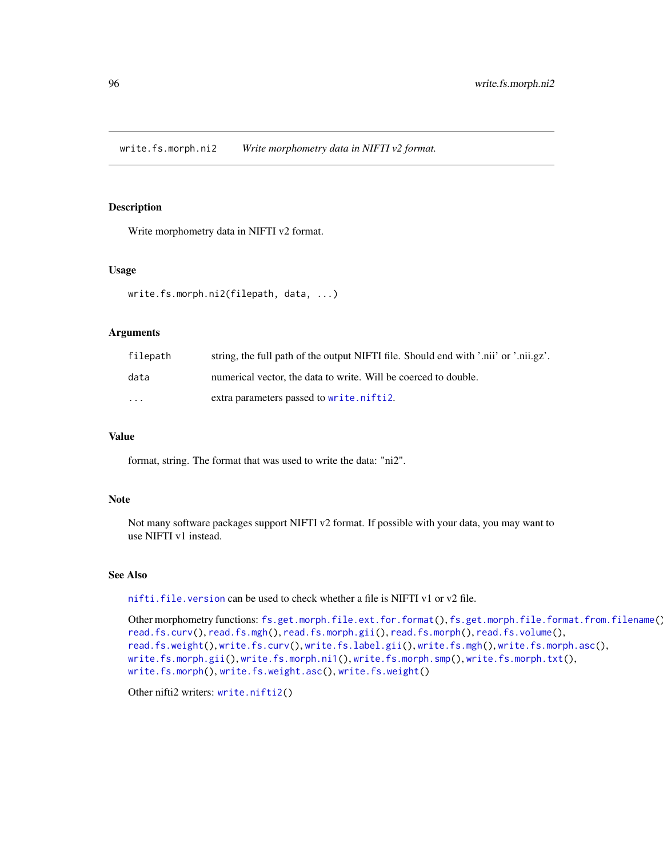<span id="page-95-0"></span>write.fs.morph.ni2 *Write morphometry data in NIFTI v2 format.*

# Description

Write morphometry data in NIFTI v2 format.

### Usage

```
write.fs.morph.ni2(filepath, data, ...)
```
### **Arguments**

| filepath          | string, the full path of the output NIFTI file. Should end with '.nii' or '.nii.gz'. |
|-------------------|--------------------------------------------------------------------------------------|
| data              | numerical vector, the data to write. Will be coerced to double.                      |
| $\cdot\cdot\cdot$ | extra parameters passed to write.nifti2.                                             |

#### Value

format, string. The format that was used to write the data: "ni2".

# Note

Not many software packages support NIFTI v2 format. If possible with your data, you may want to use NIFTI v1 instead.

#### See Also

[nifti.file.version](#page-31-0) can be used to check whether a file is NIFTI v1 or v2 file.

```
Other morphometry functions: fs.get.morph.file.ext.for.format(), fs.get.morph.file.format.from.filename(),
read.fs.curv(), read.fs.mgh(), read.fs.morph.gii(), read.fs.morph(), read.fs.volume(),
read.fs.weight(), write.fs.curv(), write.fs.label.gii(), write.fs.mgh(), write.fs.morph.asc(),
write.fs.morph.gii(), write.fs.morph.ni1(), write.fs.morph.smp(), write.fs.morph.txt(),
write.fs.morph(), write.fs.weight.asc(), write.fs.weight()
```
Other nifti2 writers: [write.nifti2\(](#page-111-1))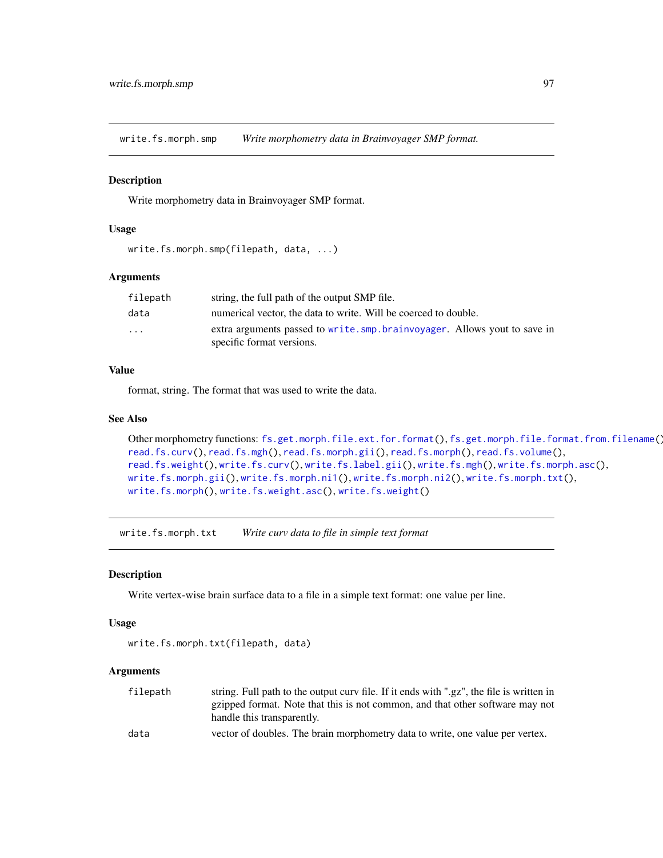<span id="page-96-0"></span>write.fs.morph.smp *Write morphometry data in Brainvoyager SMP format.*

#### Description

Write morphometry data in Brainvoyager SMP format.

### Usage

```
write.fs.morph.smp(filepath, data, ...)
```
### Arguments

| filepath | string, the full path of the output SMP file.                                                           |
|----------|---------------------------------------------------------------------------------------------------------|
| data     | numerical vector, the data to write. Will be coerced to double.                                         |
| $\cdots$ | extra arguments passed to write. smp. brainvoyager. Allows yout to save in<br>specific format versions. |

# Value

format, string. The format that was used to write the data.

# See Also

```
Other morphometry functions: fs.get.morph.file.ext.for.format(), fs.get.morph.file.format.from.filename(),
read.fs.curv(), read.fs.mgh(), read.fs.morph.gii(), read.fs.morph(), read.fs.volume(),
read.fs.weight(), write.fs.curv(), write.fs.label.gii(), write.fs.mgh(), write.fs.morph.asc(),
write.fs.morph.gii(), write.fs.morph.ni1(), write.fs.morph.ni2(), write.fs.morph.txt(),
write.fs.morph(), write.fs.weight.asc(), write.fs.weight()
```
<span id="page-96-1"></span>write.fs.morph.txt *Write curv data to file in simple text format*

### Description

Write vertex-wise brain surface data to a file in a simple text format: one value per line.

#### Usage

```
write.fs.morph.txt(filepath, data)
```
### Arguments

| filepath | string. Full path to the output curv file. If it ends with ".gz", the file is written in |
|----------|------------------------------------------------------------------------------------------|
|          | gzipped format. Note that this is not common, and that other software may not            |
|          | handle this transparently.                                                               |
| data     | vector of doubles. The brain morphometry data to write, one value per vertex.            |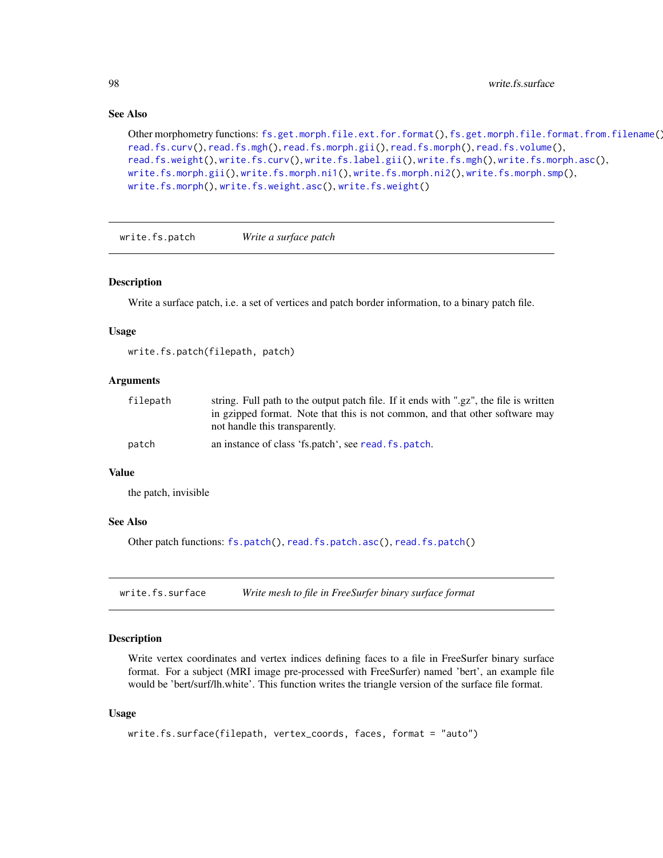# See Also

```
Other morphometry functions: fs.get.morph.file.ext.for.format(), fs.get.morph.file.format.from.filename(),
read.fs.curv(), read.fs.mgh(), read.fs.morph.gii(), read.fs.morph(), read.fs.volume(),
read.fs.weight(), write.fs.curv(), write.fs.label.gii(), write.fs.mgh(), write.fs.morph.asc(),
write.fs.morph.gii(), write.fs.morph.ni1(), write.fs.morph.ni2(), write.fs.morph.smp(),
write.fs.morph(), write.fs.weight.asc(), write.fs.weight()
```
write.fs.patch *Write a surface patch*

#### Description

Write a surface patch, i.e. a set of vertices and patch border information, to a binary patch file.

### Usage

write.fs.patch(filepath, patch)

# Arguments

| filepath | string. Full path to the output patch file. If it ends with ".gz", the file is written<br>in gzipped format. Note that this is not common, and that other software may |
|----------|------------------------------------------------------------------------------------------------------------------------------------------------------------------------|
|          | not handle this transparently.                                                                                                                                         |
| patch    | an instance of class 'fs.patch', see read. fs.patch.                                                                                                                   |

#### Value

the patch, invisible

#### See Also

Other patch functions: [fs.patch\(](#page-10-1)), [read.fs.patch.asc\(](#page-52-1)), [read.fs.patch\(](#page-52-0))

<span id="page-97-0"></span>write.fs.surface *Write mesh to file in FreeSurfer binary surface format*

### Description

Write vertex coordinates and vertex indices defining faces to a file in FreeSurfer binary surface format. For a subject (MRI image pre-processed with FreeSurfer) named 'bert', an example file would be 'bert/surf/lh.white'. This function writes the triangle version of the surface file format.

### Usage

```
write.fs.surface(filepath, vertex_coords, faces, format = "auto")
```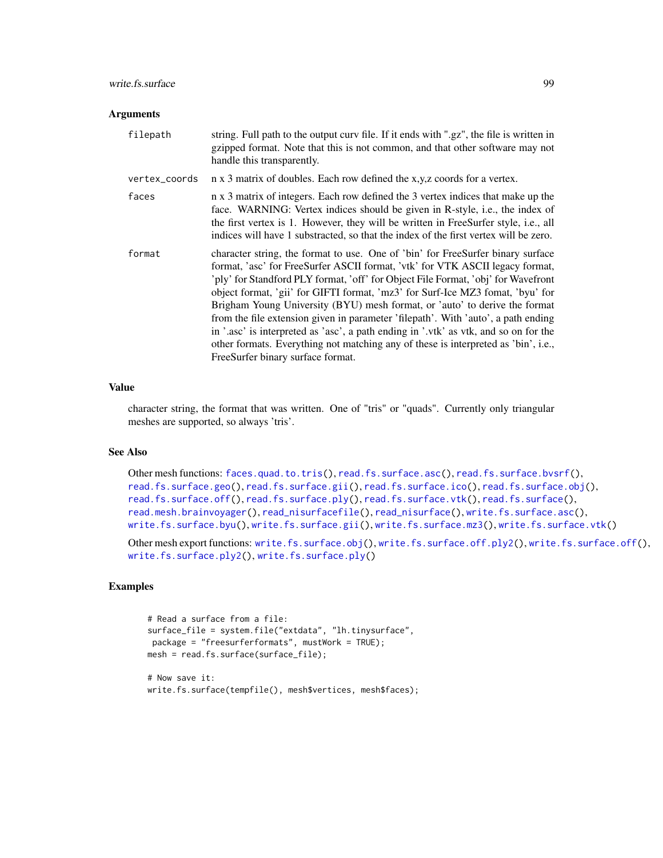# write.fs.surface 99

### **Arguments**

| filepath      | string. Full path to the output curv file. If it ends with ".gz", the file is written in<br>gzipped format. Note that this is not common, and that other software may not<br>handle this transparently.                                                                                                                                                                                                                                                                                                                                                                                                                                                                                                                       |
|---------------|-------------------------------------------------------------------------------------------------------------------------------------------------------------------------------------------------------------------------------------------------------------------------------------------------------------------------------------------------------------------------------------------------------------------------------------------------------------------------------------------------------------------------------------------------------------------------------------------------------------------------------------------------------------------------------------------------------------------------------|
| vertex_coords | n x 3 matrix of doubles. Each row defined the x,y,z coords for a vertex.                                                                                                                                                                                                                                                                                                                                                                                                                                                                                                                                                                                                                                                      |
| faces         | n x 3 matrix of integers. Each row defined the 3 vertex indices that make up the<br>face. WARNING: Vertex indices should be given in R-style, i.e., the index of<br>the first vertex is 1. However, they will be written in FreeSurfer style, i.e., all<br>indices will have 1 substracted, so that the index of the first vertex will be zero.                                                                                                                                                                                                                                                                                                                                                                               |
| format        | character string, the format to use. One of 'bin' for FreeSurfer binary surface<br>format, 'asc' for FreeSurfer ASCII format, 'vtk' for VTK ASCII legacy format,<br>'ply' for Standford PLY format, 'off' for Object File Format, 'obj' for Wavefront<br>object format, 'gii' for GIFTI format, 'mz3' for Surf-Ice MZ3 fomat, 'byu' for<br>Brigham Young University (BYU) mesh format, or 'auto' to derive the format<br>from the file extension given in parameter 'filepath'. With 'auto', a path ending<br>in '.asc' is interpreted as 'asc', a path ending in '.vtk' as vtk, and so on for the<br>other formats. Everything not matching any of these is interpreted as 'bin', i.e.,<br>FreeSurfer binary surface format. |

# Value

character string, the format that was written. One of "tris" or "quads". Currently only triangular meshes are supported, so always 'tris'.

# See Also

```
Other mesh functions: faces.quad.to.tris(), read.fs.surface.asc(), read.fs.surface.bvsrf(),
read.fs.surface.geo(read.fs.surface.gii(read.fs.surface.ico(read.fs.surface.obj(),
read.fs.surface.off(), read.fs.surface.ply(), read.fs.surface.vtk(), read.fs.surface(),
read.mesh.brainvoyager(), read_nisurfacefile(), read_nisurface(), write.fs.surface.asc(),
write.fs.surface.byu(), write.fs.surface.gii(), write.fs.surface.mz3(), write.fs.surface.vtk()
```
Other mesh export functions: [write.fs.surface.obj\(](#page-104-0)), [write.fs.surface.off.ply2\(](#page-0-0)), [write.fs.surface.off\(](#page-105-0)), [write.fs.surface.ply2\(](#page-107-0)), [write.fs.surface.ply\(](#page-106-0))

### Examples

```
# Read a surface from a file:
surface_file = system.file("extdata", "lh.tinysurface",
package = "freesurferformats", mustWork = TRUE);
mesh = read.fs.surface(surface_file);
# Now save it:
```

```
write.fs.surface(tempfile(), mesh$vertices, mesh$faces);
```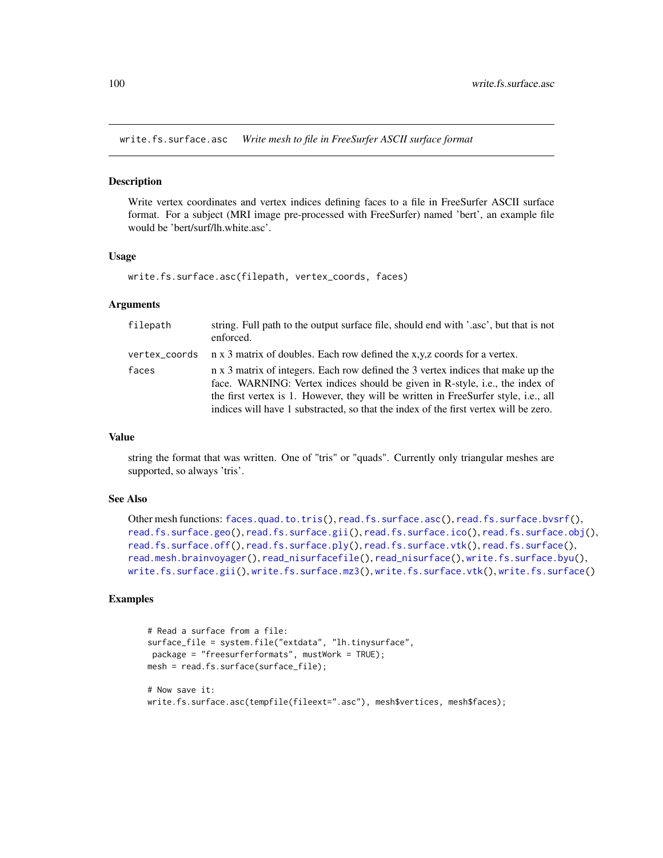<span id="page-99-0"></span>write.fs.surface.asc *Write mesh to file in FreeSurfer ASCII surface format*

#### Description

Write vertex coordinates and vertex indices defining faces to a file in FreeSurfer ASCII surface format. For a subject (MRI image pre-processed with FreeSurfer) named 'bert', an example file would be 'bert/surf/lh.white.asc'.

### Usage

```
write.fs.surface.asc(filepath, vertex_coords, faces)
```
### Arguments

| filepath | string. Full path to the output surface file, should end with '.asc', but that is not<br>enforced.                                                                                                                                                                                                                                              |
|----------|-------------------------------------------------------------------------------------------------------------------------------------------------------------------------------------------------------------------------------------------------------------------------------------------------------------------------------------------------|
|          | vertex_coords $\pi$ x 3 matrix of doubles. Each row defined the x,y,z coords for a vertex.                                                                                                                                                                                                                                                      |
| faces    | n x 3 matrix of integers. Each row defined the 3 vertex indices that make up the<br>face. WARNING: Vertex indices should be given in R-style, i.e., the index of<br>the first vertex is 1. However, they will be written in FreeSurfer style, i.e., all<br>indices will have 1 substracted, so that the index of the first vertex will be zero. |

### Value

string the format that was written. One of "tris" or "quads". Currently only triangular meshes are supported, so always 'tris'.

### See Also

```
Other mesh functions: faces.quad.to.tris(), read.fs.surface.asc(), read.fs.surface.bvsrf(),
read.fs.surface.geo(read.fs.surface.gii(read.fs.surface.ico(read.fs.surface.obj(),
read.fs.surface.off(), read.fs.surface.ply(), read.fs.surface.vtk(), read.fs.surface(),
read.mesh.brainvoyager(), read_nisurfacefile(), read_nisurface(), write.fs.surface.byu(),
write.fs.surface.gii(), write.fs.surface.mz3(), write.fs.surface.vtk(), write.fs.surface()
```
### Examples

```
# Read a surface from a file:
surface_file = system.file("extdata", "lh.tinysurface",
package = "freesurferformats", mustWork = TRUE);
mesh = read.fs.surface(surface_file);
# Now save it:
write.fs.surface.asc(tempfile(fileext=".asc"), mesh$vertices, mesh$faces);
```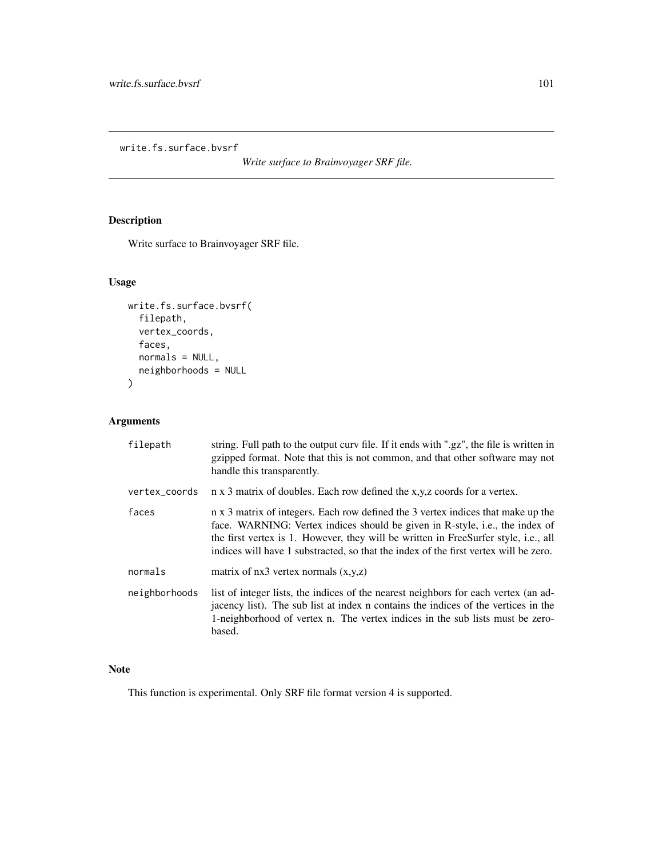write.fs.surface.bvsrf

*Write surface to Brainvoyager SRF file.*

# Description

Write surface to Brainvoyager SRF file.

# Usage

```
write.fs.surface.bvsrf(
  filepath,
  vertex_coords,
  faces,
  normals = NULL,
  neighborhoods = NULL
)
```
# Arguments

| filepath      | string. Full path to the output curv file. If it ends with ".gz", the file is written in<br>gzipped format. Note that this is not common, and that other software may not<br>handle this transparently.                                                                                                                                         |
|---------------|-------------------------------------------------------------------------------------------------------------------------------------------------------------------------------------------------------------------------------------------------------------------------------------------------------------------------------------------------|
| vertex_coords | n x 3 matrix of doubles. Each row defined the x,y,z coords for a vertex.                                                                                                                                                                                                                                                                        |
| faces         | n x 3 matrix of integers. Each row defined the 3 vertex indices that make up the<br>face. WARNING: Vertex indices should be given in R-style, i.e., the index of<br>the first vertex is 1. However, they will be written in FreeSurfer style, i.e., all<br>indices will have 1 substracted, so that the index of the first vertex will be zero. |
| normals       | matrix of $nx3$ vertex normals $(x,y,z)$                                                                                                                                                                                                                                                                                                        |
| neighborhoods | list of integer lists, the indices of the nearest neighbors for each vertex (an ad-<br>jacency list). The sub list at index n contains the indices of the vertices in the<br>1-neighborhood of vertex n. The vertex indices in the sub lists must be zero-<br>based.                                                                            |

# Note

This function is experimental. Only SRF file format version 4 is supported.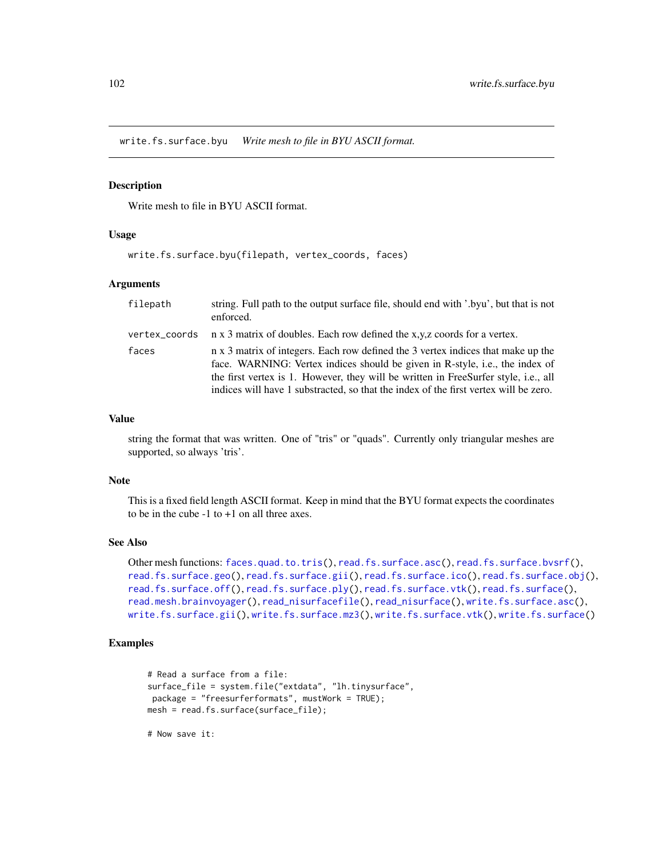<span id="page-101-0"></span>write.fs.surface.byu *Write mesh to file in BYU ASCII format.*

### Description

Write mesh to file in BYU ASCII format.

### Usage

write.fs.surface.byu(filepath, vertex\_coords, faces)

# Arguments

| filepath      | string. Full path to the output surface file, should end with '.byu', but that is not<br>enforced.                                                                                                                                                                                                                                              |
|---------------|-------------------------------------------------------------------------------------------------------------------------------------------------------------------------------------------------------------------------------------------------------------------------------------------------------------------------------------------------|
| vertex_coords | n x 3 matrix of doubles. Each row defined the x,y,z coords for a vertex.                                                                                                                                                                                                                                                                        |
| faces         | n x 3 matrix of integers. Each row defined the 3 vertex indices that make up the<br>face. WARNING: Vertex indices should be given in R-style, i.e., the index of<br>the first vertex is 1. However, they will be written in FreeSurfer style, i.e., all<br>indices will have 1 substracted, so that the index of the first vertex will be zero. |

### Value

string the format that was written. One of "tris" or "quads". Currently only triangular meshes are supported, so always 'tris'.

### Note

This is a fixed field length ASCII format. Keep in mind that the BYU format expects the coordinates to be in the cube  $-1$  to  $+1$  on all three axes.

# See Also

```
Other mesh functions: faces.quad.to.tris(), read.fs.surface.asc(), read.fs.surface.bvsrf(),
read.fs.surface.geo(read.fs.surface.gii(read.fs.surface.ico(read.fs.surface.obj(),
read.fs.surface.off(), read.fs.surface.ply(), read.fs.surface.vtk(), read.fs.surface(),
read.mesh.brainvoyager(), read_nisurfacefile(), read_nisurface(), write.fs.surface.asc(),
write.fs.surface.gii(), write.fs.surface.mz3(), write.fs.surface.vtk(), write.fs.surface()
```
## Examples

```
# Read a surface from a file:
surface_file = system.file("extdata", "lh.tinysurface",
package = "freesurferformats", mustWork = TRUE);
mesh = read.fs.surface(surface_file);
```
# Now save it: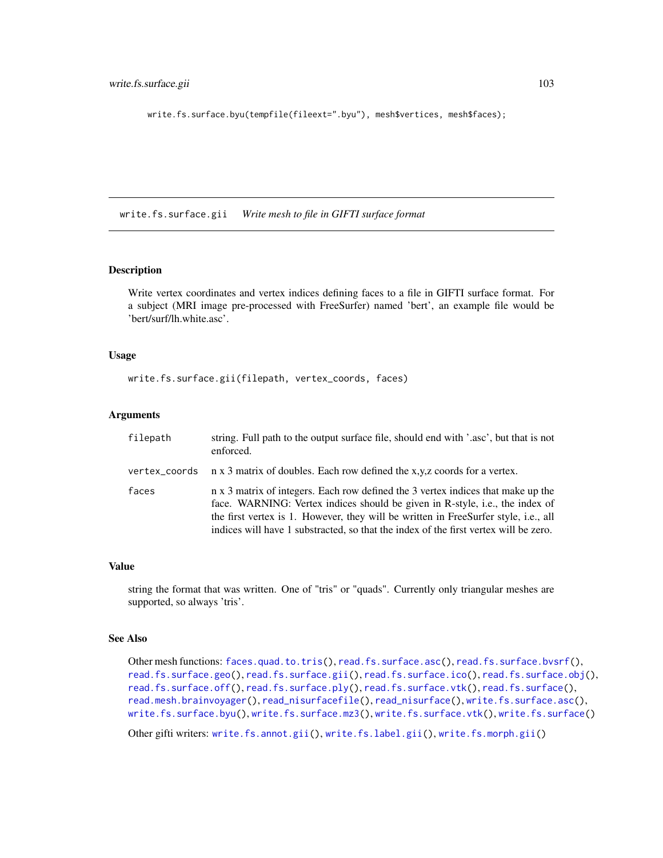write.fs.surface.byu(tempfile(fileext=".byu"), mesh\$vertices, mesh\$faces);

<span id="page-102-0"></span>write.fs.surface.gii *Write mesh to file in GIFTI surface format*

# Description

Write vertex coordinates and vertex indices defining faces to a file in GIFTI surface format. For a subject (MRI image pre-processed with FreeSurfer) named 'bert', an example file would be 'bert/surf/lh.white.asc'.

### Usage

write.fs.surface.gii(filepath, vertex\_coords, faces)

### Arguments

| filepath | string. Full path to the output surface file, should end with '.asc', but that is not<br>enforced.                                                                                                                                                                                                                                              |
|----------|-------------------------------------------------------------------------------------------------------------------------------------------------------------------------------------------------------------------------------------------------------------------------------------------------------------------------------------------------|
|          | vertex_coords $\pi$ x 3 matrix of doubles. Each row defined the x,y,z coords for a vertex.                                                                                                                                                                                                                                                      |
| faces    | n x 3 matrix of integers. Each row defined the 3 vertex indices that make up the<br>face. WARNING: Vertex indices should be given in R-style, i.e., the index of<br>the first vertex is 1. However, they will be written in FreeSurfer style, i.e., all<br>indices will have 1 substracted, so that the index of the first vertex will be zero. |

### Value

string the format that was written. One of "tris" or "quads". Currently only triangular meshes are supported, so always 'tris'.

# See Also

Other mesh functions: [faces.quad.to.tris\(](#page-7-0)), [read.fs.surface.asc\(](#page-54-0)), [read.fs.surface.bvsrf\(](#page-55-0)), [read.fs.surface.geo\(](#page-56-0)), [read.fs.surface.gii\(](#page-57-0)), [read.fs.surface.ico\(](#page-58-0)), [read.fs.surface.obj\(](#page-59-0)), [read.fs.surface.off\(](#page-60-0)), [read.fs.surface.ply\(](#page-61-0)), [read.fs.surface.vtk\(](#page-63-0)), [read.fs.surface\(](#page-53-0)), [read.mesh.brainvoyager\(](#page-72-0)), [read\\_nisurfacefile\(](#page-77-0)), [read\\_nisurface\(](#page-76-0)), [write.fs.surface.asc\(](#page-99-0)), [write.fs.surface.byu\(](#page-101-0)), [write.fs.surface.mz3\(](#page-103-0)), [write.fs.surface.vtk\(](#page-108-0)), [write.fs.surface\(](#page-97-0))

Other gifti writers: [write.fs.annot.gii\(](#page-86-0)), [write.fs.label.gii\(](#page-90-0)), [write.fs.morph.gii\(](#page-93-0))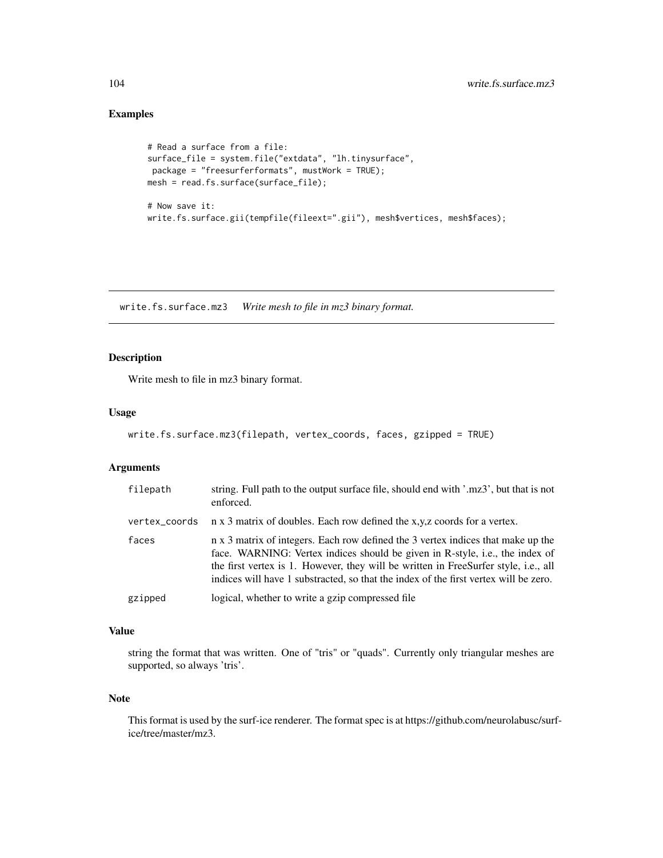# Examples

```
# Read a surface from a file:
surface_file = system.file("extdata", "lh.tinysurface",
package = "freesurferformats", mustWork = TRUE);
mesh = read.fs.surface(surface_file);
# Now save it:
write.fs.surface.gii(tempfile(fileext=".gii"), mesh$vertices, mesh$faces);
```
<span id="page-103-0"></span>write.fs.surface.mz3 *Write mesh to file in mz3 binary format.*

# Description

Write mesh to file in mz3 binary format.

# Usage

```
write.fs.surface.mz3(filepath, vertex_coords, faces, gzipped = TRUE)
```
# Arguments

| filepath      | string. Full path to the output surface file, should end with '.mz3', but that is not<br>enforced.                                                                                                                                                                                                                                              |
|---------------|-------------------------------------------------------------------------------------------------------------------------------------------------------------------------------------------------------------------------------------------------------------------------------------------------------------------------------------------------|
| vertex_coords | n x 3 matrix of doubles. Each row defined the x,y,z coords for a vertex.                                                                                                                                                                                                                                                                        |
| faces         | n x 3 matrix of integers. Each row defined the 3 vertex indices that make up the<br>face. WARNING: Vertex indices should be given in R-style, i.e., the index of<br>the first vertex is 1. However, they will be written in FreeSurfer style, i.e., all<br>indices will have 1 substracted, so that the index of the first vertex will be zero. |
| gzipped       | logical, whether to write a gzip compressed file                                                                                                                                                                                                                                                                                                |

# Value

string the format that was written. One of "tris" or "quads". Currently only triangular meshes are supported, so always 'tris'.

# Note

This format is used by the surf-ice renderer. The format spec is at https://github.com/neurolabusc/surfice/tree/master/mz3.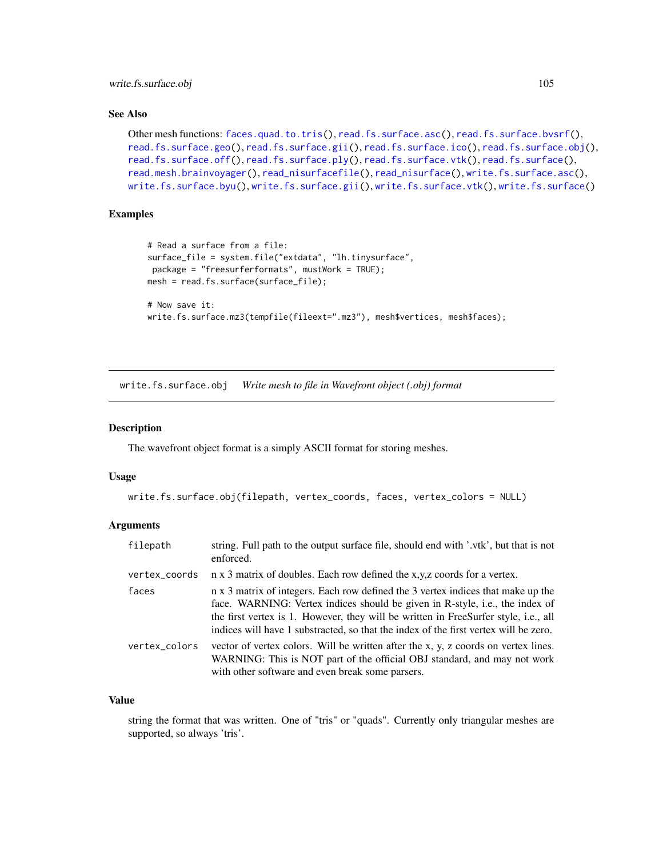write.fs.surface.obj 105

### See Also

```
Other mesh functions: faces.quad.to.tris(), read.fs.surface.asc(), read.fs.surface.bvsrf(),
read.fs.surface.geo(), read.fs.surface.gii(), read.fs.surface.ico(), read.fs.surface.obj(),
read.fs.surface.off(), read.fs.surface.ply(), read.fs.surface.vtk(), read.fs.surface(),
read.mesh.brainvoyager(), read_nisurfacefile(), read_nisurface(), write.fs.surface.asc(),
write.fs.surface.byu(), write.fs.surface.gii(), write.fs.surface.vtk(), write.fs.surface()
```
# Examples

```
# Read a surface from a file:
surface_file = system.file("extdata", "lh.tinysurface",
package = "freesurferformats", mustWork = TRUE);
mesh = read.fs.surface(surface_file);
# Now save it:
write.fs.surface.mz3(tempfile(fileext=".mz3"), mesh$vertices, mesh$faces);
```
<span id="page-104-0"></span>write.fs.surface.obj *Write mesh to file in Wavefront object (.obj) format*

### Description

The wavefront object format is a simply ASCII format for storing meshes.

#### Usage

```
write.fs.surface.obj(filepath, vertex_coords, faces, vertex_colors = NULL)
```
### Arguments

| filepath      | string. Full path to the output surface file, should end with '.vtk', but that is not<br>enforced.                                                                                                                                                                                                                                              |
|---------------|-------------------------------------------------------------------------------------------------------------------------------------------------------------------------------------------------------------------------------------------------------------------------------------------------------------------------------------------------|
| vertex_coords | n x 3 matrix of doubles. Each row defined the x,y,z coords for a vertex.                                                                                                                                                                                                                                                                        |
| faces         | n x 3 matrix of integers. Each row defined the 3 vertex indices that make up the<br>face. WARNING: Vertex indices should be given in R-style, i.e., the index of<br>the first vertex is 1. However, they will be written in FreeSurfer style, i.e., all<br>indices will have 1 substracted, so that the index of the first vertex will be zero. |
| vertex_colors | vector of vertex colors. Will be written after the x, y, z coords on vertex lines.<br>WARNING: This is NOT part of the official OBJ standard, and may not work<br>with other software and even break some parsers.                                                                                                                              |

#### Value

string the format that was written. One of "tris" or "quads". Currently only triangular meshes are supported, so always 'tris'.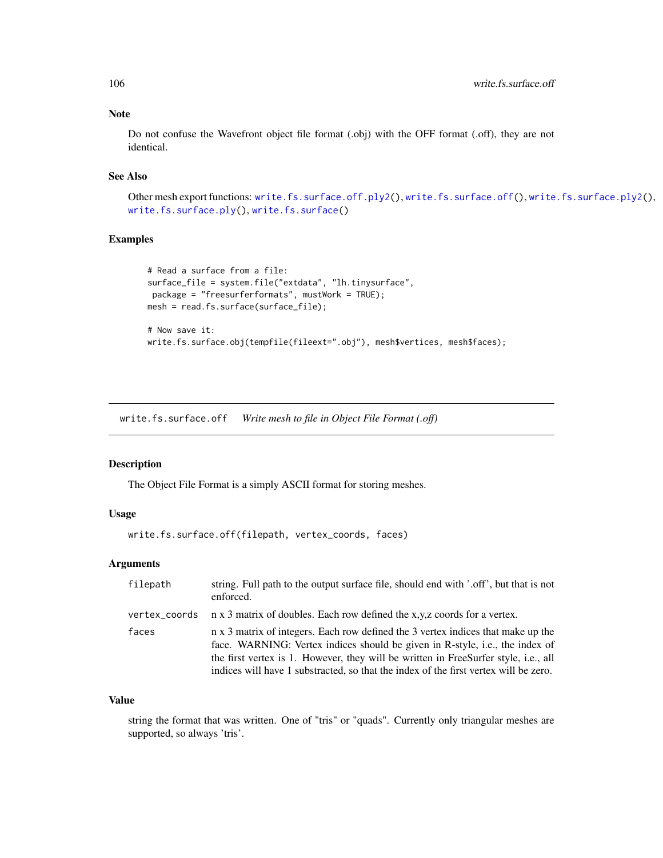# Note

Do not confuse the Wavefront object file format (.obj) with the OFF format (.off), they are not identical.

### See Also

Other mesh export functions: [write.fs.surface.off.ply2\(](#page-0-0)), [write.fs.surface.off\(](#page-105-0)), [write.fs.surface.ply2\(](#page-107-0)), [write.fs.surface.ply\(](#page-106-0)), [write.fs.surface\(](#page-97-0))

# Examples

```
# Read a surface from a file:
surface_file = system.file("extdata", "lh.tinysurface",
package = "freesurferformats", mustWork = TRUE);
mesh = read.fs.surface(surface_file);
# Now save it:
write.fs.surface.obj(tempfile(fileext=".obj"), mesh$vertices, mesh$faces);
```
<span id="page-105-0"></span>write.fs.surface.off *Write mesh to file in Object File Format (.off)*

# Description

The Object File Format is a simply ASCII format for storing meshes.

# Usage

write.fs.surface.off(filepath, vertex\_coords, faces)

# Arguments

| filepath      | string. Full path to the output surface file, should end with '.off', but that is not<br>enforced.                                                                                                                                                                                                                                              |
|---------------|-------------------------------------------------------------------------------------------------------------------------------------------------------------------------------------------------------------------------------------------------------------------------------------------------------------------------------------------------|
| vertex_coords | n x 3 matrix of doubles. Each row defined the x,y,z coords for a vertex.                                                                                                                                                                                                                                                                        |
| faces         | n x 3 matrix of integers. Each row defined the 3 vertex indices that make up the<br>face. WARNING: Vertex indices should be given in R-style, i.e., the index of<br>the first vertex is 1. However, they will be written in FreeSurfer style, i.e., all<br>indices will have 1 substracted, so that the index of the first vertex will be zero. |

#### Value

string the format that was written. One of "tris" or "quads". Currently only triangular meshes are supported, so always 'tris'.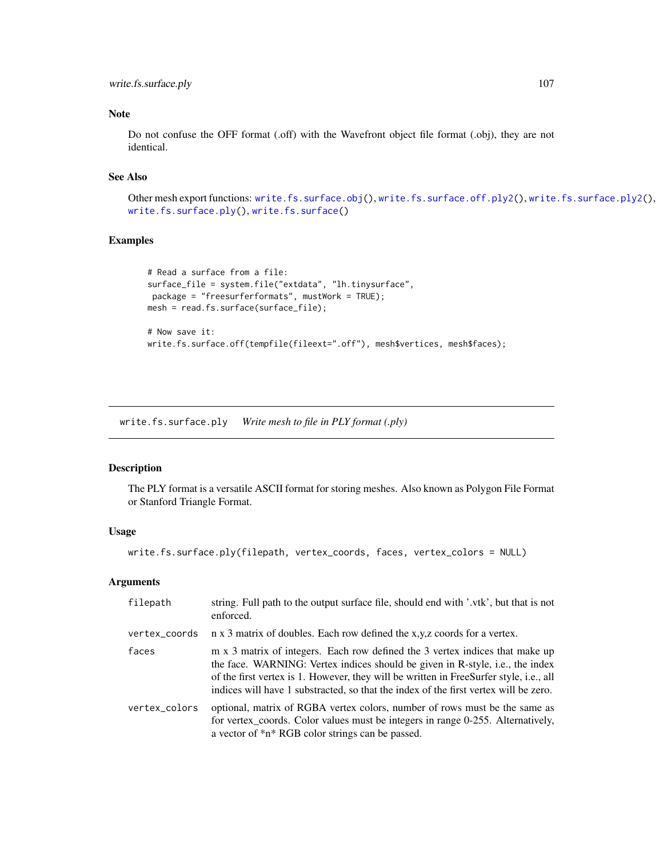write.fs.surface.ply 107

# Note

Do not confuse the OFF format (.off) with the Wavefront object file format (.obj), they are not identical.

### See Also

Other mesh export functions: [write.fs.surface.obj\(](#page-104-0)), [write.fs.surface.off.ply2\(](#page-0-0)), [write.fs.surface.ply2\(](#page-107-0)), [write.fs.surface.ply\(](#page-106-0)), [write.fs.surface\(](#page-97-0))

# Examples

```
# Read a surface from a file:
surface_file = system.file("extdata", "lh.tinysurface",
package = "freesurferformats", mustWork = TRUE);
mesh = read.fs.surface(surface_file);
# Now save it:
write.fs.surface.off(tempfile(fileext=".off"), mesh$vertices, mesh$faces);
```
<span id="page-106-0"></span>write.fs.surface.ply *Write mesh to file in PLY format (.ply)*

#### Description

The PLY format is a versatile ASCII format for storing meshes. Also known as Polygon File Format or Stanford Triangle Format.

### Usage

```
write.fs.surface.ply(filepath, vertex_coords, faces, vertex_colors = NULL)
```
### Arguments

| filepath      | string. Full path to the output surface file, should end with '.vtk', but that is not<br>enforced.                                                                                                                                                                                                                                              |
|---------------|-------------------------------------------------------------------------------------------------------------------------------------------------------------------------------------------------------------------------------------------------------------------------------------------------------------------------------------------------|
| vertex_coords | n x 3 matrix of doubles. Each row defined the x,y,z coords for a vertex.                                                                                                                                                                                                                                                                        |
| faces         | m x 3 matrix of integers. Each row defined the 3 vertex indices that make up<br>the face. WARNING: Vertex indices should be given in R-style, i.e., the index<br>of the first vertex is 1. However, they will be written in FreeSurfer style, i.e., all<br>indices will have 1 substracted, so that the index of the first vertex will be zero. |
| vertex_colors | optional, matrix of RGBA vertex colors, number of rows must be the same as<br>for vertex_coords. Color values must be integers in range 0-255. Alternatively,<br>a vector of *n* RGB color strings can be passed.                                                                                                                               |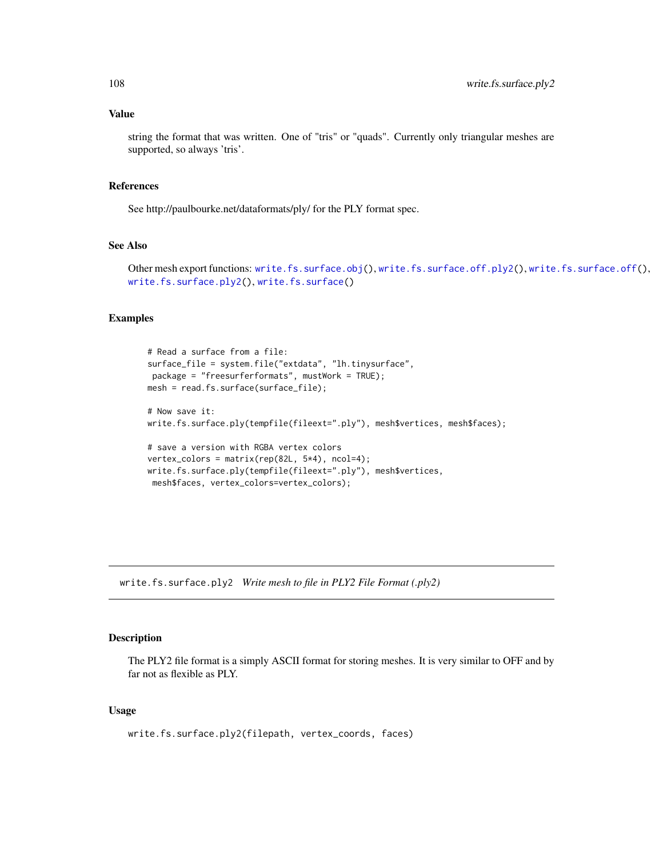### Value

string the format that was written. One of "tris" or "quads". Currently only triangular meshes are supported, so always 'tris'.

#### References

See http://paulbourke.net/dataformats/ply/ for the PLY format spec.

### See Also

Other mesh export functions: [write.fs.surface.obj\(](#page-104-0)), [write.fs.surface.off.ply2\(](#page-0-0)), [write.fs.surface.off\(](#page-105-0)), [write.fs.surface.ply2\(](#page-107-0)), [write.fs.surface\(](#page-97-0))

### Examples

```
# Read a surface from a file:
surface_file = system.file("extdata", "lh.tinysurface",
package = "freesurferformats", mustWork = TRUE);
mesh = read.fs.surface(surface_file);
# Now save it:
write.fs.surface.ply(tempfile(fileext=".ply"), mesh$vertices, mesh$faces);
# save a version with RGBA vertex colors
vertex_colors = matrix(rep(82L, 5*4), ncol=4);
write.fs.surface.ply(tempfile(fileext=".ply"), mesh$vertices,
mesh$faces, vertex_colors=vertex_colors);
```
<span id="page-107-0"></span>write.fs.surface.ply2 *Write mesh to file in PLY2 File Format (.ply2)*

# Description

The PLY2 file format is a simply ASCII format for storing meshes. It is very similar to OFF and by far not as flexible as PLY.

### Usage

write.fs.surface.ply2(filepath, vertex\_coords, faces)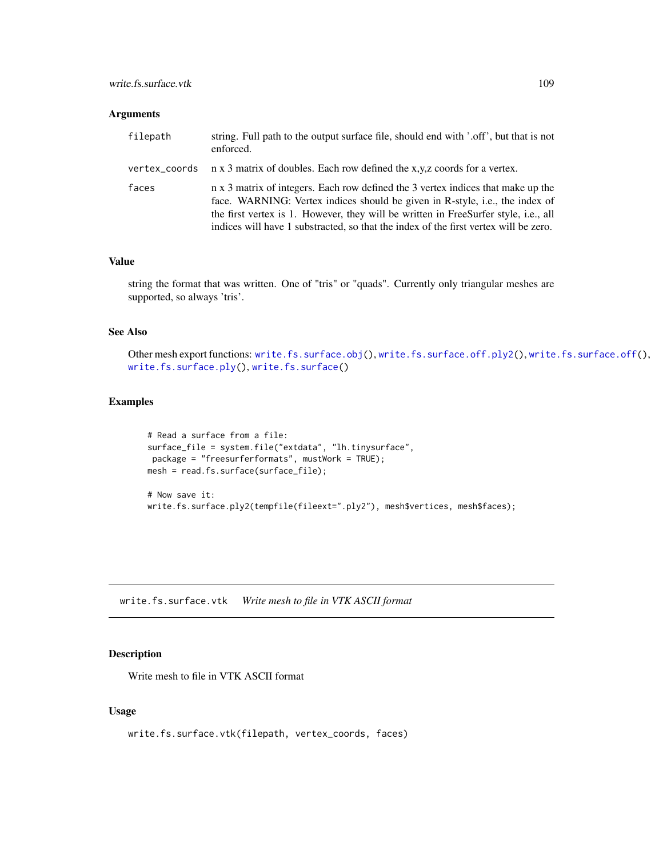<span id="page-108-0"></span>

| filepath | string. Full path to the output surface file, should end with '.off', but that is not<br>enforced.                                                                                                                                                                                                                                              |
|----------|-------------------------------------------------------------------------------------------------------------------------------------------------------------------------------------------------------------------------------------------------------------------------------------------------------------------------------------------------|
|          | vertex_coords $\pi$ x 3 matrix of doubles. Each row defined the x,y,z coords for a vertex.                                                                                                                                                                                                                                                      |
| faces    | n x 3 matrix of integers. Each row defined the 3 vertex indices that make up the<br>face. WARNING: Vertex indices should be given in R-style, i.e., the index of<br>the first vertex is 1. However, they will be written in FreeSurfer style, i.e., all<br>indices will have 1 substracted, so that the index of the first vertex will be zero. |

#### Value

string the format that was written. One of "tris" or "quads". Currently only triangular meshes are supported, so always 'tris'.

#### See Also

Other mesh export functions: [write.fs.surface.obj\(](#page-104-0)), [write.fs.surface.off.ply2\(](#page-0-0)), [write.fs.surface.off\(](#page-105-0)), [write.fs.surface.ply\(](#page-106-0)), [write.fs.surface\(](#page-97-0))

## Examples

```
# Read a surface from a file:
surface_file = system.file("extdata", "lh.tinysurface",
package = "freesurferformats", mustWork = TRUE);
mesh = read.fs.surface(surface_file);
# Now save it:
write.fs.surface.ply2(tempfile(fileext=".ply2"), mesh$vertices, mesh$faces);
```
write.fs.surface.vtk *Write mesh to file in VTK ASCII format*

## Description

Write mesh to file in VTK ASCII format

#### Usage

write.fs.surface.vtk(filepath, vertex\_coords, faces)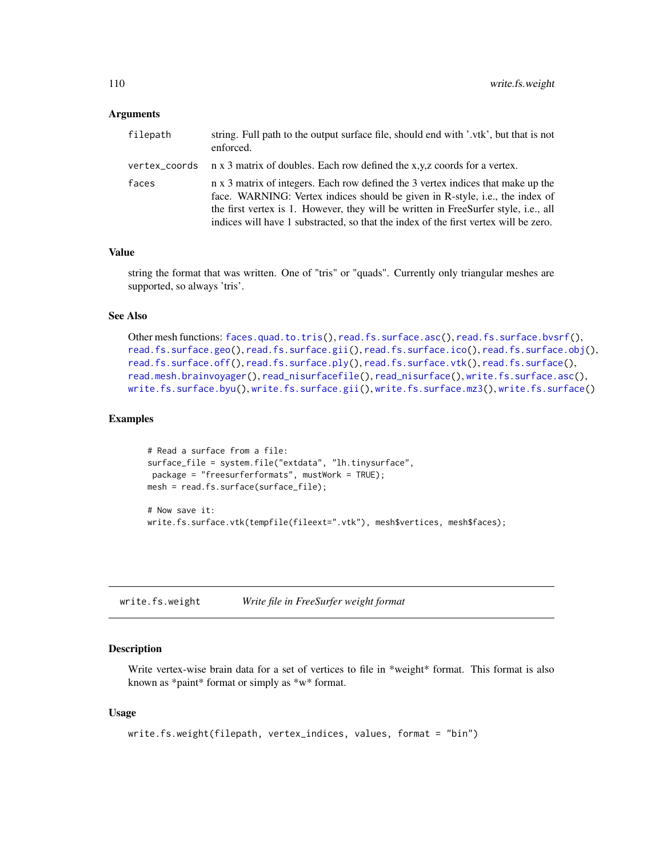<span id="page-109-1"></span>

| filepath | string. Full path to the output surface file, should end with '.vtk', but that is not<br>enforced.                                                                                                                                                                                                                                              |
|----------|-------------------------------------------------------------------------------------------------------------------------------------------------------------------------------------------------------------------------------------------------------------------------------------------------------------------------------------------------|
|          | vertex_coords $\pi$ x 3 matrix of doubles. Each row defined the x,y,z coords for a vertex.                                                                                                                                                                                                                                                      |
| faces    | n x 3 matrix of integers. Each row defined the 3 vertex indices that make up the<br>face. WARNING: Vertex indices should be given in R-style, i.e., the index of<br>the first vertex is 1. However, they will be written in FreeSurfer style, i.e., all<br>indices will have 1 substracted, so that the index of the first vertex will be zero. |

#### Value

string the format that was written. One of "tris" or "quads". Currently only triangular meshes are supported, so always 'tris'.

## See Also

```
Other mesh functions: faces.quad.to.tris(), read.fs.surface.asc(), read.fs.surface.bvsrf(),
read.fs.surface.geo(read.fs.surface.gii(read.fs.surface.ico(read.fs.surface.obj(),
read.fs.surface.off(), read.fs.surface.ply(), read.fs.surface.vtk(), read.fs.surface(),
read.mesh.brainvoyager(), read_nisurfacefile(), read_nisurface(), write.fs.surface.asc(),
write.fs.surface.byu(), write.fs.surface.gii(), write.fs.surface.mz3(), write.fs.surface()
```
## Examples

```
# Read a surface from a file:
surface_file = system.file("extdata", "lh.tinysurface",
package = "freesurferformats", mustWork = TRUE);
mesh = read.fs.surface(surface_file);
# Now save it:
```

```
write.fs.surface.vtk(tempfile(fileext=".vtk"), mesh$vertices, mesh$faces);
```
<span id="page-109-0"></span>write.fs.weight *Write file in FreeSurfer weight format*

## Description

Write vertex-wise brain data for a set of vertices to file in \*weight\* format. This format is also known as \*paint\* format or simply as \*w\* format.

#### Usage

```
write.fs.weight(filepath, vertex_indices, values, format = "bin")
```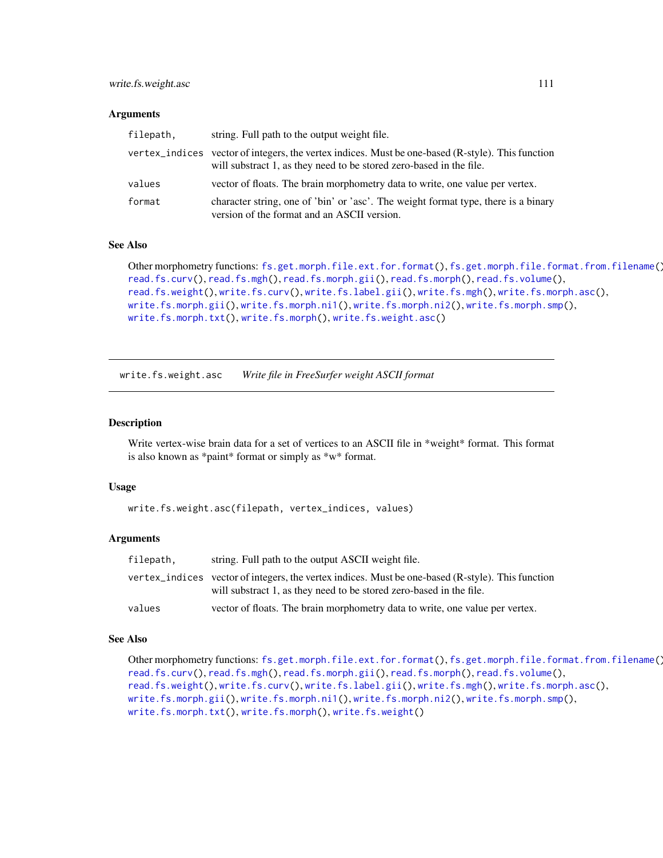<span id="page-110-1"></span>

| filepath, | string. Full path to the output weight file.                                                                                                                             |
|-----------|--------------------------------------------------------------------------------------------------------------------------------------------------------------------------|
|           | vertex_indices vector of integers, the vertex indices. Must be one-based (R-style). This function<br>will substract 1, as they need to be stored zero-based in the file. |
| values    | vector of floats. The brain morphometry data to write, one value per vertex.                                                                                             |
| format    | character string, one of 'bin' or 'asc'. The weight format type, there is a binary<br>version of the format and an ASCII version.                                        |

#### See Also

```
Other morphometry functions: fs.get.morph.file.ext.for.format(), fs.get.morph.file.format.from.filename(),
read.fs.curv(), read.fs.mgh(), read.fs.morph.gii(), read.fs.morph(), read.fs.volume(),
read.fs.weight(), write.fs.curv(), write.fs.label.gii(), write.fs.mgh(), write.fs.morph.asc(),
write.fs.morph.gii(), write.fs.morph.ni1(), write.fs.morph.ni2(), write.fs.morph.smp(),
write.fs.morph.txt(), write.fs.morph(), write.fs.weight.asc()
```
<span id="page-110-0"></span>write.fs.weight.asc *Write file in FreeSurfer weight ASCII format*

#### Description

Write vertex-wise brain data for a set of vertices to an ASCII file in \*weight\* format. This format is also known as \*paint\* format or simply as \*w\* format.

#### Usage

```
write.fs.weight.asc(filepath, vertex_indices, values)
```
#### Arguments

| filepath, | string. Full path to the output ASCII weight file.                                                                                                                       |
|-----------|--------------------------------------------------------------------------------------------------------------------------------------------------------------------------|
|           | vertex_indices vector of integers, the vertex indices. Must be one-based (R-style). This function<br>will substract 1, as they need to be stored zero-based in the file. |
| values    | vector of floats. The brain morphometry data to write, one value per vertex.                                                                                             |

## See Also

```
Other morphometry functions: fs.get.morph.file.ext.for.format(), fs.get.morph.file.format.from.filename(),
read.fs.curv(), read.fs.mgh(), read.fs.morph.gii(), read.fs.morph(), read.fs.volume(),
read.fs.weight(), write.fs.curv(), write.fs.label.gii(), write.fs.mgh(), write.fs.morph.asc(),
write.fs.morph.gii(), write.fs.morph.ni1(), write.fs.morph.ni2(), write.fs.morph.smp(),
write.fs.morph.txt(), write.fs.morph(), write.fs.weight()
```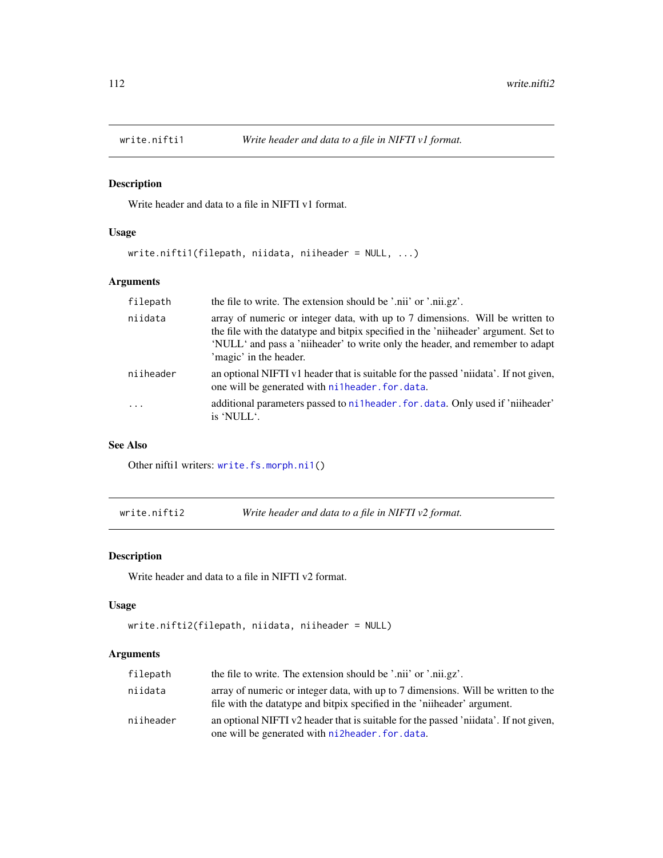<span id="page-111-0"></span>

## Description

Write header and data to a file in NIFTI v1 format.

#### Usage

write.nifti1(filepath, niidata, niiheader = NULL, ...)

## Arguments

| the file to write. The extension should be '.nii' or '.nii.gz'.                                                                                                                                                                                                                 |
|---------------------------------------------------------------------------------------------------------------------------------------------------------------------------------------------------------------------------------------------------------------------------------|
| array of numeric or integer data, with up to 7 dimensions. Will be written to<br>the file with the datatype and bitpix specified in the 'niiheader' argument. Set to<br>'NULL' and pass a 'niiheader' to write only the header, and remember to adapt<br>'magic' in the header. |
| an optional NIFTI v1 header that is suitable for the passed 'niidata'. If not given,<br>one will be generated with nilheader.for.data.                                                                                                                                          |
| additional parameters passed to ni1header, for, data. Only used if 'niiheader'<br>is 'NULL'.                                                                                                                                                                                    |
|                                                                                                                                                                                                                                                                                 |

## See Also

Other niftil writers: [write.fs.morph.ni1\(](#page-94-0))

write.nifti2 *Write header and data to a file in NIFTI v2 format.*

## Description

Write header and data to a file in NIFTI v2 format.

#### Usage

```
write.nifti2(filepath, niidata, niiheader = NULL)
```
## Arguments

| filepath  | the file to write. The extension should be '.nii' or '.nii.gz'.                                                                                                |
|-----------|----------------------------------------------------------------------------------------------------------------------------------------------------------------|
| niidata   | array of numeric or integer data, with up to 7 dimensions. Will be written to the<br>file with the data type and bitpix specified in the 'niiheader' argument. |
| niiheader | an optional NIFTI v2 header that is suitable for the passed 'niidata'. If not given,<br>one will be generated with ni2header. for data.                        |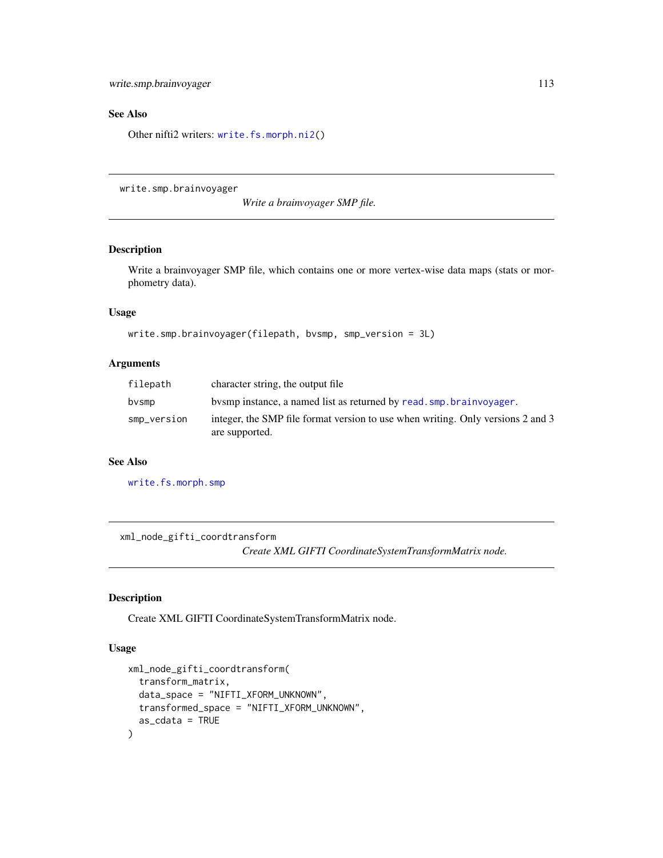<span id="page-112-0"></span>write.smp.brainvoyager 113

#### See Also

Other nifti2 writers: [write.fs.morph.ni2\(](#page-95-0))

write.smp.brainvoyager

*Write a brainvoyager SMP file.*

## Description

Write a brainvoyager SMP file, which contains one or more vertex-wise data maps (stats or morphometry data).

## Usage

```
write.smp.brainvoyager(filepath, bvsmp, smp_version = 3L)
```
## Arguments

| filepath    | character string, the output file                                                                 |
|-------------|---------------------------------------------------------------------------------------------------|
| bvsmp       | by by instance, a named list as returned by read, smp. brainvoyager.                              |
| smp_version | integer, the SMP file format version to use when writing. Only versions 2 and 3<br>are supported. |

#### See Also

[write.fs.morph.smp](#page-96-0)

xml\_node\_gifti\_coordtransform *Create XML GIFTI CoordinateSystemTransformMatrix node.*

## Description

Create XML GIFTI CoordinateSystemTransformMatrix node.

#### Usage

```
xml_node_gifti_coordtransform(
  transform_matrix,
  data_space = "NIFTI_XFORM_UNKNOWN",
  transformed_space = "NIFTI_XFORM_UNKNOWN",
  as_cdata = TRUE
\mathcal{E}
```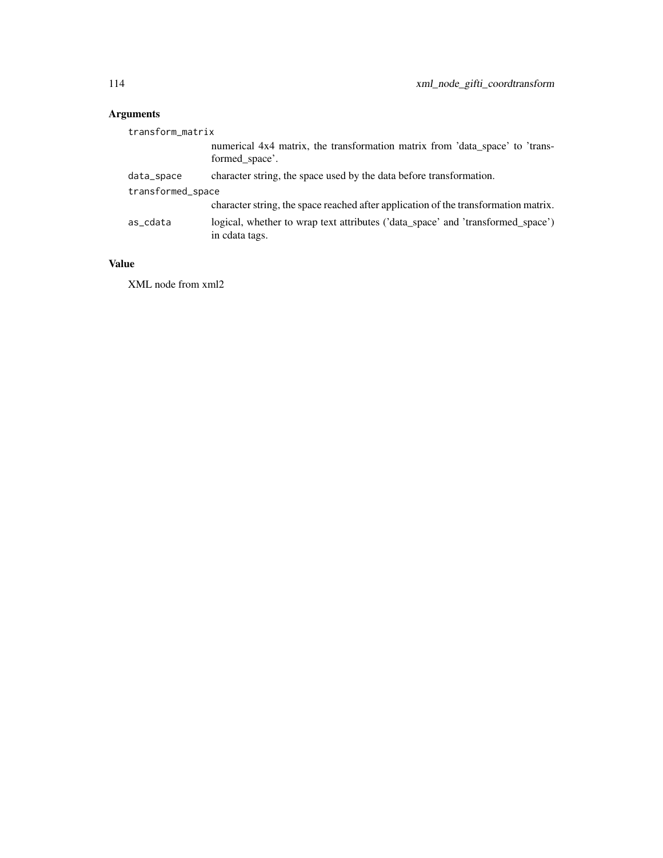| transform_matrix  |                                                                                                   |
|-------------------|---------------------------------------------------------------------------------------------------|
|                   | numerical 4x4 matrix, the transformation matrix from 'data_space' to 'trans-<br>formed space'.    |
| data_space        | character string, the space used by the data before transformation.                               |
| transformed_space |                                                                                                   |
|                   | character string, the space reached after application of the transformation matrix.               |
| as_cdata          | logical, whether to wrap text attributes ('data_space' and 'transformed_space')<br>in cdata tags. |

# Value

XML node from xml2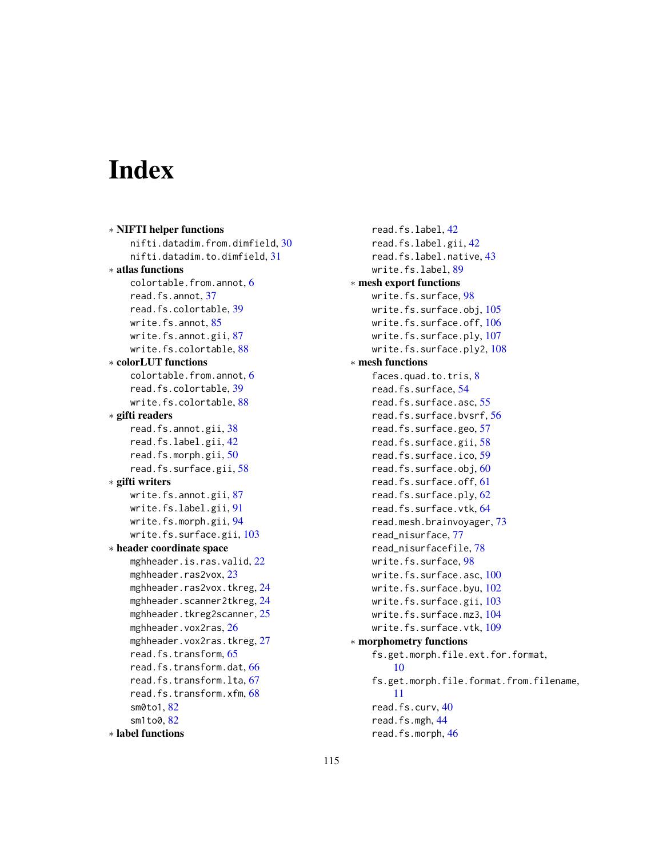# Index

```
∗ NIFTI helper functions
    nifti.datadim.from.dimfield, 30
    nifti.datadim.to.dimfield, 31
∗ atlas functions
    colortable.from.annot, 6
    read.fs.annot, 37
    read.fs.colortable, 39
    write.fs.annot, 85
    write.fs.annot.gii, 87
    write.fs.colortable, 88
∗ colorLUT functions
    colortable.from.annot, 6
    read.fs.colortable, 39
    write.fs.colortable, 88
∗ gifti readers
    read.fs.annot.gii, 38
    read.fs.label.gii, 42
    read.fs.morph.gii, 50
    read.fs.surface.gii, 58
∗ gifti writers
    write.fs.annot.gii, 87
    write.fs.label.gii, 91
    write.fs.morph.gii, 94
    write.fs.surface.gii, 103
∗ header coordinate space
    mghheader.is.ras.valid, 22
    mghheader.ras2vox, 23
    mghheader.ras2vox.tkreg, 24
    mghheader.scanner2tkreg, 24
    25
    mghheader.vox2ras, 26
    mghheader.vox2ras.tkreg, 27
    read.fs.transform, 65
    read.fs.transform.dat, 66
    read.fs.transform.lta, 67
    read.fs.transform.xfm, 68
    sm0to1, 82
    82
∗ label functions
```
read.fs.label, [42](#page-41-0) read.fs.label.gii, [42](#page-41-0) read.fs.label.native, [43](#page-42-0) write.fs.label, [89](#page-88-1) ∗ mesh export functions write.fs.surface, [98](#page-97-1) write.fs.surface.obj, [105](#page-104-1) write.fs.surface.off, [106](#page-105-1) write.fs.surface.ply, [107](#page-106-1) write.fs.surface.ply2, [108](#page-107-0) ∗ mesh functions faces.quad.to.tris, [8](#page-7-1) read.fs.surface, [54](#page-53-1) read.fs.surface.asc, [55](#page-54-1) read.fs.surface.bvsrf, [56](#page-55-1) read.fs.surface.geo, [57](#page-56-1) read.fs.surface.gii, [58](#page-57-1) read.fs.surface.ico, [59](#page-58-1) read.fs.surface.obj, [60](#page-59-1) read.fs.surface.off, [61](#page-60-1) read.fs.surface.ply, [62](#page-61-1) read.fs.surface.vtk, [64](#page-63-1) read.mesh.brainvoyager, [73](#page-72-1) read\_nisurface, [77](#page-76-1) read\_nisurfacefile, [78](#page-77-1) write.fs.surface, [98](#page-97-1) write.fs.surface.asc, [100](#page-99-1) write.fs.surface.byu, [102](#page-101-1) write.fs.surface.gii, [103](#page-102-1) write.fs.surface.mz3, [104](#page-103-1) write.fs.surface.vtk, [109](#page-108-0) ∗ morphometry functions fs.get.morph.file.ext.for.format, [10](#page-9-1) fs.get.morph.file.format.from.filename, [11](#page-10-1) read.fs.curv, [40](#page-39-1) read.fs.mgh, [44](#page-43-1) read.fs.morph, [46](#page-45-1)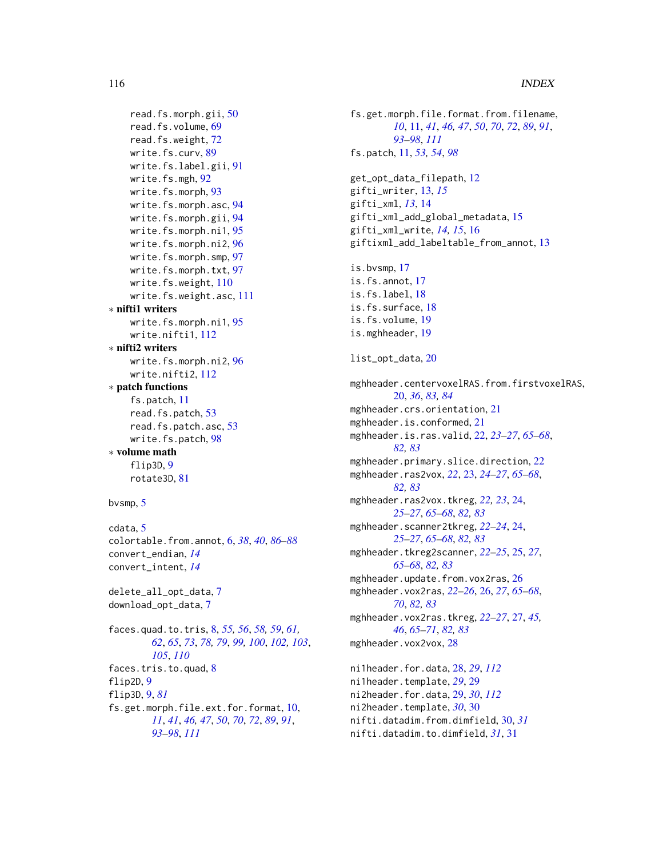```
read.fs.morph.gii, 50
    read.fs.volume, 69
    read.fs.weight, 72
    write.fs.curv, 89
    write.fs.label.gii, 91
    write.fs.mgh, 92
    write.fs.morph, 93
    write.fs.morph.asc, 94
    write.fs.morph.gii, 94
    write.fs.morph.ni1, 95
    write.fs.morph.ni2, 96
    write.fs.morph.smp, 97
    write.fs.morph.txt, 97
    write.fs.weight, 110
    write.fs.weight.asc, 111
∗ nifti1 writers
    write.fs.morph.ni1, 95
    write.nifti1, 112
∗ nifti2 writers
    write.fs.morph.ni2, 96
    write.nifti2, 112
∗ patch functions
    fs.patch, 11
    read.fs.patch, 53
    read.fs.patch.asc, 53
    write.fs.patch, 98
∗ volume math
    flip3D, 9
    rotate3D, 81
bvsmp, 5
cdata, 5
```
colortable.from.annot, [6,](#page-5-0) *[38](#page-37-0)*, *[40](#page-39-1)*, *[86–](#page-85-0)[88](#page-87-0)* convert\_endian, *[14](#page-13-0)* convert\_intent, *[14](#page-13-0)*

delete\_all\_opt\_data, [7](#page-6-0) download\_opt\_data, [7](#page-6-0)

faces.quad.to.tris, [8,](#page-7-1) *[55,](#page-54-1) [56](#page-55-1)*, *[58,](#page-57-1) [59](#page-58-1)*, *[61,](#page-60-1) [62](#page-61-1)*, *[65](#page-64-0)*, *[73](#page-72-1)*, *[78,](#page-77-1) [79](#page-78-0)*, *[99,](#page-98-0) [100](#page-99-1)*, *[102,](#page-101-1) [103](#page-102-1)*, *[105](#page-104-1)*, *[110](#page-109-1)* faces.tris.to.quad, [8](#page-7-1) flip2D, [9](#page-8-0) flip3D, [9,](#page-8-0) *[81](#page-80-0)* fs.get.morph.file.ext.for.format, [10,](#page-9-1) *[11](#page-10-1)*, *[41](#page-40-0)*, *[46,](#page-45-1) [47](#page-46-0)*, *[50](#page-49-1)*, *[70](#page-69-0)*, *[72](#page-71-1)*, *[89](#page-88-1)*, *[91](#page-90-1)*, *[93](#page-92-1)[–98](#page-97-1)*, *[111](#page-110-1)*

fs.get.morph.file.format.from.filename, *[10](#page-9-1)*, [11,](#page-10-1) *[41](#page-40-0)*, *[46,](#page-45-1) [47](#page-46-0)*, *[50](#page-49-1)*, *[70](#page-69-0)*, *[72](#page-71-1)*, *[89](#page-88-1)*, *[91](#page-90-1)*, *[93](#page-92-1)[–98](#page-97-1)*, *[111](#page-110-1)* fs.patch, [11,](#page-10-1) *[53,](#page-52-0) [54](#page-53-1)*, *[98](#page-97-1)* get\_opt\_data\_filepath, [12](#page-11-0) gifti\_writer, [13,](#page-12-0) *[15](#page-14-0)* gifti\_xml, *[13](#page-12-0)*, [14](#page-13-0) gifti\_xml\_add\_global\_metadata, [15](#page-14-0) gifti\_xml\_write, *[14,](#page-13-0) [15](#page-14-0)*, [16](#page-15-0) giftixml\_add\_labeltable\_from\_annot, [13](#page-12-0) is.bvsmp, [17](#page-16-0) is.fs.annot, [17](#page-16-0) is.fs.label, [18](#page-17-0) is.fs.surface, [18](#page-17-0) is.fs.volume, [19](#page-18-0) is.mghheader, [19](#page-18-0) list\_opt\_data, [20](#page-19-0) mghheader.centervoxelRAS.from.firstvoxelRAS, [20,](#page-19-0) *[36](#page-35-0)*, *[83,](#page-82-0) [84](#page-83-0)* mghheader.crs.orientation, [21](#page-20-0) mghheader.is.conformed, [21](#page-20-0) mghheader.is.ras.valid, [22,](#page-21-0) *[23](#page-22-0)[–27](#page-26-0)*, *[65](#page-64-0)[–68](#page-67-0)*, *[82,](#page-81-0) [83](#page-82-0)* mghheader.primary.slice.direction, [22](#page-21-0) mghheader.ras2vox, *[22](#page-21-0)*, [23,](#page-22-0) *[24](#page-23-0)[–27](#page-26-0)*, *[65](#page-64-0)[–68](#page-67-0)*, *[82,](#page-81-0) [83](#page-82-0)* mghheader.ras2vox.tkreg, *[22,](#page-21-0) [23](#page-22-0)*, [24,](#page-23-0) *[25](#page-24-0)[–27](#page-26-0)*, *[65](#page-64-0)[–68](#page-67-0)*, *[82,](#page-81-0) [83](#page-82-0)* mghheader.scanner2tkreg, *[22](#page-21-0)[–24](#page-23-0)*, [24,](#page-23-0) *[25](#page-24-0)[–27](#page-26-0)*, *[65](#page-64-0)[–68](#page-67-0)*, *[82,](#page-81-0) [83](#page-82-0)* mghheader.tkreg2scanner, *[22](#page-21-0)[–25](#page-24-0)*, [25,](#page-24-0) *[27](#page-26-0)*, *[65](#page-64-0)[–68](#page-67-0)*, *[82,](#page-81-0) [83](#page-82-0)* mghheader.update.from.vox2ras, [26](#page-25-0) mghheader.vox2ras, *[22](#page-21-0)[–26](#page-25-0)*, [26,](#page-25-0) *[27](#page-26-0)*, *[65](#page-64-0)[–68](#page-67-0)*, *[70](#page-69-0)*, *[82,](#page-81-0) [83](#page-82-0)* mghheader.vox2ras.tkreg, *[22](#page-21-0)[–27](#page-26-0)*, [27,](#page-26-0) *[45,](#page-44-0) [46](#page-45-1)*, *[65](#page-64-0)[–71](#page-70-0)*, *[82,](#page-81-0) [83](#page-82-0)* mghheader.vox2vox, [28](#page-27-1) ni1header.for.data, [28,](#page-27-1) *[29](#page-28-1)*, *[112](#page-111-0)* ni1header.template, *[29](#page-28-1)*, [29](#page-28-1) ni2header.for.data, [29,](#page-28-1) *[30](#page-29-0)*, *[112](#page-111-0)* ni2header.template, *[30](#page-29-0)*, [30](#page-29-0) nifti.datadim.from.dimfield, [30,](#page-29-0) *[31](#page-30-0)* nifti.datadim.to.dimfield, *[31](#page-30-0)*, [31](#page-30-0)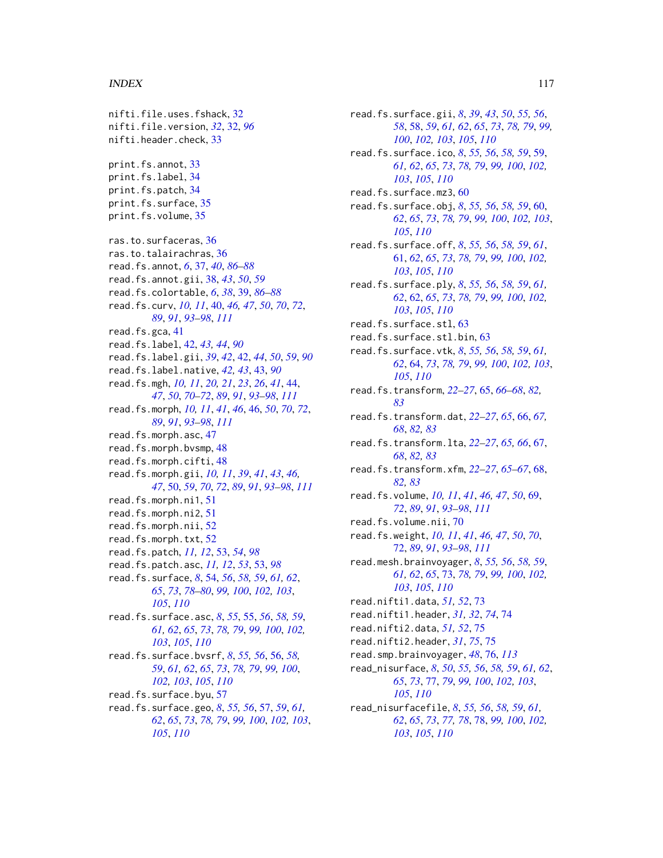#### INDEX 117

nifti.file.uses.fshack, [32](#page-31-0) nifti.file.version, *[32](#page-31-0)*, [32,](#page-31-0) *[96](#page-95-1)* nifti.header.check, [33](#page-32-0) print.fs.annot, [33](#page-32-0) print.fs.label, [34](#page-33-0) print.fs.patch, [34](#page-33-0) print.fs.surface, [35](#page-34-0) print.fs.volume, [35](#page-34-0) ras.to.surfaceras, [36](#page-35-0) ras.to.talairachras, [36](#page-35-0) read.fs.annot, *[6](#page-5-0)*, [37,](#page-36-0) *[40](#page-39-1)*, *[86–](#page-85-0)[88](#page-87-0)* read.fs.annot.gii, [38,](#page-37-0) *[43](#page-42-0)*, *[50](#page-49-1)*, *[59](#page-58-1)* read.fs.colortable, *[6](#page-5-0)*, *[38](#page-37-0)*, [39,](#page-38-0) *[86–](#page-85-0)[88](#page-87-0)* read.fs.curv, *[10,](#page-9-1) [11](#page-10-1)*, [40,](#page-39-1) *[46,](#page-45-1) [47](#page-46-0)*, *[50](#page-49-1)*, *[70](#page-69-0)*, *[72](#page-71-1)*, *[89](#page-88-1)*, *[91](#page-90-1)*, *[93](#page-92-1)[–98](#page-97-1)*, *[111](#page-110-1)* read.fs.gca, [41](#page-40-0) read.fs.label, [42,](#page-41-0) *[43,](#page-42-0) [44](#page-43-1)*, *[90](#page-89-0)* read.fs.label.gii, *[39](#page-38-0)*, *[42](#page-41-0)*, [42,](#page-41-0) *[44](#page-43-1)*, *[50](#page-49-1)*, *[59](#page-58-1)*, *[90](#page-89-0)* read.fs.label.native, *[42,](#page-41-0) [43](#page-42-0)*, [43,](#page-42-0) *[90](#page-89-0)* read.fs.mgh, *[10,](#page-9-1) [11](#page-10-1)*, *[20,](#page-19-0) [21](#page-20-0)*, *[23](#page-22-0)*, *[26](#page-25-0)*, *[41](#page-40-0)*, [44,](#page-43-1) *[47](#page-46-0)*, *[50](#page-49-1)*, *[70](#page-69-0)[–72](#page-71-1)*, *[89](#page-88-1)*, *[91](#page-90-1)*, *[93–](#page-92-1)[98](#page-97-1)*, *[111](#page-110-1)* read.fs.morph, *[10,](#page-9-1) [11](#page-10-1)*, *[41](#page-40-0)*, *[46](#page-45-1)*, [46,](#page-45-1) *[50](#page-49-1)*, *[70](#page-69-0)*, *[72](#page-71-1)*, *[89](#page-88-1)*, *[91](#page-90-1)*, *[93](#page-92-1)[–98](#page-97-1)*, *[111](#page-110-1)* read.fs.morph.asc, [47](#page-46-0) read.fs.morph.bvsmp, [48](#page-47-0) read.fs.morph.cifti, [48](#page-47-0) read.fs.morph.gii, *[10,](#page-9-1) [11](#page-10-1)*, *[39](#page-38-0)*, *[41](#page-40-0)*, *[43](#page-42-0)*, *[46,](#page-45-1) [47](#page-46-0)*, [50,](#page-49-1) *[59](#page-58-1)*, *[70](#page-69-0)*, *[72](#page-71-1)*, *[89](#page-88-1)*, *[91](#page-90-1)*, *[93](#page-92-1)[–98](#page-97-1)*, *[111](#page-110-1)* read.fs.morph.ni1, [51](#page-50-0) read.fs.morph.ni2, [51](#page-50-0) read.fs.morph.nii, [52](#page-51-0) read.fs.morph.txt, [52](#page-51-0) read.fs.patch, *[11,](#page-10-1) [12](#page-11-0)*, [53,](#page-52-0) *[54](#page-53-1)*, *[98](#page-97-1)* read.fs.patch.asc, *[11,](#page-10-1) [12](#page-11-0)*, *[53](#page-52-0)*, [53,](#page-52-0) *[98](#page-97-1)* read.fs.surface, *[8](#page-7-1)*, [54,](#page-53-1) *[56](#page-55-1)*, *[58,](#page-57-1) [59](#page-58-1)*, *[61,](#page-60-1) [62](#page-61-1)*, *[65](#page-64-0)*, *[73](#page-72-1)*, *[78](#page-77-1)[–80](#page-79-0)*, *[99,](#page-98-0) [100](#page-99-1)*, *[102,](#page-101-1) [103](#page-102-1)*, *[105](#page-104-1)*, *[110](#page-109-1)* read.fs.surface.asc, *[8](#page-7-1)*, *[55](#page-54-1)*, [55,](#page-54-1) *[56](#page-55-1)*, *[58,](#page-57-1) [59](#page-58-1)*, *[61,](#page-60-1) [62](#page-61-1)*, *[65](#page-64-0)*, *[73](#page-72-1)*, *[78,](#page-77-1) [79](#page-78-0)*, *[99,](#page-98-0) [100](#page-99-1)*, *[102,](#page-101-1) [103](#page-102-1)*, *[105](#page-104-1)*, *[110](#page-109-1)* read.fs.surface.bvsrf, *[8](#page-7-1)*, *[55,](#page-54-1) [56](#page-55-1)*, [56,](#page-55-1) *[58,](#page-57-1) [59](#page-58-1)*, *[61,](#page-60-1) [62](#page-61-1)*, *[65](#page-64-0)*, *[73](#page-72-1)*, *[78,](#page-77-1) [79](#page-78-0)*, *[99,](#page-98-0) [100](#page-99-1)*, *[102,](#page-101-1) [103](#page-102-1)*, *[105](#page-104-1)*, *[110](#page-109-1)* read.fs.surface.byu, [57](#page-56-1) read.fs.surface.geo, *[8](#page-7-1)*, *[55,](#page-54-1) [56](#page-55-1)*, [57,](#page-56-1) *[59](#page-58-1)*, *[61,](#page-60-1) [62](#page-61-1)*, *[65](#page-64-0)*, *[73](#page-72-1)*, *[78,](#page-77-1) [79](#page-78-0)*, *[99,](#page-98-0) [100](#page-99-1)*, *[102,](#page-101-1) [103](#page-102-1)*, *[105](#page-104-1)*, *[110](#page-109-1)*

read.fs.surface.gii, *[8](#page-7-1)*, *[39](#page-38-0)*, *[43](#page-42-0)*, *[50](#page-49-1)*, *[55,](#page-54-1) [56](#page-55-1)*, *[58](#page-57-1)*, [58,](#page-57-1) *[59](#page-58-1)*, *[61,](#page-60-1) [62](#page-61-1)*, *[65](#page-64-0)*, *[73](#page-72-1)*, *[78,](#page-77-1) [79](#page-78-0)*, *[99,](#page-98-0) [100](#page-99-1)*, *[102,](#page-101-1) [103](#page-102-1)*, *[105](#page-104-1)*, *[110](#page-109-1)* read.fs.surface.ico, *[8](#page-7-1)*, *[55,](#page-54-1) [56](#page-55-1)*, *[58,](#page-57-1) [59](#page-58-1)*, [59,](#page-58-1) *[61,](#page-60-1) [62](#page-61-1)*, *[65](#page-64-0)*, *[73](#page-72-1)*, *[78,](#page-77-1) [79](#page-78-0)*, *[99,](#page-98-0) [100](#page-99-1)*, *[102,](#page-101-1) [103](#page-102-1)*, *[105](#page-104-1)*, *[110](#page-109-1)* read.fs.surface.mz3, [60](#page-59-1) read.fs.surface.obj, *[8](#page-7-1)*, *[55,](#page-54-1) [56](#page-55-1)*, *[58,](#page-57-1) [59](#page-58-1)*, [60,](#page-59-1) *[62](#page-61-1)*, *[65](#page-64-0)*, *[73](#page-72-1)*, *[78,](#page-77-1) [79](#page-78-0)*, *[99,](#page-98-0) [100](#page-99-1)*, *[102,](#page-101-1) [103](#page-102-1)*, *[105](#page-104-1)*, *[110](#page-109-1)* read.fs.surface.off, *[8](#page-7-1)*, *[55,](#page-54-1) [56](#page-55-1)*, *[58,](#page-57-1) [59](#page-58-1)*, *[61](#page-60-1)*, [61,](#page-60-1) *[62](#page-61-1)*, *[65](#page-64-0)*, *[73](#page-72-1)*, *[78,](#page-77-1) [79](#page-78-0)*, *[99,](#page-98-0) [100](#page-99-1)*, *[102,](#page-101-1) [103](#page-102-1)*, *[105](#page-104-1)*, *[110](#page-109-1)* read.fs.surface.ply, *[8](#page-7-1)*, *[55,](#page-54-1) [56](#page-55-1)*, *[58,](#page-57-1) [59](#page-58-1)*, *[61,](#page-60-1) [62](#page-61-1)*, [62,](#page-61-1) *[65](#page-64-0)*, *[73](#page-72-1)*, *[78,](#page-77-1) [79](#page-78-0)*, *[99,](#page-98-0) [100](#page-99-1)*, *[102,](#page-101-1) [103](#page-102-1)*, *[105](#page-104-1)*, *[110](#page-109-1)* read.fs.surface.stl, [63](#page-62-0) read.fs.surface.stl.bin, [63](#page-62-0) read.fs.surface.vtk, *[8](#page-7-1)*, *[55,](#page-54-1) [56](#page-55-1)*, *[58,](#page-57-1) [59](#page-58-1)*, *[61,](#page-60-1) [62](#page-61-1)*, [64,](#page-63-1) *[73](#page-72-1)*, *[78,](#page-77-1) [79](#page-78-0)*, *[99,](#page-98-0) [100](#page-99-1)*, *[102,](#page-101-1) [103](#page-102-1)*, *[105](#page-104-1)*, *[110](#page-109-1)* read.fs.transform, *[22](#page-21-0)[–27](#page-26-0)*, [65,](#page-64-0) *[66](#page-65-0)[–68](#page-67-0)*, *[82,](#page-81-0) [83](#page-82-0)* read.fs.transform.dat, *[22](#page-21-0)[–27](#page-26-0)*, *[65](#page-64-0)*, [66,](#page-65-0) *[67,](#page-66-0) [68](#page-67-0)*, *[82,](#page-81-0) [83](#page-82-0)* read.fs.transform.lta, *[22](#page-21-0)[–27](#page-26-0)*, *[65,](#page-64-0) [66](#page-65-0)*, [67,](#page-66-0) *[68](#page-67-0)*, *[82,](#page-81-0) [83](#page-82-0)* read.fs.transform.xfm, *[22](#page-21-0)[–27](#page-26-0)*, *[65](#page-64-0)[–67](#page-66-0)*, [68,](#page-67-0) *[82,](#page-81-0) [83](#page-82-0)* read.fs.volume, *[10,](#page-9-1) [11](#page-10-1)*, *[41](#page-40-0)*, *[46,](#page-45-1) [47](#page-46-0)*, *[50](#page-49-1)*, [69,](#page-68-1) *[72](#page-71-1)*, *[89](#page-88-1)*, *[91](#page-90-1)*, *[93](#page-92-1)[–98](#page-97-1)*, *[111](#page-110-1)* read.fs.volume.nii, [70](#page-69-0) read.fs.weight, *[10,](#page-9-1) [11](#page-10-1)*, *[41](#page-40-0)*, *[46,](#page-45-1) [47](#page-46-0)*, *[50](#page-49-1)*, *[70](#page-69-0)*, [72,](#page-71-1) *[89](#page-88-1)*, *[91](#page-90-1)*, *[93](#page-92-1)[–98](#page-97-1)*, *[111](#page-110-1)* read.mesh.brainvoyager, *[8](#page-7-1)*, *[55,](#page-54-1) [56](#page-55-1)*, *[58,](#page-57-1) [59](#page-58-1)*, *[61,](#page-60-1) [62](#page-61-1)*, *[65](#page-64-0)*, [73,](#page-72-1) *[78,](#page-77-1) [79](#page-78-0)*, *[99,](#page-98-0) [100](#page-99-1)*, *[102,](#page-101-1) [103](#page-102-1)*, *[105](#page-104-1)*, *[110](#page-109-1)* read.nifti1.data, *[51,](#page-50-0) [52](#page-51-0)*, [73](#page-72-1) read.nifti1.header, *[31,](#page-30-0) [32](#page-31-0)*, *[74](#page-73-0)*, [74](#page-73-0) read.nifti2.data, *[51,](#page-50-0) [52](#page-51-0)*, [75](#page-74-0) read.nifti2.header, *[31](#page-30-0)*, *[75](#page-74-0)*, [75](#page-74-0) read.smp.brainvoyager, *[48](#page-47-0)*, [76,](#page-75-1) *[113](#page-112-0)* read\_nisurface, *[8](#page-7-1)*, *[50](#page-49-1)*, *[55,](#page-54-1) [56](#page-55-1)*, *[58,](#page-57-1) [59](#page-58-1)*, *[61,](#page-60-1) [62](#page-61-1)*, *[65](#page-64-0)*, *[73](#page-72-1)*, [77,](#page-76-1) *[79](#page-78-0)*, *[99,](#page-98-0) [100](#page-99-1)*, *[102,](#page-101-1) [103](#page-102-1)*, *[105](#page-104-1)*, *[110](#page-109-1)* read\_nisurfacefile, *[8](#page-7-1)*, *[55,](#page-54-1) [56](#page-55-1)*, *[58,](#page-57-1) [59](#page-58-1)*, *[61,](#page-60-1) [62](#page-61-1)*, *[65](#page-64-0)*, *[73](#page-72-1)*, *[77,](#page-76-1) [78](#page-77-1)*, [78,](#page-77-1) *[99,](#page-98-0) [100](#page-99-1)*, *[102,](#page-101-1) [103](#page-102-1)*, *[105](#page-104-1)*, *[110](#page-109-1)*